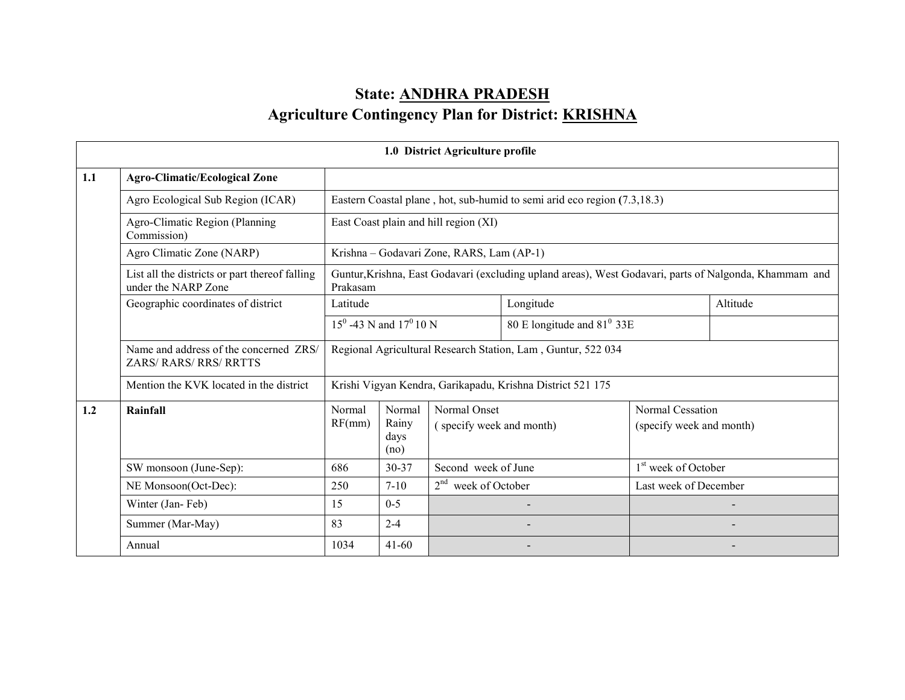# State: ANDHRA PRADESHAgriculture Contingency Plan for District: <u>KRISHNA</u>

|     | 1.0 District Agriculture profile                                        |                                                              |                                 |                                           |                                                                          |                                 |                                                                                                        |  |  |  |
|-----|-------------------------------------------------------------------------|--------------------------------------------------------------|---------------------------------|-------------------------------------------|--------------------------------------------------------------------------|---------------------------------|--------------------------------------------------------------------------------------------------------|--|--|--|
| 1.1 | <b>Agro-Climatic/Ecological Zone</b>                                    |                                                              |                                 |                                           |                                                                          |                                 |                                                                                                        |  |  |  |
|     | Agro Ecological Sub Region (ICAR)                                       |                                                              |                                 |                                           | Eastern Coastal plane, hot, sub-humid to semi arid eco region (7.3,18.3) |                                 |                                                                                                        |  |  |  |
|     | Agro-Climatic Region (Planning<br>Commission)                           |                                                              |                                 | East Coast plain and hill region (XI)     |                                                                          |                                 |                                                                                                        |  |  |  |
|     | Agro Climatic Zone (NARP)                                               |                                                              |                                 | Krishna - Godavari Zone, RARS, Lam (AP-1) |                                                                          |                                 |                                                                                                        |  |  |  |
|     | List all the districts or part thereof falling<br>under the NARP Zone   | Prakasam                                                     |                                 |                                           |                                                                          |                                 | Guntur, Krishna, East Godavari (excluding upland areas), West Godavari, parts of Nalgonda, Khammam and |  |  |  |
|     | Geographic coordinates of district                                      | Latitude                                                     |                                 |                                           | Longitude                                                                |                                 | Altitude                                                                                               |  |  |  |
|     |                                                                         |                                                              | $15^0$ -43 N and $17^0$ 10 N    |                                           | 80 E longitude and $81^{\circ}$ 33E                                      |                                 |                                                                                                        |  |  |  |
|     | Name and address of the concerned ZRS/<br><b>ZARS/ RARS/ RRS/ RRTTS</b> | Regional Agricultural Research Station, Lam, Guntur, 522 034 |                                 |                                           |                                                                          |                                 |                                                                                                        |  |  |  |
|     | Mention the KVK located in the district                                 |                                                              |                                 |                                           | Krishi Vigyan Kendra, Garikapadu, Krishna District 521 175               |                                 |                                                                                                        |  |  |  |
| 1.2 | Rainfall                                                                | Normal<br>RF(mm)                                             | Normal<br>Rainy<br>days<br>(no) | Normal Onset<br>(specify week and month)  | Normal Cessation<br>(specify week and month)                             |                                 |                                                                                                        |  |  |  |
|     | SW monsoon (June-Sep):                                                  | 686                                                          | $30 - 37$                       | Second week of June                       |                                                                          | 1 <sup>st</sup> week of October |                                                                                                        |  |  |  |
|     | NE Monsoon(Oct-Dec):                                                    | 250                                                          | $7 - 10$                        | $2nd$ week of October                     |                                                                          | Last week of December           |                                                                                                        |  |  |  |
|     | Winter (Jan-Feb)                                                        | 15                                                           | $0 - 5$                         |                                           |                                                                          |                                 |                                                                                                        |  |  |  |
|     | Summer (Mar-May)                                                        | 83                                                           | $2 - 4$                         |                                           |                                                                          |                                 |                                                                                                        |  |  |  |
|     | Annual                                                                  | 1034                                                         | $41 - 60$                       |                                           |                                                                          |                                 |                                                                                                        |  |  |  |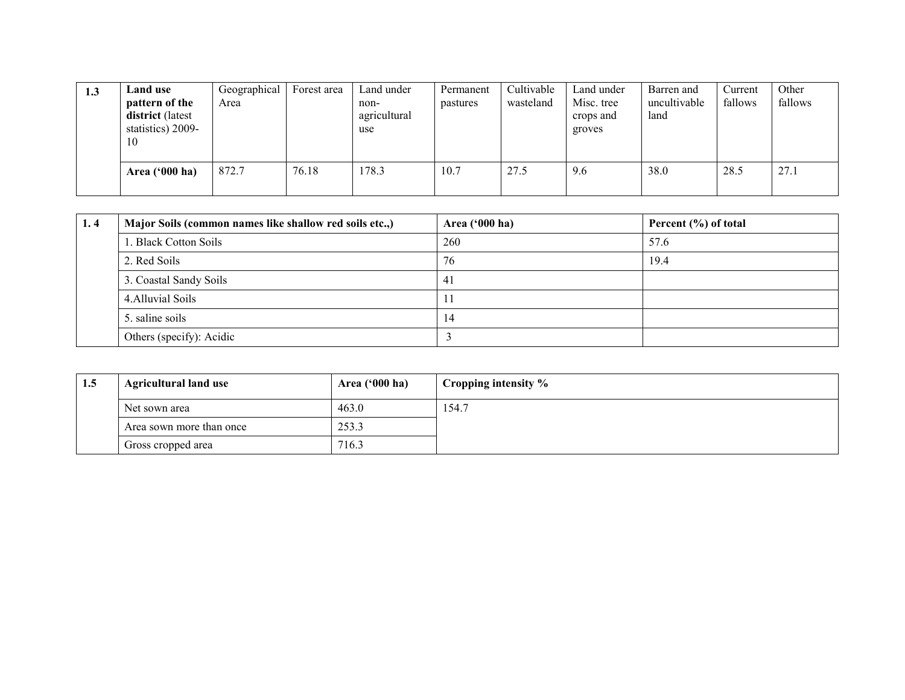| 1.3 | <b>Land use</b>                                               | Geographical | Forest area | Land under                  | Permanent | Cultivable | Land under                        | Barren and           | Current | Other   |
|-----|---------------------------------------------------------------|--------------|-------------|-----------------------------|-----------|------------|-----------------------------------|----------------------|---------|---------|
|     | pattern of the<br>district (latest<br>statistics) 2009-<br>10 | Area         |             | non-<br>agricultural<br>use | pastures  | wasteland  | Misc. tree<br>crops and<br>groves | uncultivable<br>land | fallows | fallows |
|     | Area $('000 ha)$                                              | 872.7        | 76.18       | 178.3                       | 10.7      | 27.5       | 9.6                               | 38.0                 | 28.5    | 27.1    |

| 1.4 | Major Soils (common names like shallow red soils etc.,) | Area ('000 ha) | Percent (%) of total |
|-----|---------------------------------------------------------|----------------|----------------------|
|     | 1. Black Cotton Soils                                   | 260            | 57.6                 |
|     | 2. Red Soils                                            | 76             | 19.4                 |
|     | 3. Coastal Sandy Soils                                  | 41             |                      |
|     | 4. Alluvial Soils                                       | $\perp$        |                      |
|     | 5. saline soils                                         | 14             |                      |
|     | Others (specify): Acidic                                |                |                      |

| 1.5 | <b>Agricultural land use</b> | Area $(900 \text{ ha})$ | Cropping intensity % |
|-----|------------------------------|-------------------------|----------------------|
|     | Net sown area                | 463.0                   | 54.7ء                |
|     | Area sown more than once     | 253.3                   |                      |
|     | Gross cropped area           | 716.3                   |                      |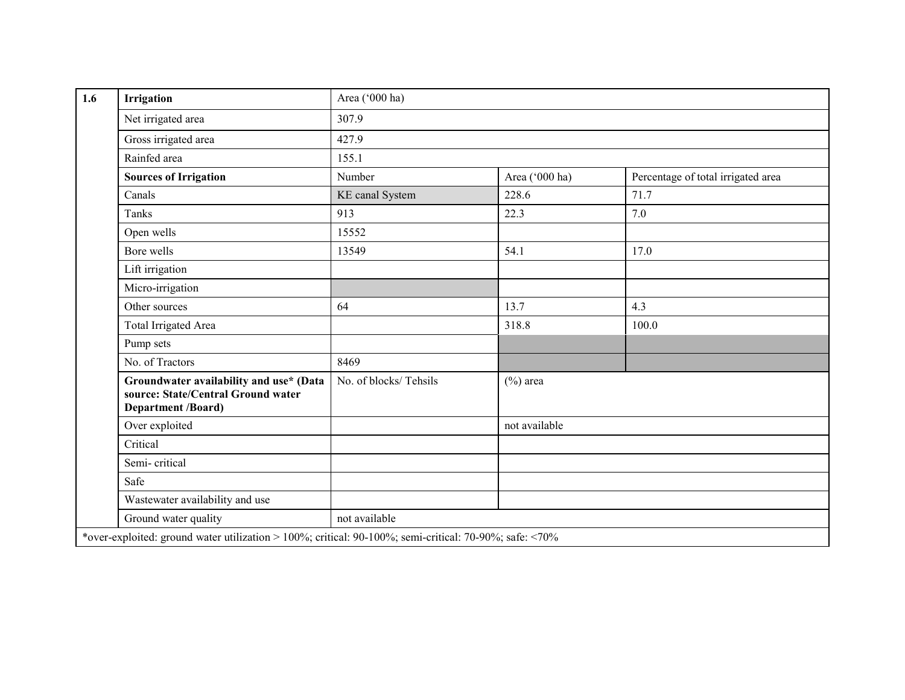| 1.6 | <b>Irrigation</b>                                                                                          | Area ('000 ha)        |                |                                    |  |  |  |
|-----|------------------------------------------------------------------------------------------------------------|-----------------------|----------------|------------------------------------|--|--|--|
|     | Net irrigated area                                                                                         | 307.9                 |                |                                    |  |  |  |
|     | Gross irrigated area                                                                                       | 427.9                 |                |                                    |  |  |  |
|     | Rainfed area                                                                                               | 155.1                 |                |                                    |  |  |  |
|     | <b>Sources of Irrigation</b>                                                                               | Number                | Area ('000 ha) | Percentage of total irrigated area |  |  |  |
|     | Canals                                                                                                     | KE canal System       | 228.6          | 71.7                               |  |  |  |
|     | Tanks                                                                                                      | 913                   | 22.3           | 7.0                                |  |  |  |
|     | Open wells                                                                                                 | 15552                 |                |                                    |  |  |  |
|     | Bore wells                                                                                                 | 13549                 | 54.1           | 17.0                               |  |  |  |
|     | Lift irrigation                                                                                            |                       |                |                                    |  |  |  |
|     | Micro-irrigation                                                                                           |                       |                |                                    |  |  |  |
|     | Other sources                                                                                              | 64                    | 13.7           | 4.3                                |  |  |  |
|     | <b>Total Irrigated Area</b>                                                                                |                       | 318.8          | 100.0                              |  |  |  |
|     | Pump sets                                                                                                  |                       |                |                                    |  |  |  |
|     | No. of Tractors                                                                                            | 8469                  |                |                                    |  |  |  |
|     | Groundwater availability and use* (Data<br>source: State/Central Ground water<br><b>Department /Board)</b> | No. of blocks/Tehsils | $(\%)$ area    |                                    |  |  |  |
|     | Over exploited                                                                                             |                       | not available  |                                    |  |  |  |
|     | Critical                                                                                                   |                       |                |                                    |  |  |  |
|     | Semi-critical                                                                                              |                       |                |                                    |  |  |  |
|     | Safe                                                                                                       |                       |                |                                    |  |  |  |
|     | Wastewater availability and use                                                                            |                       |                |                                    |  |  |  |
|     | Ground water quality                                                                                       | not available         |                |                                    |  |  |  |
|     | *over-exploited: ground water utilization > 100%; critical: 90-100%; semi-critical: 70-90%; safe: <70%     |                       |                |                                    |  |  |  |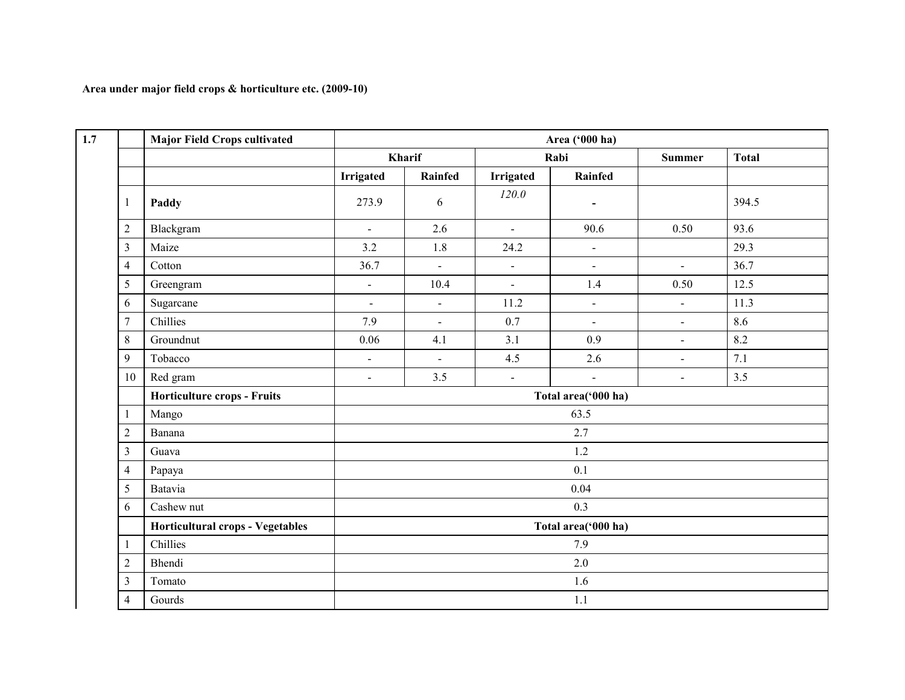#### Area under major field crops & horticulture etc. (2009-10)

| 1.7            | <b>Major Field Crops cultivated</b>     | Area ('000 ha) |                |                  |                     |                          |              |  |  |  |  |
|----------------|-----------------------------------------|----------------|----------------|------------------|---------------------|--------------------------|--------------|--|--|--|--|
|                |                                         |                | Kharif         |                  | Rabi                | <b>Summer</b>            | <b>Total</b> |  |  |  |  |
|                |                                         | Irrigated      | Rainfed        | <b>Irrigated</b> | Rainfed             |                          |              |  |  |  |  |
| 1              | Paddy                                   | 273.9          | 6              | 120.0            | $\blacksquare$      |                          | 394.5        |  |  |  |  |
| $\mathfrak 2$  | Blackgram                               | $\omega$       | 2.6            | $\mathbf{r}$     | 90.6                | 0.50                     | 93.6         |  |  |  |  |
| $\mathfrak{Z}$ | Maize                                   | 3.2            | 1.8            | 24.2             | $\blacksquare$      |                          | 29.3         |  |  |  |  |
| $\overline{4}$ | Cotton                                  | 36.7           | $\mathbf{L}$   | $\omega$         | $\omega$            | $\mathbf{r}$             | 36.7         |  |  |  |  |
| $\sqrt{5}$     | Greengram                               | $\blacksquare$ | 10.4           | $\omega$         | 1.4                 | 0.50                     | 12.5         |  |  |  |  |
| 6              | Sugarcane                               | $\blacksquare$ | $\blacksquare$ | 11.2             | $\blacksquare$      | $\overline{\phantom{a}}$ | 11.3         |  |  |  |  |
| $\overline{7}$ | Chillies                                | 7.9            | $\sim$         | 0.7              | $\blacksquare$      | $\blacksquare$           | 8.6          |  |  |  |  |
| 8              | Groundnut                               | 0.06           | 4.1            | 3.1              | 0.9                 | $\blacksquare$           | 8.2          |  |  |  |  |
| 9              | Tobacco                                 | $\blacksquare$ | $\sim$         | 4.5              | 2.6                 | $\blacksquare$           | 7.1          |  |  |  |  |
| 10             | Red gram                                | $\blacksquare$ | 3.5            | $\omega$         | $\blacksquare$      | $\blacksquare$           | 3.5          |  |  |  |  |
|                | Horticulture crops - Fruits             |                |                |                  | Total area('000 ha) |                          |              |  |  |  |  |
| $\mathbf{1}$   | Mango                                   |                |                |                  | 63.5                |                          |              |  |  |  |  |
| $\overline{c}$ | Banana                                  |                | 2.7            |                  |                     |                          |              |  |  |  |  |
| $\mathfrak{Z}$ | Guava                                   |                |                |                  | 1.2                 |                          |              |  |  |  |  |
| 4              | Papaya                                  |                |                |                  | 0.1                 |                          |              |  |  |  |  |
| 5              | Batavia                                 |                |                |                  | 0.04                |                          |              |  |  |  |  |
| 6              | Cashew nut                              |                |                |                  | 0.3                 |                          |              |  |  |  |  |
|                | <b>Horticultural crops - Vegetables</b> |                |                |                  | Total area('000 ha) |                          |              |  |  |  |  |
| $\mathbf{1}$   | Chillies                                |                |                |                  | 7.9                 |                          |              |  |  |  |  |
| $\mathfrak 2$  | Bhendi                                  |                |                |                  | 2.0                 |                          |              |  |  |  |  |
| $\mathfrak{Z}$ | Tomato                                  |                |                |                  | 1.6                 |                          |              |  |  |  |  |
| $\overline{4}$ | Gourds                                  |                |                |                  | 1.1                 |                          |              |  |  |  |  |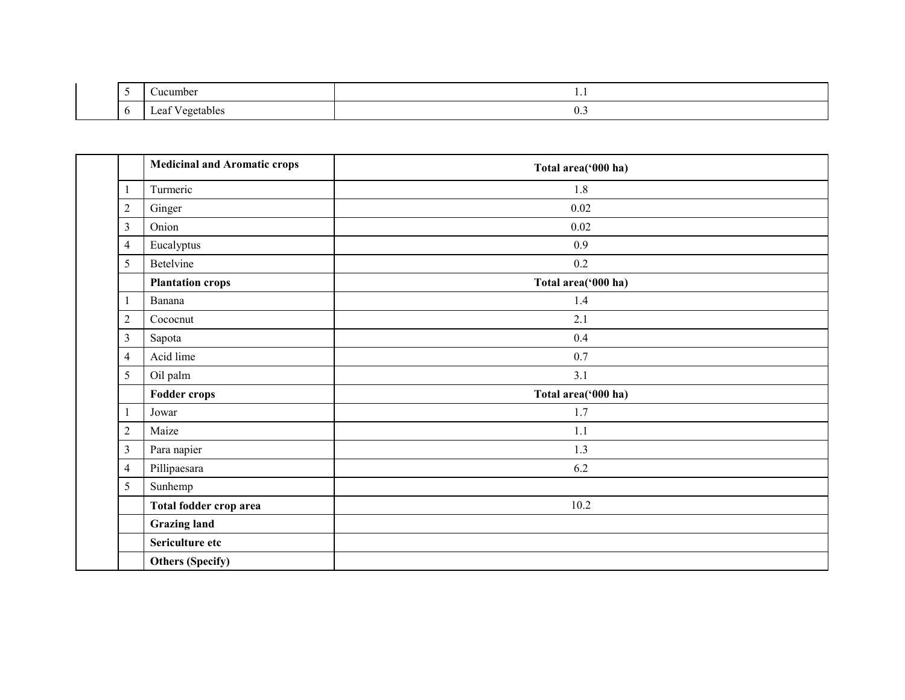| ັ | <b>Jucumber</b>                     | $\cdot$ .   |  |  |  |  |
|---|-------------------------------------|-------------|--|--|--|--|
|   | $\sim$<br>egetables/<br><b>Loui</b> | $v_{\cdot}$ |  |  |  |  |

|                  | <b>Medicinal and Aromatic crops</b> | Total area('000 ha) |
|------------------|-------------------------------------|---------------------|
| $\mathbf{1}$     | Turmeric                            | 1.8                 |
| $\sqrt{2}$       | Ginger                              | 0.02                |
| $\mathfrak{Z}$   | Onion                               | 0.02                |
| $\overline{4}$   | Eucalyptus                          | 0.9                 |
| 5                | Betelvine                           | $0.2\,$             |
|                  | <b>Plantation crops</b>             | Total area('000 ha) |
| $\mathbf{1}$     | Banana                              | 1.4                 |
| $\mathbf{2}$     | Cococnut                            | 2.1                 |
| $\mathfrak{Z}$   | Sapota                              | 0.4                 |
| $\overline{4}$   | Acid lime                           | 0.7                 |
| 5                | Oil palm                            | 3.1                 |
|                  | <b>Fodder crops</b>                 | Total area('000 ha) |
| $\mathbf{1}$     | Jowar                               | 1.7                 |
| $\boldsymbol{2}$ | Maize                               | 1.1                 |
| $\mathfrak{Z}$   | Para napier                         | 1.3                 |
| $\overline{4}$   | Pillipaesara                        | 6.2                 |
| 5                | Sunhemp                             |                     |
|                  | Total fodder crop area              | 10.2                |
|                  | <b>Grazing land</b>                 |                     |
|                  | Sericulture etc                     |                     |
|                  | <b>Others (Specify)</b>             |                     |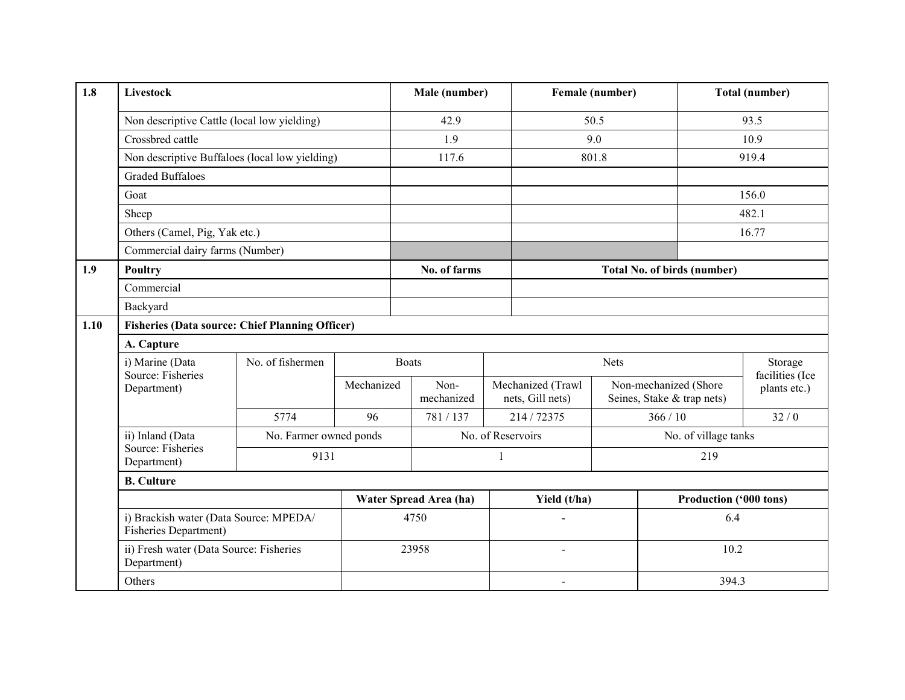| 1.8  | Livestock                                              |                                                                  |    | Male (number)                    |                        |   |                                       | Female (number) | <b>Total (number)</b>                               |                      |                                 |
|------|--------------------------------------------------------|------------------------------------------------------------------|----|----------------------------------|------------------------|---|---------------------------------------|-----------------|-----------------------------------------------------|----------------------|---------------------------------|
|      | Non descriptive Cattle (local low yielding)            |                                                                  |    | 42.9                             |                        |   | 50.5                                  |                 |                                                     | 93.5                 |                                 |
|      | Crossbred cattle                                       |                                                                  |    | 1.9                              |                        |   | 9.0                                   |                 |                                                     | 10.9                 |                                 |
|      |                                                        | Non descriptive Buffaloes (local low yielding)                   |    |                                  | 117.6                  |   |                                       | 801.8           |                                                     |                      | 919.4                           |
|      | <b>Graded Buffaloes</b>                                |                                                                  |    |                                  |                        |   |                                       |                 |                                                     |                      |                                 |
|      | Goat                                                   |                                                                  |    |                                  |                        |   |                                       |                 |                                                     |                      | 156.0                           |
|      | Sheep                                                  |                                                                  |    |                                  |                        |   |                                       |                 |                                                     |                      | 482.1                           |
|      |                                                        | Others (Camel, Pig, Yak etc.)<br>Commercial dairy farms (Number) |    |                                  |                        |   |                                       |                 |                                                     |                      | 16.77                           |
|      |                                                        |                                                                  |    |                                  |                        |   |                                       |                 |                                                     |                      |                                 |
| 1.9  | <b>Poultry</b>                                         |                                                                  |    |                                  | No. of farms           |   |                                       |                 | <b>Total No. of birds (number)</b>                  |                      |                                 |
|      | Commercial                                             |                                                                  |    |                                  |                        |   |                                       |                 |                                                     |                      |                                 |
|      | Backyard                                               |                                                                  |    |                                  |                        |   |                                       |                 |                                                     |                      |                                 |
| 1.10 | <b>Fisheries (Data source: Chief Planning Officer)</b> |                                                                  |    |                                  |                        |   |                                       |                 |                                                     |                      |                                 |
|      | A. Capture                                             |                                                                  |    |                                  |                        |   |                                       |                 |                                                     |                      |                                 |
|      | i) Marine (Data                                        | No. of fishermen                                                 |    |                                  | <b>Boats</b>           |   | Nets                                  |                 |                                                     | Storage              |                                 |
|      | Department)                                            | Source: Fisheries                                                |    | Mechanized<br>Non-<br>mechanized |                        |   | Mechanized (Trawl<br>nets, Gill nets) |                 | Non-mechanized (Shore<br>Seines, Stake & trap nets) |                      | facilities (Ice<br>plants etc.) |
|      |                                                        | 5774                                                             | 96 |                                  | 781/137                |   | 214/72375                             |                 | 366/10                                              |                      | 32/0                            |
|      | ii) Inland (Data                                       | No. Farmer owned ponds                                           |    |                                  |                        |   | No. of Reservoirs                     |                 |                                                     | No. of village tanks |                                 |
|      | Source: Fisheries<br>Department)                       | 9131                                                             |    |                                  |                        | 1 |                                       |                 | 219                                                 |                      |                                 |
|      | <b>B.</b> Culture                                      |                                                                  |    |                                  |                        |   |                                       |                 |                                                     |                      |                                 |
|      |                                                        |                                                                  |    |                                  | Water Spread Area (ha) |   | Yield (t/ha)                          |                 |                                                     |                      | Production ('000 tons)          |
|      |                                                        | i) Brackish water (Data Source: MPEDA/<br>Fisheries Department)  |    |                                  | 4750                   |   |                                       |                 | 6.4                                                 |                      |                                 |
|      | Department)                                            | ii) Fresh water (Data Source: Fisheries                          |    |                                  | 23958                  |   |                                       |                 | 10.2                                                |                      |                                 |
|      | Others                                                 |                                                                  |    |                                  |                        |   | $\overline{\phantom{a}}$              |                 |                                                     | 394.3                |                                 |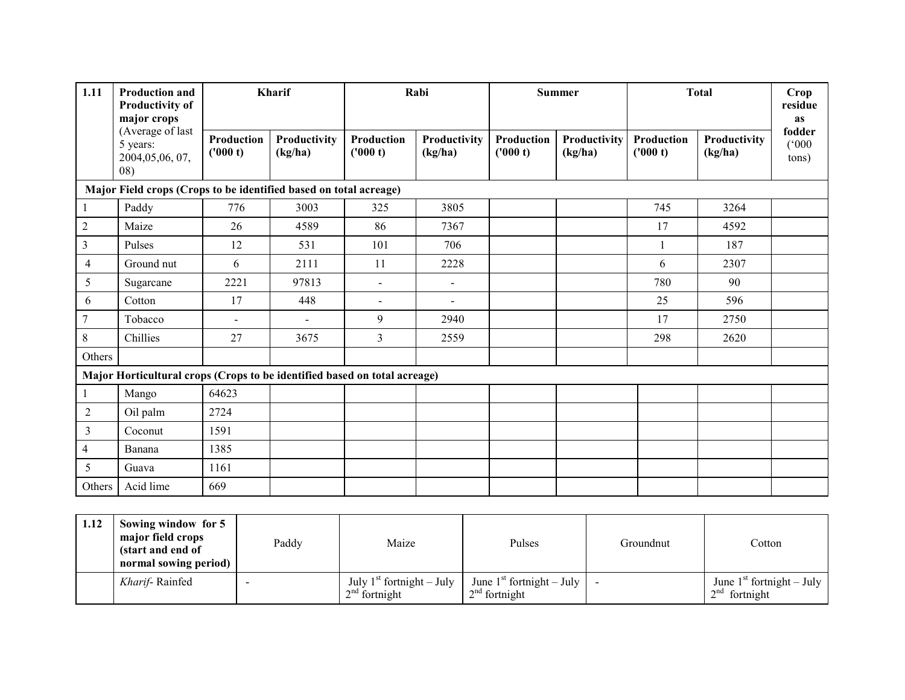| 1.11<br><b>Production and</b><br><b>Productivity of</b><br>major crops |                                                                           | Kharif                 |                         | Rabi                          |                          | <b>Summer</b>          |                         |                        | <b>Total</b>            | Crop<br>residue<br><b>as</b> |  |  |  |
|------------------------------------------------------------------------|---------------------------------------------------------------------------|------------------------|-------------------------|-------------------------------|--------------------------|------------------------|-------------------------|------------------------|-------------------------|------------------------------|--|--|--|
|                                                                        | (Average of last<br>5 years:<br>2004,05,06,07,<br>08)                     | Production<br>('000 t) | Productivity<br>(kg/ha) | <b>Production</b><br>('000 t) | Productivity<br>(kg/ha)  | Production<br>('000 t) | Productivity<br>(kg/ha) | Production<br>('000 t) | Productivity<br>(kg/ha) | fodder<br>(000)<br>tons)     |  |  |  |
| Major Field crops (Crops to be identified based on total acreage)      |                                                                           |                        |                         |                               |                          |                        |                         |                        |                         |                              |  |  |  |
|                                                                        | Paddy                                                                     | 776                    | 3003                    | 325                           | 3805                     |                        |                         | 745                    | 3264                    |                              |  |  |  |
| $\sqrt{2}$                                                             | Maize                                                                     | 26                     | 4589                    | 86                            | 7367                     |                        |                         | 17                     | 4592                    |                              |  |  |  |
| 3                                                                      | Pulses                                                                    | 12                     | 531                     | 101                           | 706                      |                        |                         | 1                      | 187                     |                              |  |  |  |
| 4                                                                      | Ground nut                                                                | 6                      | 2111                    | 11                            | 2228                     |                        |                         | 6                      | 2307                    |                              |  |  |  |
| 5                                                                      | Sugarcane                                                                 | 2221                   | 97813                   | $\blacksquare$                | $\overline{a}$           |                        |                         | 780                    | 90                      |                              |  |  |  |
| 6                                                                      | Cotton                                                                    | 17                     | 448                     | $\blacksquare$                | $\overline{\phantom{0}}$ |                        |                         | 25                     | 596                     |                              |  |  |  |
| $\overline{7}$                                                         | Tobacco                                                                   | $\blacksquare$         | $\overline{a}$          | 9                             | 2940                     |                        |                         | 17                     | 2750                    |                              |  |  |  |
| 8                                                                      | Chillies                                                                  | 27                     | 3675                    | $\overline{3}$                | 2559                     |                        |                         | 298                    | 2620                    |                              |  |  |  |
| Others                                                                 |                                                                           |                        |                         |                               |                          |                        |                         |                        |                         |                              |  |  |  |
|                                                                        | Major Horticultural crops (Crops to be identified based on total acreage) |                        |                         |                               |                          |                        |                         |                        |                         |                              |  |  |  |
|                                                                        | Mango                                                                     | 64623                  |                         |                               |                          |                        |                         |                        |                         |                              |  |  |  |
| $\overline{2}$                                                         | Oil palm                                                                  | 2724                   |                         |                               |                          |                        |                         |                        |                         |                              |  |  |  |
| 3                                                                      | Coconut                                                                   | 1591                   |                         |                               |                          |                        |                         |                        |                         |                              |  |  |  |
| 4                                                                      | Banana                                                                    | 1385                   |                         |                               |                          |                        |                         |                        |                         |                              |  |  |  |
| 5                                                                      | Guava                                                                     | 1161                   |                         |                               |                          |                        |                         |                        |                         |                              |  |  |  |
| Others                                                                 | Acid lime                                                                 | 669                    |                         |                               |                          |                        |                         |                        |                         |                              |  |  |  |

| 1.12 | Sowing window for 5<br>major field crops<br>(start and end of<br>normal sowing period) | Paddy | Maize                                          | Pulses                                                             | Groundnut | Cotton                                         |
|------|----------------------------------------------------------------------------------------|-------|------------------------------------------------|--------------------------------------------------------------------|-----------|------------------------------------------------|
|      | Kharif-Rainfed                                                                         |       | July $1st$ fortnight – July<br>$2nd$ fortnight | June 1 <sup>st</sup> fortnight – July $\vert$ -<br>$2nd$ fortnight |           | June $1st$ fortnight – July<br>$2nd$ fortnight |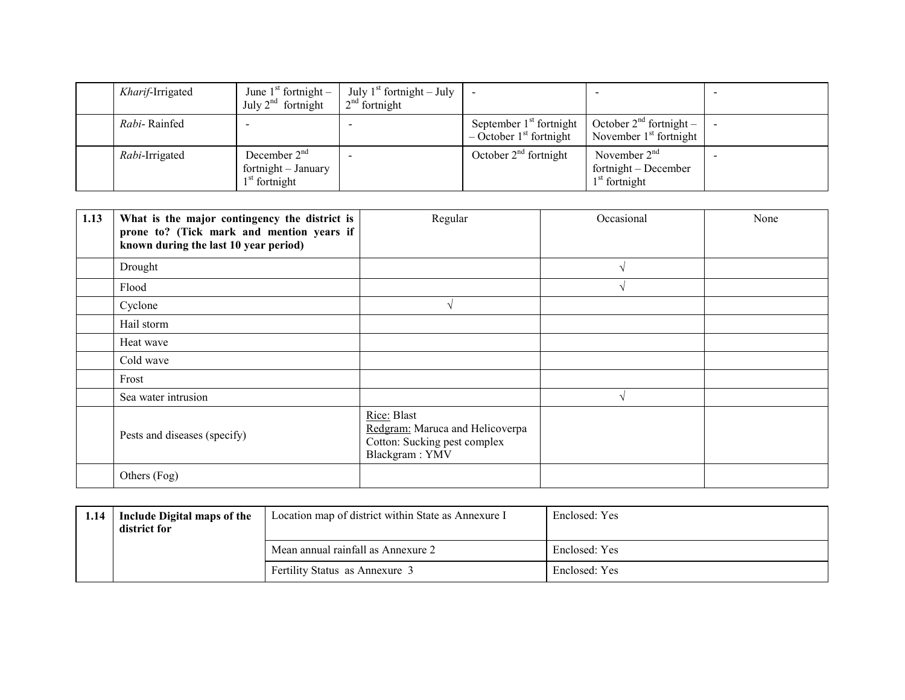| Kharif-Irrigated | June $1st$ fortnight –<br>July $2^{nd}$ fortnight        | July $1^{st}$ fortnight – July<br>$2nd$ fortnight |                                                                                                          |                                                             |  |
|------------------|----------------------------------------------------------|---------------------------------------------------|----------------------------------------------------------------------------------------------------------|-------------------------------------------------------------|--|
| Rabi-Rainfed     |                                                          |                                                   | September 1 <sup>st</sup> fortnight   October $2nd$ fortnight –<br>$-$ October 1 <sup>st</sup> fortnight | November $1st$ fortnight                                    |  |
| Rabi-Irrigated   | December $2nd$<br>fortnight - January<br>$1st$ fortnight |                                                   | October $2nd$ fortnight                                                                                  | November $2nd$<br>$fortnight - December$<br>$1st$ fortnight |  |

| 1.13 | What is the major contingency the district is<br>prone to? (Tick mark and mention years if<br>known during the last 10 year period) | Regular                                                                                          | Occasional    | None |
|------|-------------------------------------------------------------------------------------------------------------------------------------|--------------------------------------------------------------------------------------------------|---------------|------|
|      | Drought                                                                                                                             |                                                                                                  | $\sqrt{ }$    |      |
|      | Flood                                                                                                                               |                                                                                                  |               |      |
|      | Cyclone                                                                                                                             | $\mathcal{N}$                                                                                    |               |      |
|      | Hail storm                                                                                                                          |                                                                                                  |               |      |
|      | Heat wave                                                                                                                           |                                                                                                  |               |      |
|      | Cold wave                                                                                                                           |                                                                                                  |               |      |
|      | Frost                                                                                                                               |                                                                                                  |               |      |
|      | Sea water intrusion                                                                                                                 |                                                                                                  | $\mathcal{L}$ |      |
|      | Pests and diseases (specify)                                                                                                        | Rice: Blast<br>Redgram: Maruca and Helicoverpa<br>Cotton: Sucking pest complex<br>Blackgram: YMV |               |      |
|      | Others (Fog)                                                                                                                        |                                                                                                  |               |      |

| 1.14 | Include Digital maps of the<br>district for | Location map of district within State as Annexure I | Enclosed: Yes |
|------|---------------------------------------------|-----------------------------------------------------|---------------|
|      |                                             | Mean annual rainfall as Annexure 2                  | Enclosed: Yes |
|      |                                             | Fertility Status as Annexure 3                      | Enclosed: Yes |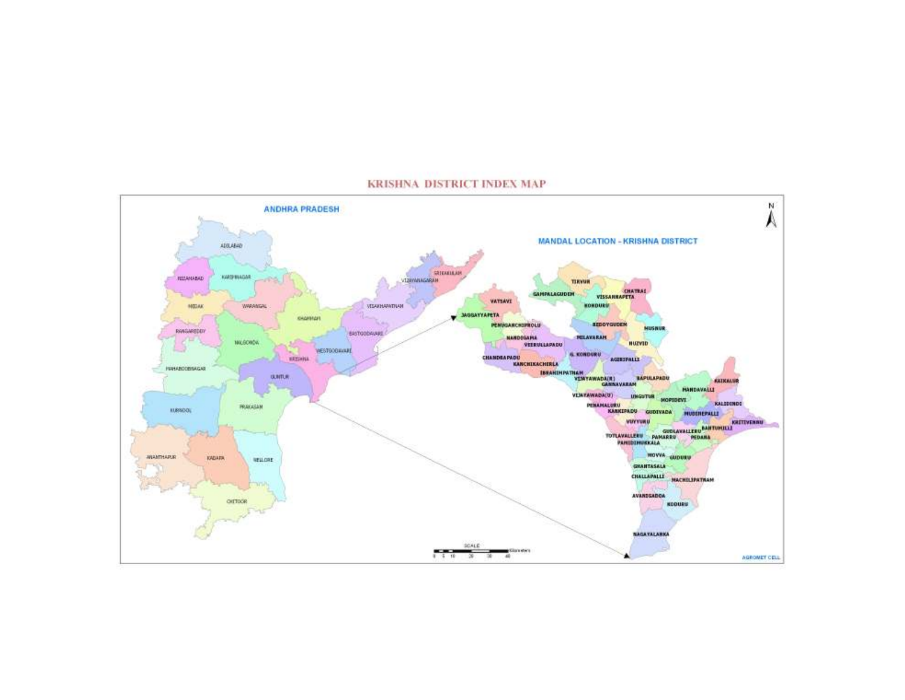

#### KRISHNA DISTRICT INDEX MAP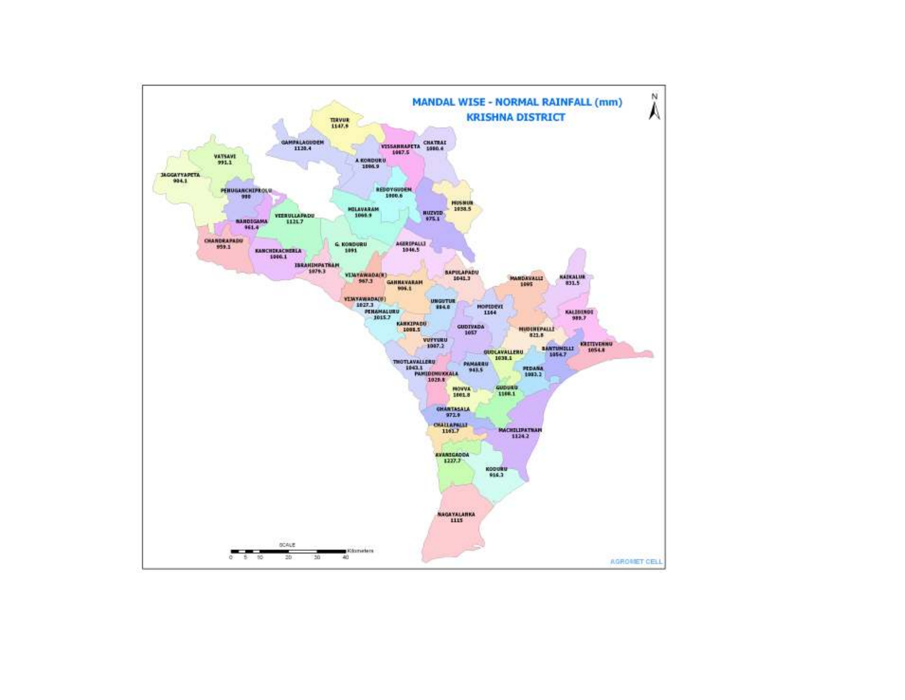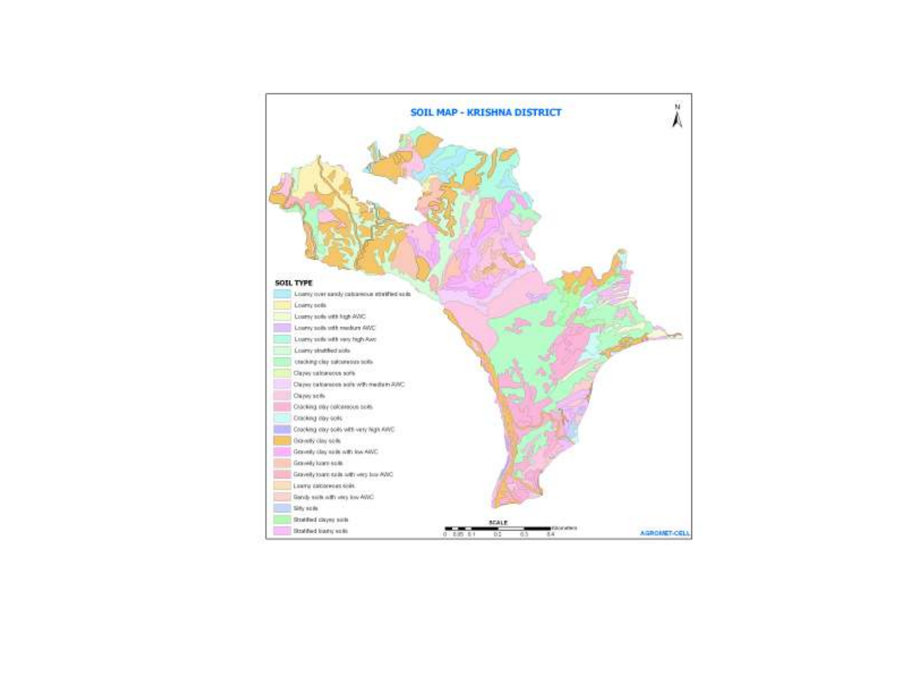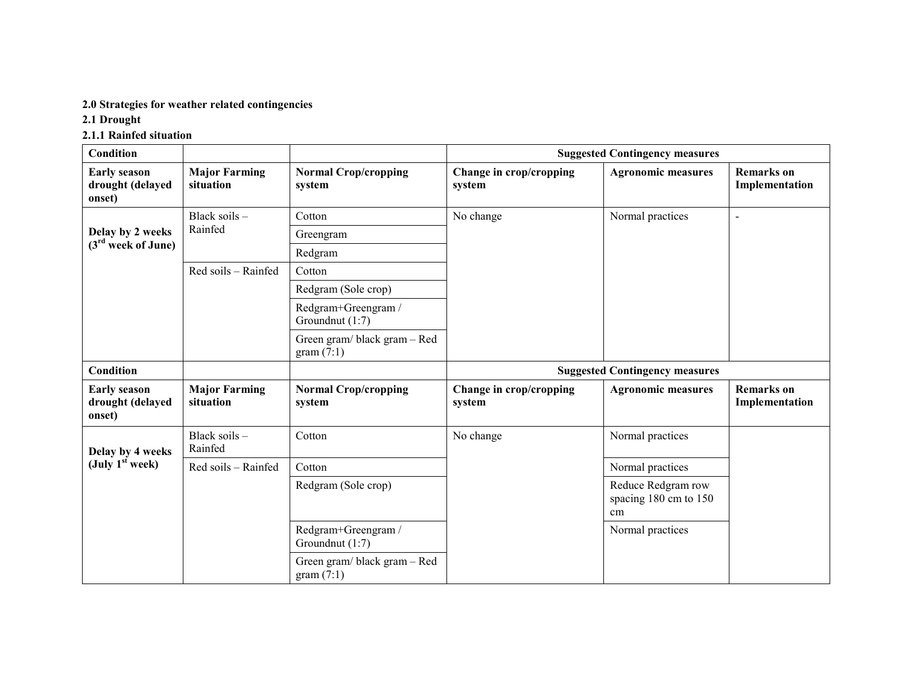#### 2.0 Strategies for weather related contingencies

#### 2.1 Drought

#### 2.1.1 Rainfed situation

| <b>Condition</b>                                  |                                   |                                          |                                   | <b>Suggested Contingency measures</b>             |                                     |
|---------------------------------------------------|-----------------------------------|------------------------------------------|-----------------------------------|---------------------------------------------------|-------------------------------------|
| <b>Early season</b><br>drought (delayed<br>onset) | <b>Major Farming</b><br>situation | <b>Normal Crop/cropping</b><br>system    | Change in crop/cropping<br>system | <b>Agronomic measures</b>                         | <b>Remarks</b> on<br>Implementation |
|                                                   | Black soils -                     | Cotton                                   | No change                         | Normal practices                                  | $\overline{a}$                      |
| Delay by 2 weeks                                  | Rainfed                           | Greengram                                |                                   |                                                   |                                     |
| $(3rd$ week of June)                              |                                   | Redgram                                  |                                   |                                                   |                                     |
|                                                   | Red soils - Rainfed               | Cotton                                   |                                   |                                                   |                                     |
|                                                   |                                   | Redgram (Sole crop)                      |                                   |                                                   |                                     |
|                                                   |                                   | Redgram+Greengram /<br>Groundnut (1:7)   |                                   |                                                   |                                     |
|                                                   |                                   | Green gram/black gram - Red<br>gram(7:1) |                                   |                                                   |                                     |
| <b>Condition</b>                                  |                                   |                                          |                                   | <b>Suggested Contingency measures</b>             |                                     |
| <b>Early season</b><br>drought (delayed<br>onset) | <b>Major Farming</b><br>situation | <b>Normal Crop/cropping</b><br>system    | Change in crop/cropping<br>system | <b>Agronomic measures</b>                         | <b>Remarks</b> on<br>Implementation |
| Delay by 4 weeks                                  | Black soils -<br>Rainfed          | Cotton                                   | No change                         | Normal practices                                  |                                     |
| (July $1st$ week)                                 | Red soils - Rainfed               | Cotton                                   |                                   | Normal practices                                  |                                     |
|                                                   |                                   | Redgram (Sole crop)                      |                                   | Reduce Redgram row<br>spacing 180 cm to 150<br>cm |                                     |
|                                                   |                                   | Redgram+Greengram /<br>Groundnut (1:7)   |                                   | Normal practices                                  |                                     |
|                                                   |                                   | Green gram/black gram - Red<br>gram(7:1) |                                   |                                                   |                                     |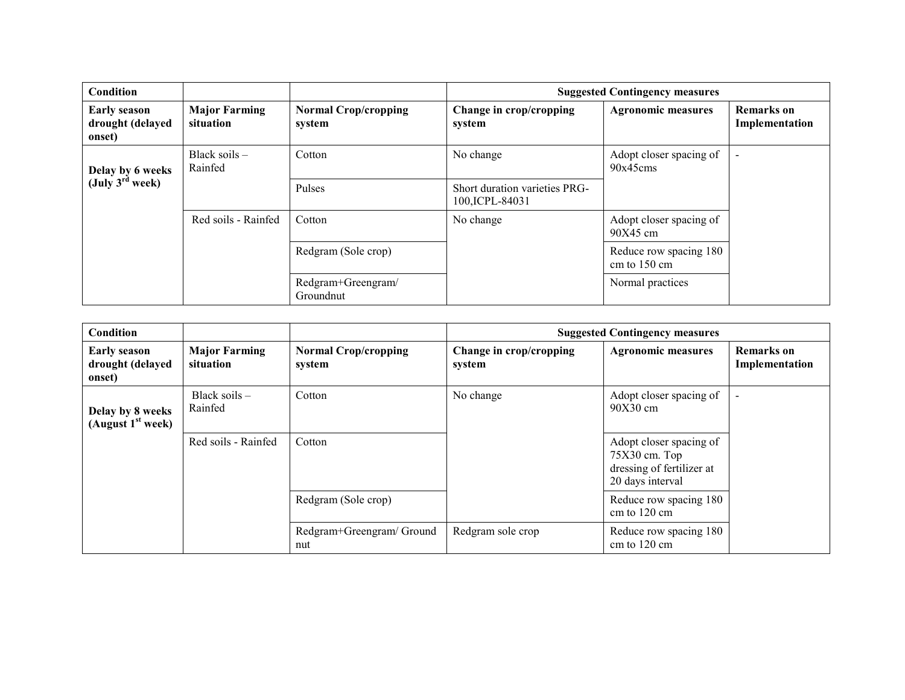| Condition                                         |                                   |                                       |                                                  | <b>Suggested Contingency measures</b>            |                                     |
|---------------------------------------------------|-----------------------------------|---------------------------------------|--------------------------------------------------|--------------------------------------------------|-------------------------------------|
| <b>Early season</b><br>drought (delayed<br>onset) | <b>Major Farming</b><br>situation | <b>Normal Crop/cropping</b><br>system | Change in crop/cropping<br>system                | <b>Agronomic measures</b>                        | <b>Remarks</b> on<br>Implementation |
| Delay by 6 weeks<br>(July 3 <sup>rd</sup> week)   | Black soils -<br>Rainfed          | Cotton                                | No change                                        | Adopt closer spacing of<br>90x45cms              |                                     |
|                                                   |                                   | Pulses                                | Short duration varieties PRG-<br>100, ICPL-84031 |                                                  |                                     |
|                                                   | Red soils - Rainfed               | Cotton                                | No change                                        | Adopt closer spacing of<br>$90X45$ cm            |                                     |
|                                                   |                                   | Redgram (Sole crop)                   |                                                  | Reduce row spacing 180<br>cm to $150 \text{ cm}$ |                                     |
|                                                   |                                   | Redgram+Greengram/<br>Groundnut       |                                                  | Normal practices                                 |                                     |

| <b>Condition</b>                                  |                                   |                                       |                                   | <b>Suggested Contingency measures</b>                                                       |                                     |
|---------------------------------------------------|-----------------------------------|---------------------------------------|-----------------------------------|---------------------------------------------------------------------------------------------|-------------------------------------|
| <b>Early season</b><br>drought (delayed<br>onset) | <b>Major Farming</b><br>situation | <b>Normal Crop/cropping</b><br>system | Change in crop/cropping<br>system | <b>Agronomic measures</b>                                                                   | <b>Remarks</b> on<br>Implementation |
| Delay by 8 weeks<br>(August $1st$ week)           | Black soils $-$<br>Rainfed        | Cotton                                | No change                         | Adopt closer spacing of<br>$90X30$ cm                                                       | $\blacksquare$                      |
|                                                   | Red soils - Rainfed               | Cotton                                |                                   | Adopt closer spacing of<br>$75X30$ cm. Top<br>dressing of fertilizer at<br>20 days interval |                                     |
|                                                   |                                   | Redgram (Sole crop)                   |                                   | Reduce row spacing 180<br>cm to $120 \text{ cm}$                                            |                                     |
|                                                   |                                   | Redgram+Greengram/Ground<br>nut       | Redgram sole crop                 | Reduce row spacing 180<br>cm to $120 \text{ cm}$                                            |                                     |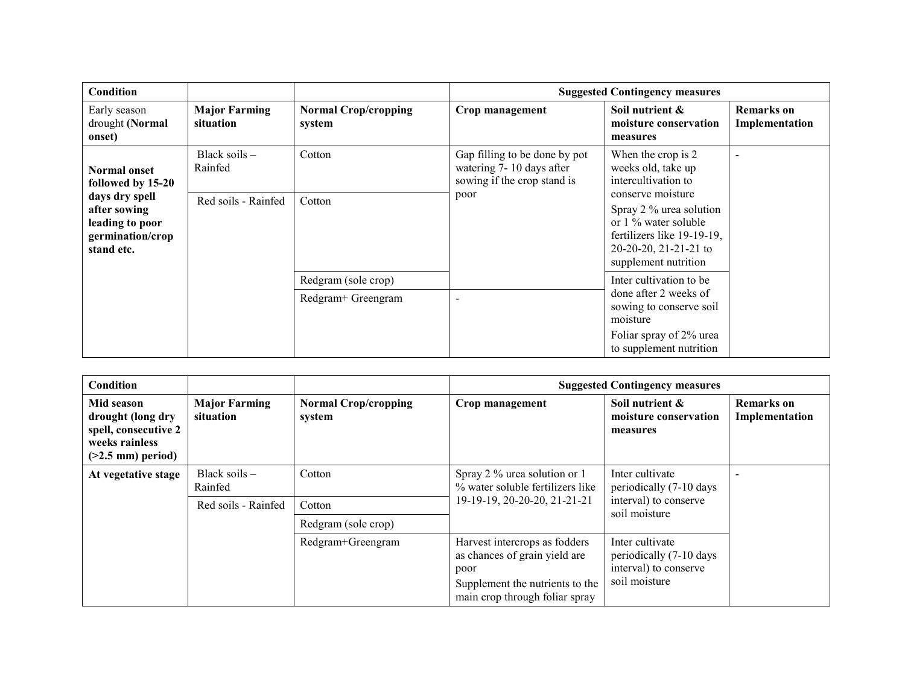| Condition                                                                           |                                   |                                       |                                                                                          | <b>Suggested Contingency measures</b>                                                                                                               |                                     |
|-------------------------------------------------------------------------------------|-----------------------------------|---------------------------------------|------------------------------------------------------------------------------------------|-----------------------------------------------------------------------------------------------------------------------------------------------------|-------------------------------------|
| Early season<br>drought (Normal<br>onset)                                           | <b>Major Farming</b><br>situation | <b>Normal Crop/cropping</b><br>system | Crop management                                                                          | Soil nutrient &<br>moisture conservation<br>measures                                                                                                | <b>Remarks</b> on<br>Implementation |
| <b>Normal onset</b><br>followed by 15-20                                            | Black soils $-$<br>Rainfed        | Cotton                                | Gap filling to be done by pot<br>watering 7-10 days after<br>sowing if the crop stand is | When the crop is 2<br>weeks old, take up<br>intercultivation to                                                                                     | $\sim$                              |
| days dry spell<br>after sowing<br>leading to poor<br>germination/crop<br>stand etc. | Red soils - Rainfed               | Cotton                                | poor                                                                                     | conserve moisture<br>Spray 2 % urea solution<br>or 1 % water soluble<br>fertilizers like 19-19-19,<br>20-20-20, 21-21-21 to<br>supplement nutrition |                                     |
|                                                                                     |                                   | Redgram (sole crop)                   |                                                                                          | Inter cultivation to be<br>done after 2 weeks of<br>sowing to conserve soil<br>moisture                                                             |                                     |
|                                                                                     |                                   | Redgram+ Greengram                    | ۰                                                                                        |                                                                                                                                                     |                                     |
|                                                                                     |                                   |                                       |                                                                                          | Foliar spray of 2% urea<br>to supplement nutrition                                                                                                  |                                     |

| <b>Condition</b>                                                                                  |                                   |                                       |                                                                                                                                             | <b>Suggested Contingency measures</b>                                                |                                     |  |
|---------------------------------------------------------------------------------------------------|-----------------------------------|---------------------------------------|---------------------------------------------------------------------------------------------------------------------------------------------|--------------------------------------------------------------------------------------|-------------------------------------|--|
| Mid season<br>drought (long dry<br>spell, consecutive 2<br>weeks rainless<br>$($ >2.5 mm) period) | <b>Major Farming</b><br>situation | <b>Normal Crop/cropping</b><br>system | Crop management                                                                                                                             | Soil nutrient &<br>moisture conservation<br>measures                                 | <b>Remarks</b> on<br>Implementation |  |
| At vegetative stage                                                                               | Black soils $-$<br>Rainfed        | Cotton                                | Spray 2 % urea solution or 1<br>% water soluble fertilizers like                                                                            | Inter cultivate<br>periodically (7-10 days                                           |                                     |  |
|                                                                                                   | Red soils - Rainfed               | Cotton                                | 19-19-19, 20-20-20, 21-21-21                                                                                                                | interval) to conserve<br>soil moisture                                               |                                     |  |
|                                                                                                   |                                   | Redgram (sole crop)                   |                                                                                                                                             |                                                                                      |                                     |  |
|                                                                                                   |                                   | Redgram+Greengram                     | Harvest intercrops as fodders<br>as chances of grain yield are<br>poor<br>Supplement the nutrients to the<br>main crop through foliar spray | Inter cultivate<br>periodically (7-10 days<br>interval) to conserve<br>soil moisture |                                     |  |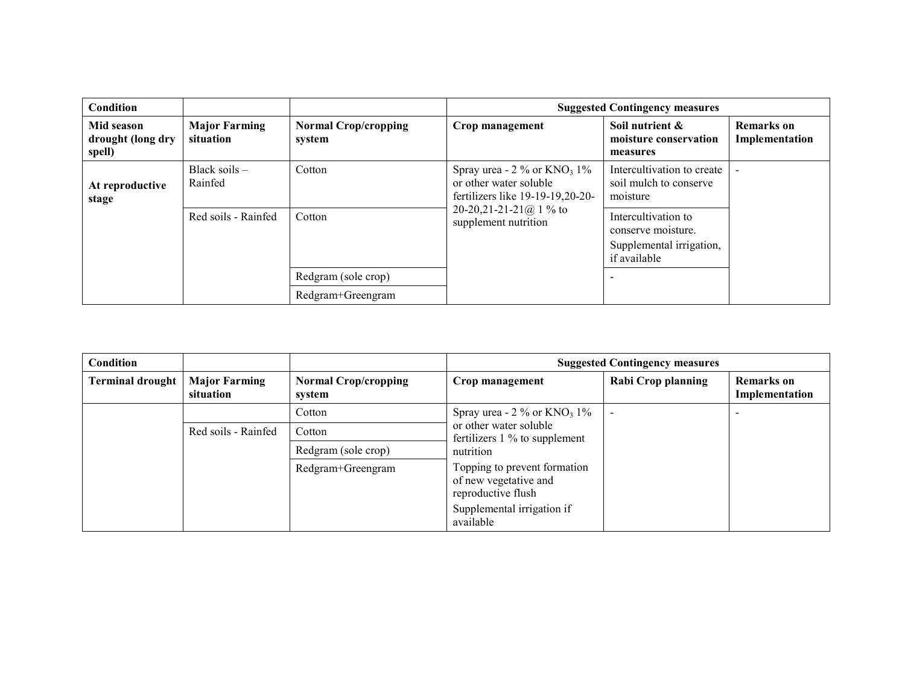| <b>Condition</b>                          |                                   |                                       |                                                                                                           | <b>Suggested Contingency measures</b>                                                 |                              |
|-------------------------------------------|-----------------------------------|---------------------------------------|-----------------------------------------------------------------------------------------------------------|---------------------------------------------------------------------------------------|------------------------------|
| Mid season<br>drought (long dry<br>spell) | <b>Major Farming</b><br>situation | <b>Normal Crop/cropping</b><br>system | Crop management                                                                                           | Soil nutrient &<br>moisture conservation<br>measures                                  | Remarks on<br>Implementation |
| At reproductive<br>stage                  | Black soils $-$<br>Rainfed        | Cotton                                | Spray urea - $2\%$ or KNO <sub>3</sub> 1%<br>or other water soluble<br>fertilizers like $19-19-19,20-20-$ | Intercultivation to create<br>soil mulch to conserve<br>moisture                      |                              |
|                                           | Red soils - Rainfed               | Cotton                                | 20-20,21-21-21@ 1 % to<br>supplement nutrition                                                            | Intercultivation to<br>conserve moisture.<br>Supplemental irrigation,<br>if available |                              |
|                                           |                                   | Redgram (sole crop)                   |                                                                                                           |                                                                                       |                              |
|                                           |                                   | Redgram+Greengram                     |                                                                                                           |                                                                                       |                              |

| Condition               |                                   |                                       |                                                                                               | <b>Suggested Contingency measures</b> |                                     |
|-------------------------|-----------------------------------|---------------------------------------|-----------------------------------------------------------------------------------------------|---------------------------------------|-------------------------------------|
| <b>Terminal drought</b> | <b>Major Farming</b><br>situation | <b>Normal Crop/cropping</b><br>system | Crop management                                                                               | <b>Rabi Crop planning</b>             | <b>Remarks</b> on<br>Implementation |
|                         |                                   | Cotton                                | Spray urea - $2\%$ or $KNO_3$ 1%<br>or other water soluble<br>fertilizers $1\%$ to supplement |                                       |                                     |
|                         | Red soils - Rainfed               | Cotton                                |                                                                                               |                                       |                                     |
|                         |                                   | Redgram (sole crop)                   | nutrition                                                                                     |                                       |                                     |
|                         |                                   | Redgram+Greengram                     | Topping to prevent formation<br>of new vegetative and<br>reproductive flush                   |                                       |                                     |
|                         |                                   |                                       | Supplemental irrigation if<br>available                                                       |                                       |                                     |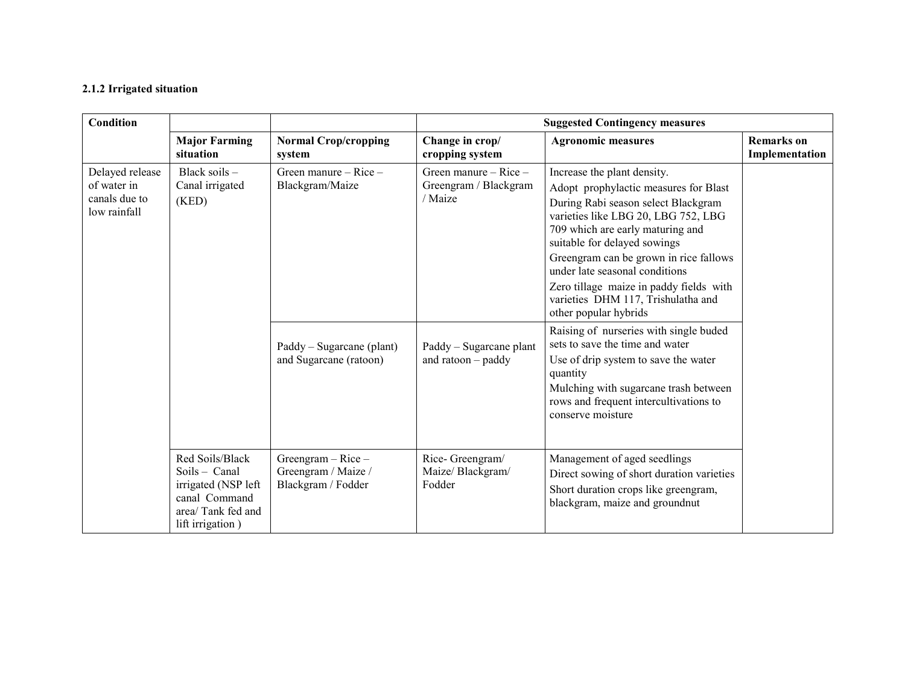#### 2.1.2 Irrigated situation

| <b>Condition</b>                                                |                                                                                                                   |                                                                     |                                                               | <b>Suggested Contingency measures</b>                                                                                                                                                                                                                                                                                                                                                                        |                                     |
|-----------------------------------------------------------------|-------------------------------------------------------------------------------------------------------------------|---------------------------------------------------------------------|---------------------------------------------------------------|--------------------------------------------------------------------------------------------------------------------------------------------------------------------------------------------------------------------------------------------------------------------------------------------------------------------------------------------------------------------------------------------------------------|-------------------------------------|
|                                                                 | <b>Major Farming</b><br>situation                                                                                 | <b>Normal Crop/cropping</b><br>system                               | Change in crop/<br>cropping system                            | <b>Agronomic measures</b>                                                                                                                                                                                                                                                                                                                                                                                    | <b>Remarks</b> on<br>Implementation |
| Delayed release<br>of water in<br>canals due to<br>low rainfall | Black soils $-$<br>Canal irrigated<br>(KED)                                                                       | Green manure $-$ Rice $-$<br>Blackgram/Maize                        | Green manure $-$ Rice $-$<br>Greengram / Blackgram<br>/ Maize | Increase the plant density.<br>Adopt prophylactic measures for Blast<br>During Rabi season select Blackgram<br>varieties like LBG 20, LBG 752, LBG<br>709 which are early maturing and<br>suitable for delayed sowings<br>Greengram can be grown in rice fallows<br>under late seasonal conditions<br>Zero tillage maize in paddy fields with<br>varieties DHM 117, Trishulatha and<br>other popular hybrids |                                     |
|                                                                 |                                                                                                                   | Paddy – Sugarcane (plant)<br>and Sugarcane (ratoon)                 | Paddy – Sugarcane plant<br>and $ratoon - paddy$               | Raising of nurseries with single buded<br>sets to save the time and water<br>Use of drip system to save the water<br>quantity<br>Mulching with sugarcane trash between<br>rows and frequent intercultivations to<br>conserve moisture                                                                                                                                                                        |                                     |
|                                                                 | Red Soils/Black<br>Soils - Canal<br>irrigated (NSP left<br>canal Command<br>area/Tank fed and<br>lift irrigation) | Greengram $-$ Rice $-$<br>Greengram / Maize /<br>Blackgram / Fodder | Rice-Greengram/<br>Maize/Blackgram/<br>Fodder                 | Management of aged seedlings<br>Direct sowing of short duration varieties<br>Short duration crops like greengram,<br>blackgram, maize and groundnut                                                                                                                                                                                                                                                          |                                     |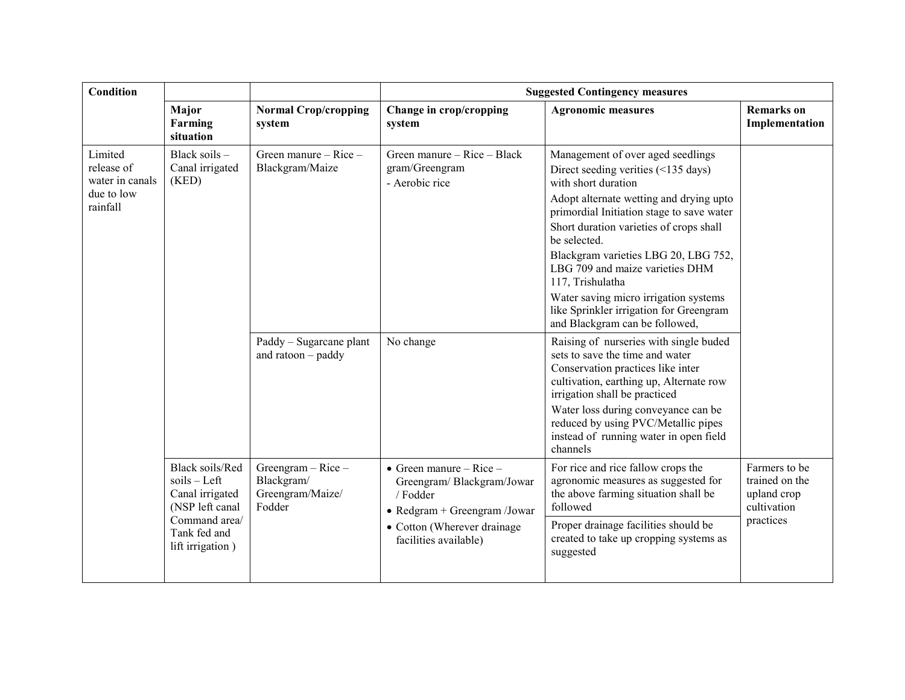| Condition                                                          |                                                                                                                                      |                                                                    | <b>Suggested Contingency measures</b>                                                                                                                                     |                                                                                                                                                                                                                                                                                                                                                                                                                                                                         |                                                                            |  |
|--------------------------------------------------------------------|--------------------------------------------------------------------------------------------------------------------------------------|--------------------------------------------------------------------|---------------------------------------------------------------------------------------------------------------------------------------------------------------------------|-------------------------------------------------------------------------------------------------------------------------------------------------------------------------------------------------------------------------------------------------------------------------------------------------------------------------------------------------------------------------------------------------------------------------------------------------------------------------|----------------------------------------------------------------------------|--|
|                                                                    | Major<br>Farming<br>situation                                                                                                        | <b>Normal Crop/cropping</b><br>system                              | Change in crop/cropping<br>system                                                                                                                                         | <b>Agronomic measures</b>                                                                                                                                                                                                                                                                                                                                                                                                                                               | <b>Remarks</b> on<br>Implementation                                        |  |
| Limited<br>release of<br>water in canals<br>due to low<br>rainfall | Black soils -<br>Canal irrigated<br>(KED)                                                                                            | Green manure – Rice –<br>Blackgram/Maize                           | Green manure – Rice – Black<br>gram/Greengram<br>- Aerobic rice                                                                                                           | Management of over aged seedlings<br>Direct seeding verities (<135 days)<br>with short duration<br>Adopt alternate wetting and drying upto<br>primordial Initiation stage to save water<br>Short duration varieties of crops shall<br>be selected.<br>Blackgram varieties LBG 20, LBG 752,<br>LBG 709 and maize varieties DHM<br>117, Trishulatha<br>Water saving micro irrigation systems<br>like Sprinkler irrigation for Greengram<br>and Blackgram can be followed, |                                                                            |  |
|                                                                    |                                                                                                                                      | Paddy - Sugarcane plant<br>and $ratoon - paddy$                    | No change                                                                                                                                                                 | Raising of nurseries with single buded<br>sets to save the time and water<br>Conservation practices like inter<br>cultivation, earthing up, Alternate row<br>irrigation shall be practiced<br>Water loss during conveyance can be<br>reduced by using PVC/Metallic pipes<br>instead of running water in open field<br>channels                                                                                                                                          |                                                                            |  |
|                                                                    | <b>Black soils/Red</b><br>$s$ oils – Left<br>Canal irrigated<br>(NSP left canal<br>Command area/<br>Tank fed and<br>lift irrigation) | Greengram $-$ Rice $-$<br>Blackgram/<br>Greengram/Maize/<br>Fodder | $\bullet$ Green manure – Rice –<br>Greengram/Blackgram/Jowar<br>/ Fodder<br>$\bullet$ Redgram + Greengram /Jowar<br>• Cotton (Wherever drainage)<br>facilities available) | For rice and rice fallow crops the<br>agronomic measures as suggested for<br>the above farming situation shall be<br>followed<br>Proper drainage facilities should be<br>created to take up cropping systems as<br>suggested                                                                                                                                                                                                                                            | Farmers to be<br>trained on the<br>upland crop<br>cultivation<br>practices |  |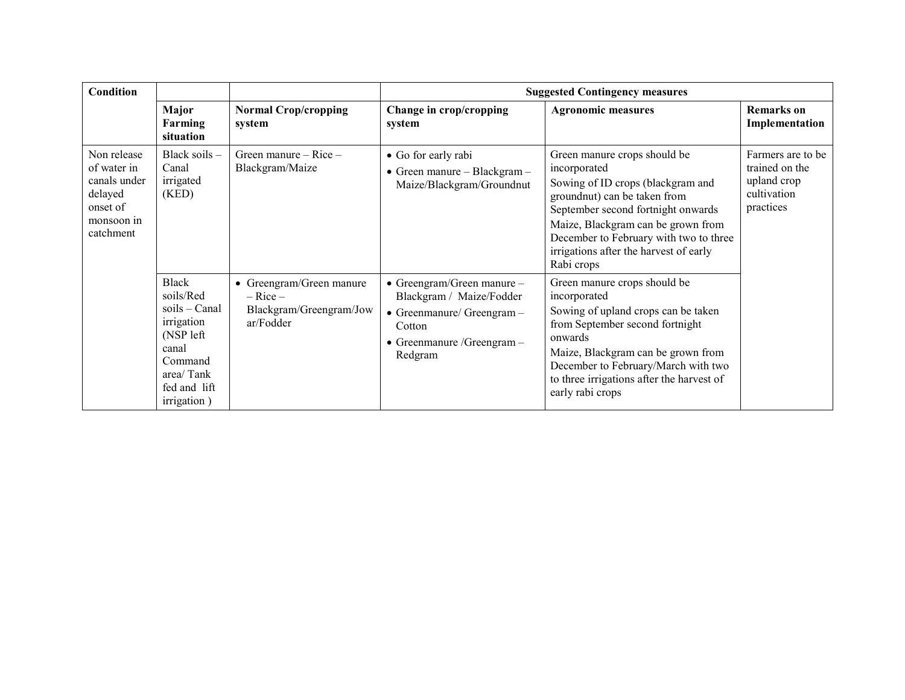| Condition                                                                                    |                                                                                                                                    |                                                                                  |                                                                                                                                                           | <b>Suggested Contingency measures</b>                                                                                                                                                                                                                                                           |                                                                                 |
|----------------------------------------------------------------------------------------------|------------------------------------------------------------------------------------------------------------------------------------|----------------------------------------------------------------------------------|-----------------------------------------------------------------------------------------------------------------------------------------------------------|-------------------------------------------------------------------------------------------------------------------------------------------------------------------------------------------------------------------------------------------------------------------------------------------------|---------------------------------------------------------------------------------|
|                                                                                              | Major<br>Farming<br>situation                                                                                                      | <b>Normal Crop/cropping</b><br>system                                            | Change in crop/cropping<br>system                                                                                                                         | <b>Agronomic measures</b>                                                                                                                                                                                                                                                                       | <b>Remarks</b> on<br>Implementation                                             |
| Non release<br>of water in<br>canals under<br>delayed<br>onset of<br>monsoon in<br>catchment | Black soils $-$<br>Canal<br>irrigated<br>(KED)                                                                                     | Green manure $-$ Rice $-$<br>Blackgram/Maize                                     | • Go for early rabi<br>• Green manure – Blackgram –<br>Maize/Blackgram/Groundnut                                                                          | Green manure crops should be<br>incorporated<br>Sowing of ID crops (blackgram and<br>groundnut) can be taken from<br>September second fortnight onwards<br>Maize, Blackgram can be grown from<br>December to February with two to three<br>irrigations after the harvest of early<br>Rabi crops | Farmers are to be.<br>trained on the<br>upland crop<br>cultivation<br>practices |
|                                                                                              | Black<br>soils/Red<br>$s$ oils – Canal<br>irrigation<br>(NSP left)<br>canal<br>Command<br>area/Tank<br>fed and lift<br>irrigation) | • Greengram/Green manure<br>$-$ Rice $-$<br>Blackgram/Greengram/Jow<br>ar/Fodder | $\bullet$ Greengram/Green manure -<br>Blackgram / Maize/Fodder<br>$\bullet$ Greenmanure/Greengram -<br>Cotton<br>• Greenmanure / Greengram $-$<br>Redgram | Green manure crops should be<br>incorporated<br>Sowing of upland crops can be taken<br>from September second fortnight<br>onwards<br>Maize, Blackgram can be grown from<br>December to February/March with two<br>to three irrigations after the harvest of<br>early rabi crops                 |                                                                                 |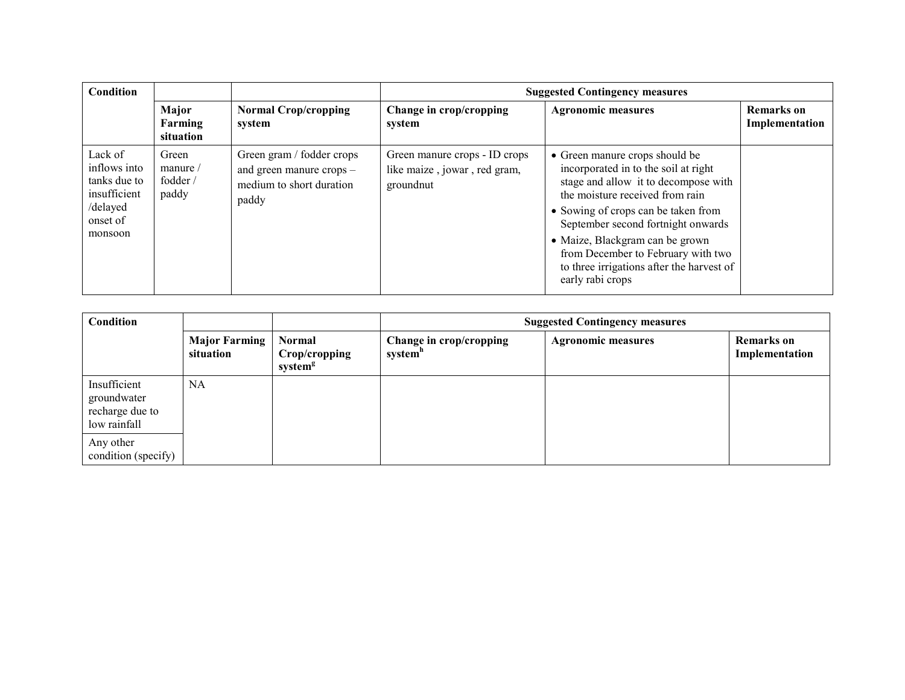| Condition                                                                                  |                                                 |                                                                                            | <b>Suggested Contingency measures</b>                                      |                                                                                                                                                                                                                                                                                                                                                                          |                              |
|--------------------------------------------------------------------------------------------|-------------------------------------------------|--------------------------------------------------------------------------------------------|----------------------------------------------------------------------------|--------------------------------------------------------------------------------------------------------------------------------------------------------------------------------------------------------------------------------------------------------------------------------------------------------------------------------------------------------------------------|------------------------------|
|                                                                                            | Major<br>Farming<br>situation                   | <b>Normal Crop/cropping</b><br>system                                                      | Change in crop/cropping<br>system                                          | <b>Agronomic measures</b>                                                                                                                                                                                                                                                                                                                                                | Remarks on<br>Implementation |
| Lack of<br>inflows into<br>tanks due to<br>insufficient<br>/delayed<br>onset of<br>monsoon | Green<br>manure $\sqrt{ }$<br>fodder /<br>paddy | Green gram / fodder crops<br>and green manure crops -<br>medium to short duration<br>paddy | Green manure crops - ID crops<br>like maize, jowar, red gram,<br>groundnut | • Green manure crops should be<br>incorporated in to the soil at right<br>stage and allow it to decompose with<br>the moisture received from rain<br>• Sowing of crops can be taken from<br>September second fortnight onwards<br>• Maize, Blackgram can be grown<br>from December to February with two<br>to three irrigations after the harvest of<br>early rabi crops |                              |

| Condition                                                      |                                   |                                                       | <b>Suggested Contingency measures</b> |                           |                                     |
|----------------------------------------------------------------|-----------------------------------|-------------------------------------------------------|---------------------------------------|---------------------------|-------------------------------------|
|                                                                | <b>Major Farming</b><br>situation | <b>Normal</b><br>Crop/cropping<br>system <sup>g</sup> | Change in crop/cropping<br>system"    | <b>Agronomic measures</b> | <b>Remarks</b> on<br>Implementation |
| Insufficient<br>groundwater<br>recharge due to<br>low rainfall | <b>NA</b>                         |                                                       |                                       |                           |                                     |
| Any other<br>condition (specify)                               |                                   |                                                       |                                       |                           |                                     |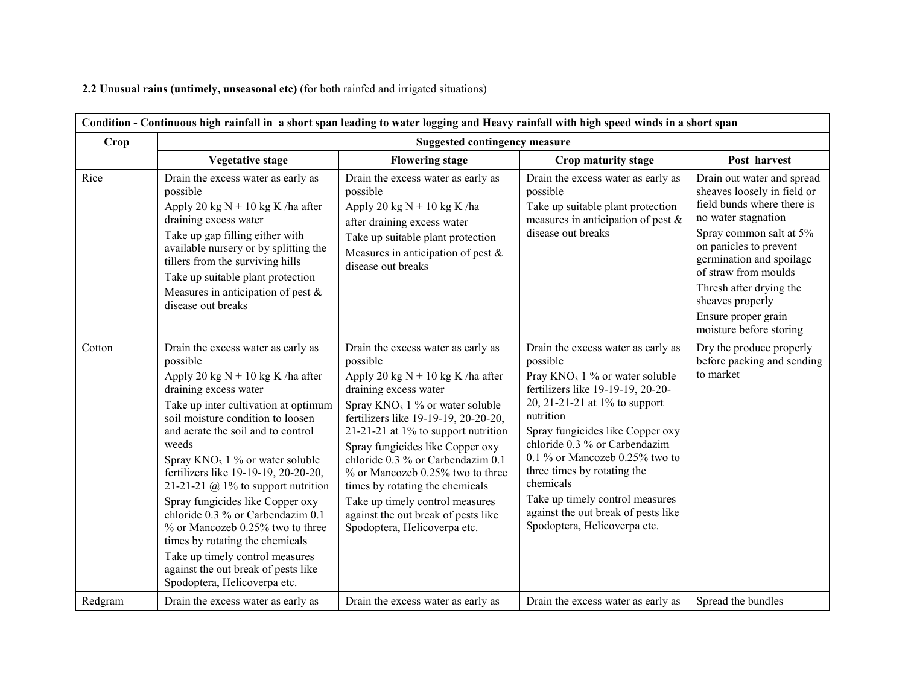2.2 Unusual rains (untimely, unseasonal etc) (for both rainfed and irrigated situations)

| Condition - Continuous high rainfall in a short span leading to water logging and Heavy rainfall with high speed winds in a short span |                                                                                                                                                                                                                                                                                                                                                                                                                                                                                                                                                                                                                          |                                                                                                                                                                                                                                                                                                                                                                                                                                                                                                  |                                                                                                                                                                                                                                                                                                                                                                                                                                     |                                                                                                                                                                                                                                                                                                                          |  |  |
|----------------------------------------------------------------------------------------------------------------------------------------|--------------------------------------------------------------------------------------------------------------------------------------------------------------------------------------------------------------------------------------------------------------------------------------------------------------------------------------------------------------------------------------------------------------------------------------------------------------------------------------------------------------------------------------------------------------------------------------------------------------------------|--------------------------------------------------------------------------------------------------------------------------------------------------------------------------------------------------------------------------------------------------------------------------------------------------------------------------------------------------------------------------------------------------------------------------------------------------------------------------------------------------|-------------------------------------------------------------------------------------------------------------------------------------------------------------------------------------------------------------------------------------------------------------------------------------------------------------------------------------------------------------------------------------------------------------------------------------|--------------------------------------------------------------------------------------------------------------------------------------------------------------------------------------------------------------------------------------------------------------------------------------------------------------------------|--|--|
| Crop                                                                                                                                   | <b>Suggested contingency measure</b>                                                                                                                                                                                                                                                                                                                                                                                                                                                                                                                                                                                     |                                                                                                                                                                                                                                                                                                                                                                                                                                                                                                  |                                                                                                                                                                                                                                                                                                                                                                                                                                     |                                                                                                                                                                                                                                                                                                                          |  |  |
|                                                                                                                                        | <b>Vegetative stage</b>                                                                                                                                                                                                                                                                                                                                                                                                                                                                                                                                                                                                  | <b>Flowering stage</b>                                                                                                                                                                                                                                                                                                                                                                                                                                                                           | Crop maturity stage                                                                                                                                                                                                                                                                                                                                                                                                                 | Post harvest                                                                                                                                                                                                                                                                                                             |  |  |
| Rice                                                                                                                                   | Drain the excess water as early as<br>possible<br>Apply 20 kg $N + 10$ kg K /ha after<br>draining excess water<br>Take up gap filling either with<br>available nursery or by splitting the<br>tillers from the surviving hills<br>Take up suitable plant protection<br>Measures in anticipation of pest $\&$<br>disease out breaks                                                                                                                                                                                                                                                                                       | Drain the excess water as early as<br>possible<br>Apply 20 kg $N + 10$ kg K /ha<br>after draining excess water<br>Take up suitable plant protection<br>Measures in anticipation of pest $\&$<br>disease out breaks                                                                                                                                                                                                                                                                               | Drain the excess water as early as<br>possible<br>Take up suitable plant protection<br>measures in anticipation of pest $\&$<br>disease out breaks                                                                                                                                                                                                                                                                                  | Drain out water and spread<br>sheaves loosely in field or<br>field bunds where there is<br>no water stagnation<br>Spray common salt at 5%<br>on panicles to prevent<br>germination and spoilage<br>of straw from moulds<br>Thresh after drying the<br>sheaves properly<br>Ensure proper grain<br>moisture before storing |  |  |
| Cotton                                                                                                                                 | Drain the excess water as early as<br>possible<br>Apply 20 kg $N + 10$ kg K /ha after<br>draining excess water<br>Take up inter cultivation at optimum<br>soil moisture condition to loosen<br>and aerate the soil and to control<br>weeds<br>Spray $KNO_3$ 1 % or water soluble<br>fertilizers like 19-19-19, 20-20-20,<br>21-21-21 @ 1% to support nutrition<br>Spray fungicides like Copper oxy<br>chloride 0.3 % or Carbendazim 0.1<br>% or Mancozeb 0.25% two to three<br>times by rotating the chemicals<br>Take up timely control measures<br>against the out break of pests like<br>Spodoptera, Helicoverpa etc. | Drain the excess water as early as<br>possible<br>Apply 20 kg $N + 10$ kg K /ha after<br>draining excess water<br>Spray $KNO_3$ 1 % or water soluble<br>fertilizers like 19-19-19, 20-20-20,<br>21-21-21 at $1\%$ to support nutrition<br>Spray fungicides like Copper oxy<br>chloride 0.3 % or Carbendazim 0.1<br>% or Mancozeb 0.25% two to three<br>times by rotating the chemicals<br>Take up timely control measures<br>against the out break of pests like<br>Spodoptera, Helicoverpa etc. | Drain the excess water as early as<br>possible<br>Pray $KNO_3$ 1 % or water soluble<br>fertilizers like 19-19-19, 20-20-<br>20, 21-21-21 at 1% to support<br>nutrition<br>Spray fungicides like Copper oxy<br>chloride 0.3 % or Carbendazim<br>0.1 % or Mancozeb 0.25% two to<br>three times by rotating the<br>chemicals<br>Take up timely control measures<br>against the out break of pests like<br>Spodoptera, Helicoverpa etc. | Dry the produce properly<br>before packing and sending<br>to market                                                                                                                                                                                                                                                      |  |  |
| Redgram                                                                                                                                | Drain the excess water as early as                                                                                                                                                                                                                                                                                                                                                                                                                                                                                                                                                                                       | Drain the excess water as early as                                                                                                                                                                                                                                                                                                                                                                                                                                                               | Drain the excess water as early as                                                                                                                                                                                                                                                                                                                                                                                                  | Spread the bundles                                                                                                                                                                                                                                                                                                       |  |  |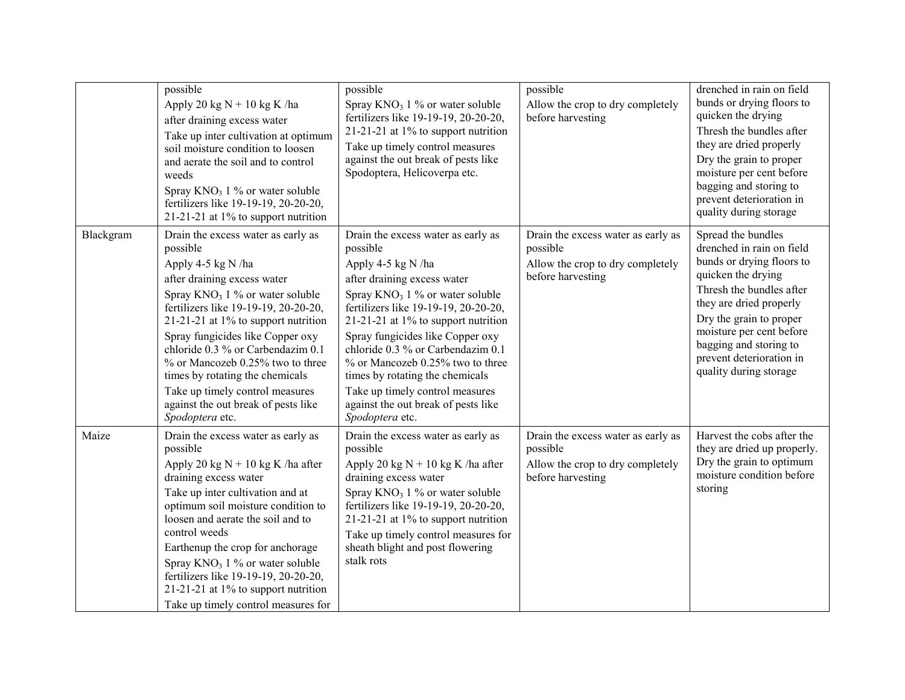|           | possible<br>Apply 20 kg $N + 10$ kg K /ha<br>after draining excess water<br>Take up inter cultivation at optimum<br>soil moisture condition to loosen<br>and aerate the soil and to control<br>weeds<br>Spray $KNO_3$ 1 % or water soluble<br>fertilizers like 19-19-19, 20-20-20,<br>21-21-21 at $1\%$ to support nutrition                                                                                                                                          | possible<br>Spray $KNO_3$ 1 % or water soluble<br>fertilizers like 19-19-19, 20-20-20,<br>21-21-21 at $1\%$ to support nutrition<br>Take up timely control measures<br>against the out break of pests like<br>Spodoptera, Helicoverpa etc.                                                                                                                                                                                                                            | possible<br>Allow the crop to dry completely<br>before harvesting                                       | drenched in rain on field<br>bunds or drying floors to<br>quicken the drying<br>Thresh the bundles after<br>they are dried properly<br>Dry the grain to proper<br>moisture per cent before<br>bagging and storing to<br>prevent deterioration in<br>quality during storage                       |
|-----------|-----------------------------------------------------------------------------------------------------------------------------------------------------------------------------------------------------------------------------------------------------------------------------------------------------------------------------------------------------------------------------------------------------------------------------------------------------------------------|-----------------------------------------------------------------------------------------------------------------------------------------------------------------------------------------------------------------------------------------------------------------------------------------------------------------------------------------------------------------------------------------------------------------------------------------------------------------------|---------------------------------------------------------------------------------------------------------|--------------------------------------------------------------------------------------------------------------------------------------------------------------------------------------------------------------------------------------------------------------------------------------------------|
| Blackgram | Drain the excess water as early as<br>possible<br>Apply 4-5 kg N /ha<br>after draining excess water<br>Spray $KNO_3$ 1 % or water soluble<br>fertilizers like 19-19-19, 20-20-20,<br>21-21-21 at 1% to support nutrition<br>Spray fungicides like Copper oxy<br>chloride 0.3 % or Carbendazim 0.1<br>% or Mancozeb 0.25% two to three<br>times by rotating the chemicals<br>Take up timely control measures<br>against the out break of pests like<br>Spodoptera etc. | Drain the excess water as early as<br>possible<br>Apply 4-5 kg N /ha<br>after draining excess water<br>Spray $KNO_3$ 1 % or water soluble<br>fertilizers like 19-19-19, 20-20-20,<br>21-21-21 at 1% to support nutrition<br>Spray fungicides like Copper oxy<br>chloride 0.3 % or Carbendazim 0.1<br>% or Mancozeb 0.25% two to three<br>times by rotating the chemicals<br>Take up timely control measures<br>against the out break of pests like<br>Spodoptera etc. | Drain the excess water as early as<br>possible<br>Allow the crop to dry completely<br>before harvesting | Spread the bundles<br>drenched in rain on field<br>bunds or drying floors to<br>quicken the drying<br>Thresh the bundles after<br>they are dried properly<br>Dry the grain to proper<br>moisture per cent before<br>bagging and storing to<br>prevent deterioration in<br>quality during storage |
| Maize     | Drain the excess water as early as<br>possible<br>Apply 20 kg $N + 10$ kg K /ha after<br>draining excess water<br>Take up inter cultivation and at<br>optimum soil moisture condition to<br>loosen and aerate the soil and to<br>control weeds<br>Earthenup the crop for anchorage<br>Spray $KNO_3$ 1 % or water soluble<br>fertilizers like 19-19-19, 20-20-20,<br>21-21-21 at 1% to support nutrition<br>Take up timely control measures for                        | Drain the excess water as early as<br>possible<br>Apply 20 kg $N + 10$ kg K /ha after<br>draining excess water<br>Spray $KNO_3$ 1 % or water soluble<br>fertilizers like 19-19-19, 20-20-20,<br>21-21-21 at 1% to support nutrition<br>Take up timely control measures for<br>sheath blight and post flowering<br>stalk rots                                                                                                                                          | Drain the excess water as early as<br>possible<br>Allow the crop to dry completely<br>before harvesting | Harvest the cobs after the<br>they are dried up properly.<br>Dry the grain to optimum<br>moisture condition before<br>storing                                                                                                                                                                    |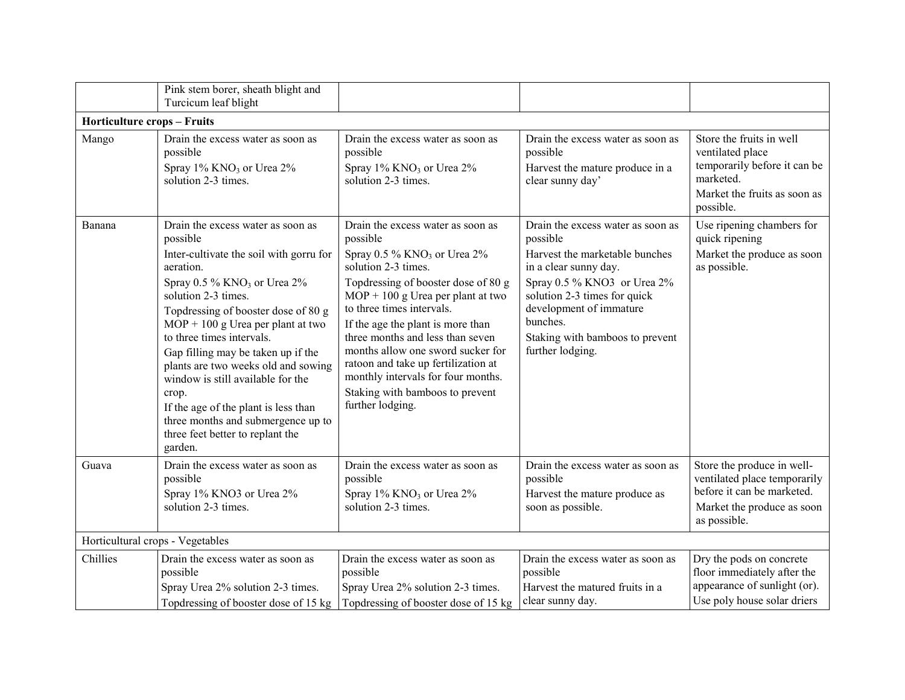|                                    | Pink stem borer, sheath blight and<br>Turcicum leaf blight                                                                                                                                                                                                                                                                                                                                                                                                                                                                                      |                                                                                                                                                                                                                                                                                                                                                                                                                                                                              |                                                                                                                                                                                                                                                                       |                                                                                                                                        |
|------------------------------------|-------------------------------------------------------------------------------------------------------------------------------------------------------------------------------------------------------------------------------------------------------------------------------------------------------------------------------------------------------------------------------------------------------------------------------------------------------------------------------------------------------------------------------------------------|------------------------------------------------------------------------------------------------------------------------------------------------------------------------------------------------------------------------------------------------------------------------------------------------------------------------------------------------------------------------------------------------------------------------------------------------------------------------------|-----------------------------------------------------------------------------------------------------------------------------------------------------------------------------------------------------------------------------------------------------------------------|----------------------------------------------------------------------------------------------------------------------------------------|
| <b>Horticulture crops - Fruits</b> |                                                                                                                                                                                                                                                                                                                                                                                                                                                                                                                                                 |                                                                                                                                                                                                                                                                                                                                                                                                                                                                              |                                                                                                                                                                                                                                                                       |                                                                                                                                        |
| Mango                              | Drain the excess water as soon as<br>possible<br>Spray 1% KNO <sub>3</sub> or Urea 2%<br>solution 2-3 times.                                                                                                                                                                                                                                                                                                                                                                                                                                    | Drain the excess water as soon as<br>possible<br>Spray 1% KNO <sub>3</sub> or Urea 2%<br>solution 2-3 times.                                                                                                                                                                                                                                                                                                                                                                 | Drain the excess water as soon as<br>possible<br>Harvest the mature produce in a<br>clear sunny day'                                                                                                                                                                  | Store the fruits in well<br>ventilated place<br>temporarily before it can be<br>marketed.<br>Market the fruits as soon as<br>possible. |
| Banana                             | Drain the excess water as soon as<br>possible<br>Inter-cultivate the soil with gorru for<br>aeration.<br>Spray $0.5\%$ KNO <sub>3</sub> or Urea $2\%$<br>solution 2-3 times.<br>Topdressing of booster dose of 80 g<br>$MOP + 100$ g Urea per plant at two<br>to three times intervals.<br>Gap filling may be taken up if the<br>plants are two weeks old and sowing<br>window is still available for the<br>crop.<br>If the age of the plant is less than<br>three months and submergence up to<br>three feet better to replant the<br>garden. | Drain the excess water as soon as<br>possible<br>Spray 0.5 % KNO <sub>3</sub> or Urea 2%<br>solution 2-3 times.<br>Topdressing of booster dose of 80 g<br>$MOP + 100$ g Urea per plant at two<br>to three times intervals.<br>If the age the plant is more than<br>three months and less than seven<br>months allow one sword sucker for<br>ratoon and take up fertilization at<br>monthly intervals for four months.<br>Staking with bamboos to prevent<br>further lodging. | Drain the excess water as soon as<br>possible<br>Harvest the marketable bunches<br>in a clear sunny day.<br>Spray 0.5 % KNO3 or Urea 2%<br>solution 2-3 times for quick<br>development of immature<br>bunches.<br>Staking with bamboos to prevent<br>further lodging. | Use ripening chambers for<br>quick ripening<br>Market the produce as soon<br>as possible.                                              |
| Guava                              | Drain the excess water as soon as<br>possible<br>Spray 1% KNO3 or Urea 2%<br>solution 2-3 times.                                                                                                                                                                                                                                                                                                                                                                                                                                                | Drain the excess water as soon as<br>possible<br>Spray 1% KNO <sub>3</sub> or Urea 2%<br>solution 2-3 times.                                                                                                                                                                                                                                                                                                                                                                 | Drain the excess water as soon as<br>possible<br>Harvest the mature produce as<br>soon as possible.                                                                                                                                                                   | Store the produce in well-<br>ventilated place temporarily<br>before it can be marketed.<br>Market the produce as soon<br>as possible. |
| Horticultural crops - Vegetables   |                                                                                                                                                                                                                                                                                                                                                                                                                                                                                                                                                 |                                                                                                                                                                                                                                                                                                                                                                                                                                                                              |                                                                                                                                                                                                                                                                       |                                                                                                                                        |
| Chillies                           | Drain the excess water as soon as<br>possible<br>Spray Urea 2% solution 2-3 times.<br>Topdressing of booster dose of 15 kg                                                                                                                                                                                                                                                                                                                                                                                                                      | Drain the excess water as soon as<br>possible<br>Spray Urea 2% solution 2-3 times.<br>Topdressing of booster dose of 15 kg                                                                                                                                                                                                                                                                                                                                                   | Drain the excess water as soon as<br>possible<br>Harvest the matured fruits in a<br>clear sunny day.                                                                                                                                                                  | Dry the pods on concrete<br>floor immediately after the<br>appearance of sunlight (or).<br>Use poly house solar driers                 |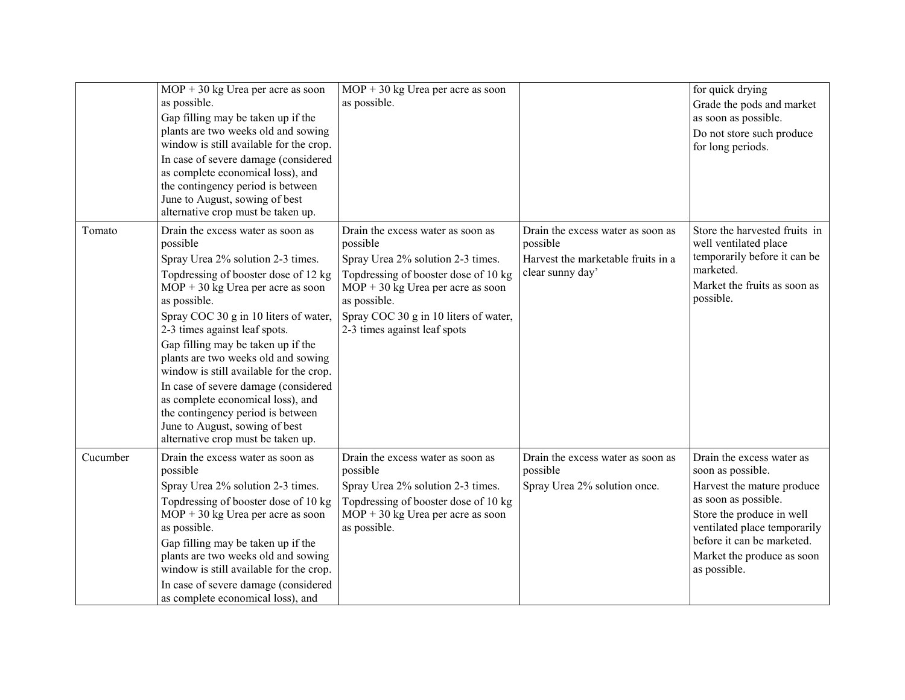|          | $MOP + 30$ kg Urea per acre as soon<br>as possible.<br>Gap filling may be taken up if the<br>plants are two weeks old and sowing<br>window is still available for the crop.<br>In case of severe damage (considered<br>as complete economical loss), and<br>the contingency period is between<br>June to August, sowing of best<br>alternative crop must be taken up.                                                                                                                                                                                                         | $MOP + 30$ kg Urea per acre as soon<br>as possible.                                                                                                                                                                                                        |                                                                                                         | for quick drying<br>Grade the pods and market<br>as soon as possible.<br>Do not store such produce<br>for long periods.                                                                                                                       |
|----------|-------------------------------------------------------------------------------------------------------------------------------------------------------------------------------------------------------------------------------------------------------------------------------------------------------------------------------------------------------------------------------------------------------------------------------------------------------------------------------------------------------------------------------------------------------------------------------|------------------------------------------------------------------------------------------------------------------------------------------------------------------------------------------------------------------------------------------------------------|---------------------------------------------------------------------------------------------------------|-----------------------------------------------------------------------------------------------------------------------------------------------------------------------------------------------------------------------------------------------|
| Tomato   | Drain the excess water as soon as<br>possible<br>Spray Urea 2% solution 2-3 times.<br>Topdressing of booster dose of 12 kg<br>$MOP + 30$ kg Urea per acre as soon<br>as possible.<br>Spray COC 30 g in 10 liters of water,<br>2-3 times against leaf spots.<br>Gap filling may be taken up if the<br>plants are two weeks old and sowing<br>window is still available for the crop.<br>In case of severe damage (considered<br>as complete economical loss), and<br>the contingency period is between<br>June to August, sowing of best<br>alternative crop must be taken up. | Drain the excess water as soon as<br>possible<br>Spray Urea 2% solution 2-3 times.<br>Topdressing of booster dose of 10 kg<br>$MOP + 30$ kg Urea per acre as soon<br>as possible.<br>Spray COC 30 g in 10 liters of water,<br>2-3 times against leaf spots | Drain the excess water as soon as<br>possible<br>Harvest the marketable fruits in a<br>clear sunny day' | Store the harvested fruits in<br>well ventilated place<br>temporarily before it can be<br>marketed.<br>Market the fruits as soon as<br>possible.                                                                                              |
| Cucumber | Drain the excess water as soon as<br>possible<br>Spray Urea 2% solution 2-3 times.<br>Topdressing of booster dose of 10 kg<br>$MOP + 30$ kg Urea per acre as soon<br>as possible.<br>Gap filling may be taken up if the<br>plants are two weeks old and sowing<br>window is still available for the crop.<br>In case of severe damage (considered<br>as complete economical loss), and                                                                                                                                                                                        | Drain the excess water as soon as<br>possible<br>Spray Urea 2% solution 2-3 times.<br>Topdressing of booster dose of 10 kg<br>$MOP + 30$ kg Urea per acre as soon<br>as possible.                                                                          | Drain the excess water as soon as<br>possible<br>Spray Urea 2% solution once.                           | Drain the excess water as<br>soon as possible.<br>Harvest the mature produce<br>as soon as possible.<br>Store the produce in well<br>ventilated place temporarily<br>before it can be marketed.<br>Market the produce as soon<br>as possible. |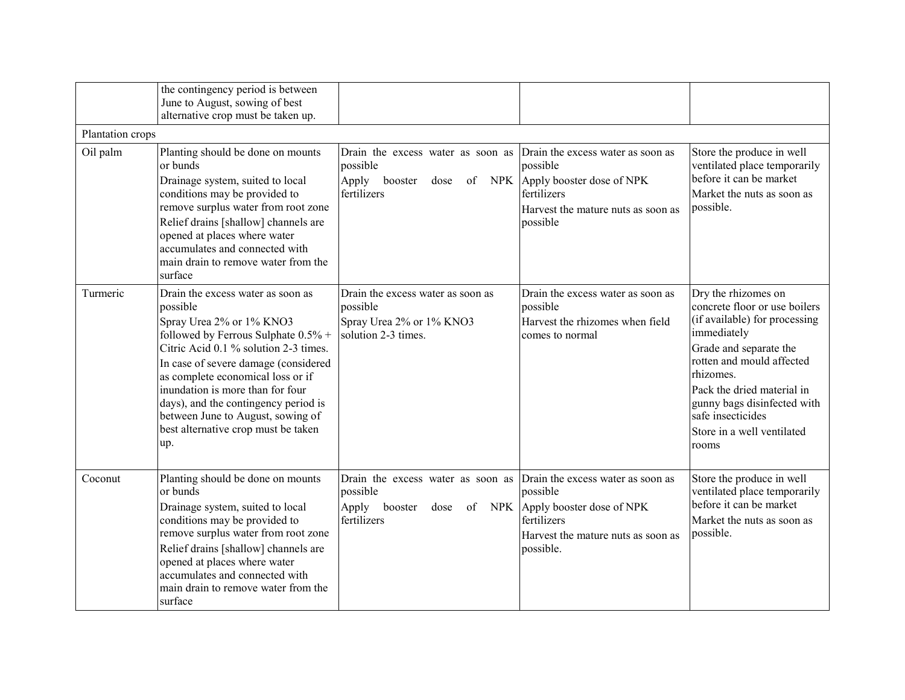|                  | the contingency period is between<br>June to August, sowing of best<br>alternative crop must be taken up.                                                                                                                                                                                                                                                                                                |                                                                                                    |                                                                                                                                              |                                                                                                                                                                                                                                                                                                   |
|------------------|----------------------------------------------------------------------------------------------------------------------------------------------------------------------------------------------------------------------------------------------------------------------------------------------------------------------------------------------------------------------------------------------------------|----------------------------------------------------------------------------------------------------|----------------------------------------------------------------------------------------------------------------------------------------------|---------------------------------------------------------------------------------------------------------------------------------------------------------------------------------------------------------------------------------------------------------------------------------------------------|
| Plantation crops |                                                                                                                                                                                                                                                                                                                                                                                                          |                                                                                                    |                                                                                                                                              |                                                                                                                                                                                                                                                                                                   |
| Oil palm         | Planting should be done on mounts<br>or bunds<br>Drainage system, suited to local<br>conditions may be provided to<br>remove surplus water from root zone<br>Relief drains [shallow] channels are<br>opened at places where water<br>accumulates and connected with<br>main drain to remove water from the<br>surface                                                                                    | Drain the excess water as soon as<br>possible<br>Apply<br>booster<br>of NPK<br>dose<br>fertilizers | Drain the excess water as soon as<br>possible<br>Apply booster dose of NPK<br>fertilizers<br>Harvest the mature nuts as soon as<br>possible  | Store the produce in well<br>ventilated place temporarily<br>before it can be market<br>Market the nuts as soon as<br>possible.                                                                                                                                                                   |
| Turmeric         | Drain the excess water as soon as<br>possible<br>Spray Urea 2% or 1% KNO3<br>followed by Ferrous Sulphate $0.5\%$ +<br>Citric Acid 0.1 % solution 2-3 times.<br>In case of severe damage (considered<br>as complete economical loss or if<br>inundation is more than for four<br>days), and the contingency period is<br>between June to August, sowing of<br>best alternative crop must be taken<br>up. | Drain the excess water as soon as<br>possible<br>Spray Urea 2% or 1% KNO3<br>solution 2-3 times.   | Drain the excess water as soon as<br>possible<br>Harvest the rhizomes when field<br>comes to normal                                          | Dry the rhizomes on<br>concrete floor or use boilers<br>(if available) for processing<br>immediately<br>Grade and separate the<br>rotten and mould affected<br>rhizomes.<br>Pack the dried material in<br>gunny bags disinfected with<br>safe insecticides<br>Store in a well ventilated<br>rooms |
| Coconut          | Planting should be done on mounts<br>or bunds<br>Drainage system, suited to local<br>conditions may be provided to<br>remove surplus water from root zone<br>Relief drains [shallow] channels are<br>opened at places where water<br>accumulates and connected with<br>main drain to remove water from the<br>surface                                                                                    | Drain the excess water as soon as<br>possible<br>booster<br>of NPK<br>Apply<br>dose<br>fertilizers | Drain the excess water as soon as<br>possible<br>Apply booster dose of NPK<br>fertilizers<br>Harvest the mature nuts as soon as<br>possible. | Store the produce in well<br>ventilated place temporarily<br>before it can be market<br>Market the nuts as soon as<br>possible.                                                                                                                                                                   |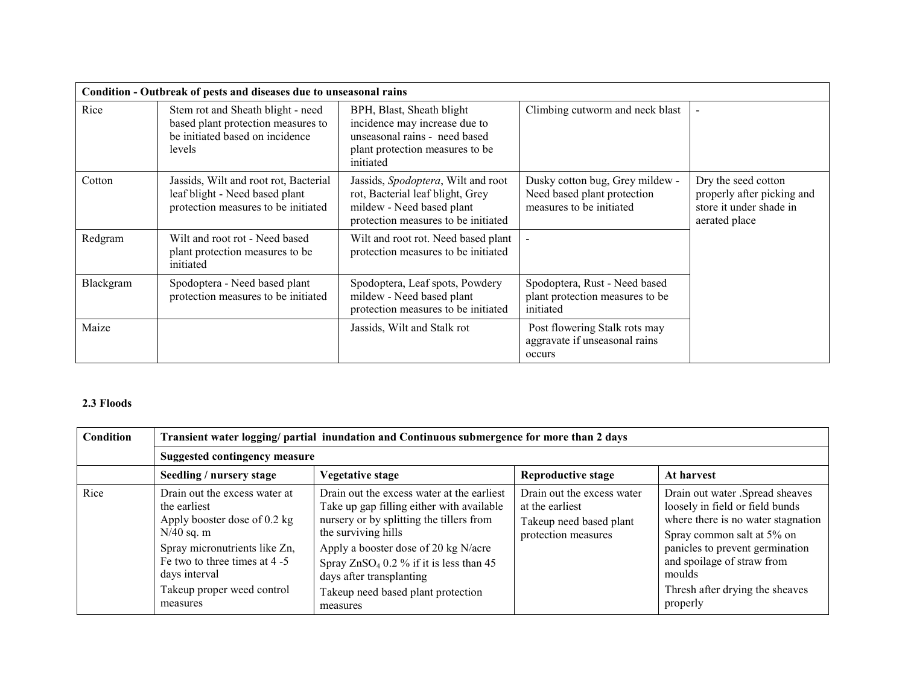|           | Condition - Outbreak of pests and diseases due to unseasonal rains                                                   |                                                                                                                                             |                                                                                            |                                                                                               |
|-----------|----------------------------------------------------------------------------------------------------------------------|---------------------------------------------------------------------------------------------------------------------------------------------|--------------------------------------------------------------------------------------------|-----------------------------------------------------------------------------------------------|
| Rice      | Stem rot and Sheath blight - need<br>based plant protection measures to<br>be initiated based on incidence<br>levels | BPH, Blast, Sheath blight<br>incidence may increase due to<br>unseasonal rains - need based<br>plant protection measures to be<br>initiated | Climbing cutworm and neck blast                                                            |                                                                                               |
| Cotton    | Jassids, Wilt and root rot, Bacterial<br>leaf blight - Need based plant<br>protection measures to be initiated       | Jassids, Spodoptera, Wilt and root<br>rot, Bacterial leaf blight, Grey<br>mildew - Need based plant<br>protection measures to be initiated  | Dusky cotton bug, Grey mildew -<br>Need based plant protection<br>measures to be initiated | Dry the seed cotton<br>properly after picking and<br>store it under shade in<br>aerated place |
| Redgram   | Wilt and root rot - Need based<br>plant protection measures to be<br>initiated                                       | Wilt and root rot. Need based plant<br>protection measures to be initiated                                                                  |                                                                                            |                                                                                               |
| Blackgram | Spodoptera - Need based plant<br>protection measures to be initiated                                                 | Spodoptera, Leaf spots, Powdery<br>mildew - Need based plant<br>protection measures to be initiated                                         | Spodoptera, Rust - Need based<br>plant protection measures to be<br>initiated              |                                                                                               |
| Maize     |                                                                                                                      | Jassids, Wilt and Stalk rot                                                                                                                 | Post flowering Stalk rots may<br>aggravate if unseasonal rains<br>occurs                   |                                                                                               |

#### 2.3 Floods

| <b>Condition</b> | Transient water logging/ partial inundation and Continuous submergence for more than 2 days                                                                                                                                |                                                                                                                                                                                                                                                                                                                                |                                                                                                 |                                                                                                                                                                                                                                                                  |  |  |  |
|------------------|----------------------------------------------------------------------------------------------------------------------------------------------------------------------------------------------------------------------------|--------------------------------------------------------------------------------------------------------------------------------------------------------------------------------------------------------------------------------------------------------------------------------------------------------------------------------|-------------------------------------------------------------------------------------------------|------------------------------------------------------------------------------------------------------------------------------------------------------------------------------------------------------------------------------------------------------------------|--|--|--|
|                  |                                                                                                                                                                                                                            | <b>Suggested contingency measure</b>                                                                                                                                                                                                                                                                                           |                                                                                                 |                                                                                                                                                                                                                                                                  |  |  |  |
|                  | Seedling / nursery stage                                                                                                                                                                                                   | Vegetative stage                                                                                                                                                                                                                                                                                                               | <b>Reproductive stage</b>                                                                       | At harvest                                                                                                                                                                                                                                                       |  |  |  |
| Rice             | Drain out the excess water at<br>the earliest<br>Apply booster dose of 0.2 kg<br>$N/40$ sq. m<br>Spray micronutrients like Zn,<br>Fe two to three times at 4 -5<br>days interval<br>Takeup proper weed control<br>measures | Drain out the excess water at the earliest<br>Take up gap filling either with available<br>nursery or by splitting the tillers from<br>the surviving hills<br>Apply a booster dose of 20 kg N/acre<br>Spray $ZnSO_4$ 0.2 % if it is less than 45<br>days after transplanting<br>Takeup need based plant protection<br>measures | Drain out the excess water<br>at the earliest<br>Takeup need based plant<br>protection measures | Drain out water .Spread sheaves<br>loosely in field or field bunds<br>where there is no water stagnation<br>Spray common salt at 5% on<br>panicles to prevent germination<br>and spoilage of straw from<br>moulds<br>Thresh after drying the sheaves<br>properly |  |  |  |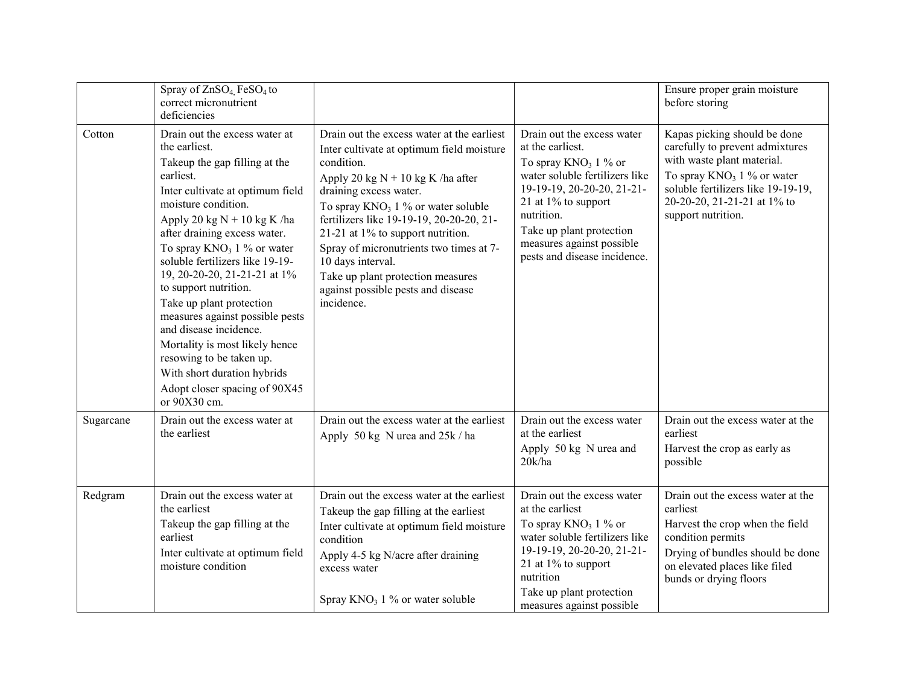|           | Spray of ZnSO <sub>4</sub> FeSO <sub>4</sub> to<br>correct micronutrient<br>deficiencies                                                                                                                                                                                                                                                                                                                                                                                                                                                                                                     |                                                                                                                                                                                                                                                                                                                                                                                                                                                           |                                                                                                                                                                                                                                                                            | Ensure proper grain moisture<br>before storing                                                                                                                                                                            |
|-----------|----------------------------------------------------------------------------------------------------------------------------------------------------------------------------------------------------------------------------------------------------------------------------------------------------------------------------------------------------------------------------------------------------------------------------------------------------------------------------------------------------------------------------------------------------------------------------------------------|-----------------------------------------------------------------------------------------------------------------------------------------------------------------------------------------------------------------------------------------------------------------------------------------------------------------------------------------------------------------------------------------------------------------------------------------------------------|----------------------------------------------------------------------------------------------------------------------------------------------------------------------------------------------------------------------------------------------------------------------------|---------------------------------------------------------------------------------------------------------------------------------------------------------------------------------------------------------------------------|
| Cotton    | Drain out the excess water at<br>the earliest.<br>Takeup the gap filling at the<br>earliest.<br>Inter cultivate at optimum field<br>moisture condition.<br>Apply 20 kg $N + 10$ kg K /ha<br>after draining excess water.<br>To spray $KNO_3$ 1 % or water<br>soluble fertilizers like 19-19-<br>19, 20-20-20, 21-21-21 at 1%<br>to support nutrition.<br>Take up plant protection<br>measures against possible pests<br>and disease incidence.<br>Mortality is most likely hence<br>resowing to be taken up.<br>With short duration hybrids<br>Adopt closer spacing of 90X45<br>or 90X30 cm. | Drain out the excess water at the earliest<br>Inter cultivate at optimum field moisture<br>condition.<br>Apply 20 kg $N + 10$ kg K /ha after<br>draining excess water.<br>To spray $KNO_3$ 1 % or water soluble<br>fertilizers like 19-19-19, 20-20-20, 21-<br>21-21 at 1% to support nutrition.<br>Spray of micronutrients two times at 7-<br>10 days interval.<br>Take up plant protection measures<br>against possible pests and disease<br>incidence. | Drain out the excess water<br>at the earliest.<br>To spray $KNO_3$ 1 % or<br>water soluble fertilizers like<br>19-19-19, 20-20-20, 21-21-<br>21 at $1\%$ to support<br>nutrition.<br>Take up plant protection<br>measures against possible<br>pests and disease incidence. | Kapas picking should be done<br>carefully to prevent admixtures<br>with waste plant material.<br>To spray $KNO_3$ 1 % or water<br>soluble fertilizers like 19-19-19,<br>20-20-20, 21-21-21 at 1% to<br>support nutrition. |
| Sugarcane | Drain out the excess water at<br>the earliest                                                                                                                                                                                                                                                                                                                                                                                                                                                                                                                                                | Drain out the excess water at the earliest<br>Apply 50 kg N urea and 25k / ha                                                                                                                                                                                                                                                                                                                                                                             | Drain out the excess water<br>at the earliest<br>Apply 50 kg N urea and<br>20k/ha                                                                                                                                                                                          | Drain out the excess water at the<br>earliest<br>Harvest the crop as early as<br>possible                                                                                                                                 |
| Redgram   | Drain out the excess water at<br>the earliest<br>Takeup the gap filling at the<br>earliest<br>Inter cultivate at optimum field<br>moisture condition                                                                                                                                                                                                                                                                                                                                                                                                                                         | Drain out the excess water at the earliest<br>Takeup the gap filling at the earliest<br>Inter cultivate at optimum field moisture<br>condition<br>Apply 4-5 kg N/acre after draining<br>excess water<br>Spray $KNO_3$ 1 % or water soluble                                                                                                                                                                                                                | Drain out the excess water<br>at the earliest<br>To spray $KNO_3$ 1 % or<br>water soluble fertilizers like<br>19-19-19, 20-20-20, 21-21-<br>21 at 1% to support<br>nutrition<br>Take up plant protection<br>measures against possible                                      | Drain out the excess water at the<br>earliest<br>Harvest the crop when the field<br>condition permits<br>Drying of bundles should be done<br>on elevated places like filed<br>bunds or drying floors                      |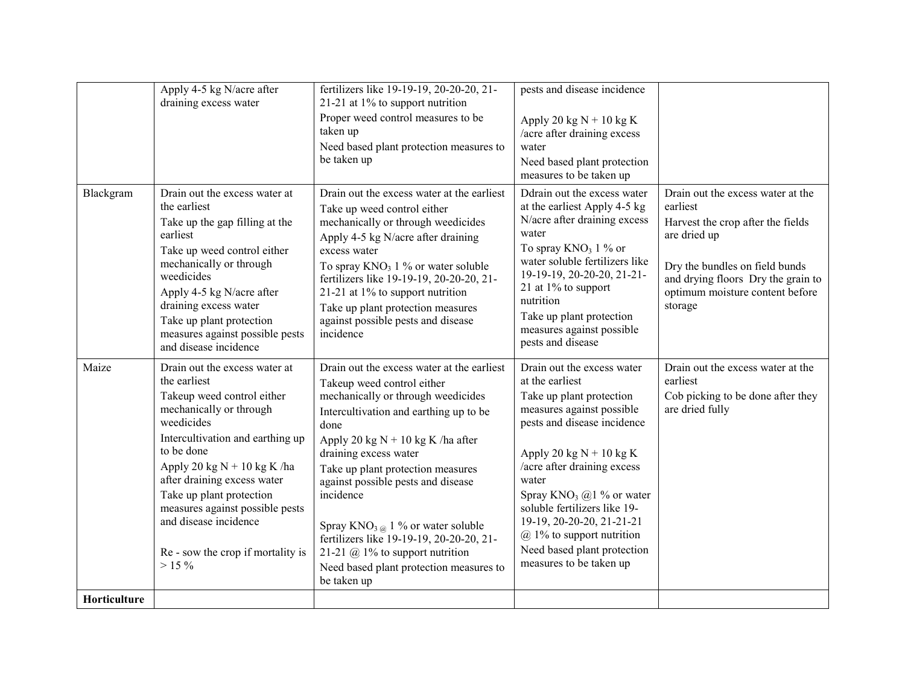|              | Apply 4-5 kg N/acre after<br>draining excess water                                                                                                                                                                                                                                                                                                                             | fertilizers like 19-19-19, 20-20-20, 21-<br>21-21 at $1\%$ to support nutrition<br>Proper weed control measures to be<br>taken up<br>Need based plant protection measures to<br>be taken up                                                                                                                                                                                                                                                                                                                                    | pests and disease incidence<br>Apply 20 kg $N + 10$ kg K<br>/acre after draining excess<br>water<br>Need based plant protection<br>measures to be taken up                                                                                                                                                                                                                                           |                                                                                                                                                                                                                          |
|--------------|--------------------------------------------------------------------------------------------------------------------------------------------------------------------------------------------------------------------------------------------------------------------------------------------------------------------------------------------------------------------------------|--------------------------------------------------------------------------------------------------------------------------------------------------------------------------------------------------------------------------------------------------------------------------------------------------------------------------------------------------------------------------------------------------------------------------------------------------------------------------------------------------------------------------------|------------------------------------------------------------------------------------------------------------------------------------------------------------------------------------------------------------------------------------------------------------------------------------------------------------------------------------------------------------------------------------------------------|--------------------------------------------------------------------------------------------------------------------------------------------------------------------------------------------------------------------------|
| Blackgram    | Drain out the excess water at<br>the earliest<br>Take up the gap filling at the<br>earliest<br>Take up weed control either<br>mechanically or through<br>weedicides<br>Apply 4-5 kg N/acre after<br>draining excess water<br>Take up plant protection<br>measures against possible pests<br>and disease incidence                                                              | Drain out the excess water at the earliest<br>Take up weed control either<br>mechanically or through weedicides<br>Apply 4-5 kg N/acre after draining<br>excess water<br>To spray $KNO_3$ 1 % or water soluble<br>fertilizers like 19-19-19, 20-20-20, 21-<br>21-21 at $1\%$ to support nutrition<br>Take up plant protection measures<br>against possible pests and disease<br>incidence                                                                                                                                      | Ddrain out the excess water<br>at the earliest Apply 4-5 kg<br>N/acre after draining excess<br>water<br>To spray $KNO_3$ 1 % or<br>water soluble fertilizers like<br>19-19-19, 20-20-20, 21-21-<br>21 at 1% to support<br>nutrition<br>Take up plant protection<br>measures against possible<br>pests and disease                                                                                    | Drain out the excess water at the<br>earliest<br>Harvest the crop after the fields<br>are dried up<br>Dry the bundles on field bunds<br>and drying floors Dry the grain to<br>optimum moisture content before<br>storage |
| Maize        | Drain out the excess water at<br>the earliest<br>Takeup weed control either<br>mechanically or through<br>weedicides<br>Intercultivation and earthing up<br>to be done<br>Apply 20 kg $N + 10$ kg K /ha<br>after draining excess water<br>Take up plant protection<br>measures against possible pests<br>and disease incidence<br>Re - sow the crop if mortality is<br>$>15\%$ | Drain out the excess water at the earliest<br>Takeup weed control either<br>mechanically or through weedicides<br>Intercultivation and earthing up to be<br>done<br>Apply 20 kg $N + 10$ kg K /ha after<br>draining excess water<br>Take up plant protection measures<br>against possible pests and disease<br>incidence<br>Spray $KNO_{3\text{ }\omega}$ 1 % or water soluble<br>fertilizers like 19-19-19, 20-20-20, 21-<br>21-21 $\omega$ 1% to support nutrition<br>Need based plant protection measures to<br>be taken up | Drain out the excess water<br>at the earliest<br>Take up plant protection<br>measures against possible<br>pests and disease incidence<br>Apply 20 kg $N + 10$ kg K<br>/acre after draining excess<br>water<br>Spray $KNO_3$ (a) 1 % or water<br>soluble fertilizers like 19-<br>19-19, 20-20-20, 21-21-21<br>$(a)$ 1% to support nutrition<br>Need based plant protection<br>measures to be taken up | Drain out the excess water at the<br>earliest<br>Cob picking to be done after they<br>are dried fully                                                                                                                    |
| Horticulture |                                                                                                                                                                                                                                                                                                                                                                                |                                                                                                                                                                                                                                                                                                                                                                                                                                                                                                                                |                                                                                                                                                                                                                                                                                                                                                                                                      |                                                                                                                                                                                                                          |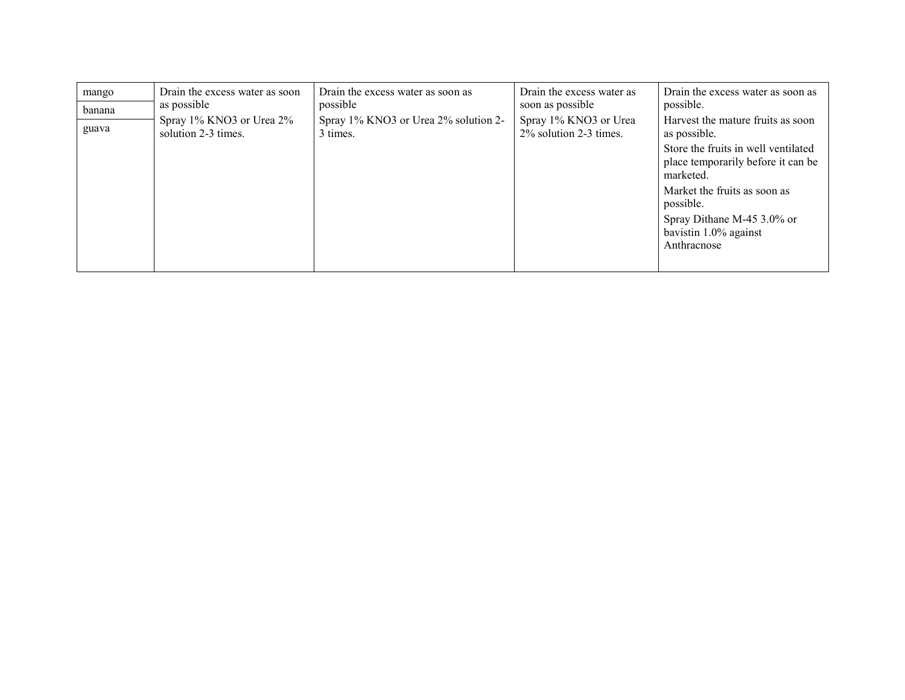| mango  | Drain the excess water as soon                  | Drain the excess water as soon as                | Drain the excess water as                       | Drain the excess water as soon as                                                                                              |
|--------|-------------------------------------------------|--------------------------------------------------|-------------------------------------------------|--------------------------------------------------------------------------------------------------------------------------------|
| banana | as possible                                     | possible                                         | soon as possible                                | possible.                                                                                                                      |
| guava  | Spray 1% KNO3 or Urea 2%<br>solution 2-3 times. | Spray 1% KNO3 or Urea 2% solution 2-<br>3 times. | Spray 1% KNO3 or Urea<br>2% solution 2-3 times. | Harvest the mature fruits as soon<br>as possible.<br>Store the fruits in well ventilated<br>place temporarily before it can be |
|        |                                                 |                                                  |                                                 | marketed.                                                                                                                      |
|        |                                                 |                                                  |                                                 | Market the fruits as soon as<br>possible.                                                                                      |
|        |                                                 |                                                  |                                                 | Spray Dithane M-45 3.0% or                                                                                                     |
|        |                                                 |                                                  |                                                 | bavistin 1.0% against                                                                                                          |
|        |                                                 |                                                  |                                                 | Anthracnose                                                                                                                    |
|        |                                                 |                                                  |                                                 |                                                                                                                                |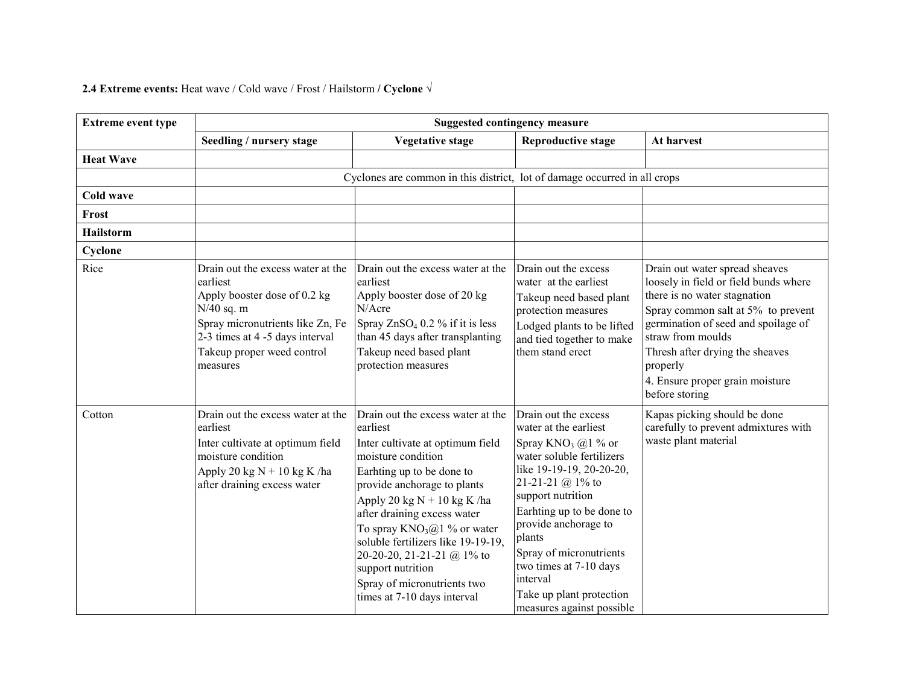#### **2.4 Extreme events:** Heat wave / Cold wave / Frost / Hailstorm / Cyclone  $\sqrt{}$

| <b>Extreme event type</b> | <b>Suggested contingency measure</b>                                                                                                                                                                           |                                                                                                                                                                                                                                                                                                                                                                                                                             |                                                                                                                                                                                                                                                                                                                                                                                 |                                                                                                                                                                                                                                                                                                               |
|---------------------------|----------------------------------------------------------------------------------------------------------------------------------------------------------------------------------------------------------------|-----------------------------------------------------------------------------------------------------------------------------------------------------------------------------------------------------------------------------------------------------------------------------------------------------------------------------------------------------------------------------------------------------------------------------|---------------------------------------------------------------------------------------------------------------------------------------------------------------------------------------------------------------------------------------------------------------------------------------------------------------------------------------------------------------------------------|---------------------------------------------------------------------------------------------------------------------------------------------------------------------------------------------------------------------------------------------------------------------------------------------------------------|
|                           | Seedling / nursery stage                                                                                                                                                                                       | <b>Vegetative stage</b>                                                                                                                                                                                                                                                                                                                                                                                                     | <b>Reproductive stage</b>                                                                                                                                                                                                                                                                                                                                                       | At harvest                                                                                                                                                                                                                                                                                                    |
| <b>Heat Wave</b>          |                                                                                                                                                                                                                |                                                                                                                                                                                                                                                                                                                                                                                                                             |                                                                                                                                                                                                                                                                                                                                                                                 |                                                                                                                                                                                                                                                                                                               |
|                           |                                                                                                                                                                                                                | Cyclones are common in this district, lot of damage occurred in all crops                                                                                                                                                                                                                                                                                                                                                   |                                                                                                                                                                                                                                                                                                                                                                                 |                                                                                                                                                                                                                                                                                                               |
| Cold wave                 |                                                                                                                                                                                                                |                                                                                                                                                                                                                                                                                                                                                                                                                             |                                                                                                                                                                                                                                                                                                                                                                                 |                                                                                                                                                                                                                                                                                                               |
| Frost                     |                                                                                                                                                                                                                |                                                                                                                                                                                                                                                                                                                                                                                                                             |                                                                                                                                                                                                                                                                                                                                                                                 |                                                                                                                                                                                                                                                                                                               |
| <b>Hailstorm</b>          |                                                                                                                                                                                                                |                                                                                                                                                                                                                                                                                                                                                                                                                             |                                                                                                                                                                                                                                                                                                                                                                                 |                                                                                                                                                                                                                                                                                                               |
| Cyclone                   |                                                                                                                                                                                                                |                                                                                                                                                                                                                                                                                                                                                                                                                             |                                                                                                                                                                                                                                                                                                                                                                                 |                                                                                                                                                                                                                                                                                                               |
| Rice                      | Drain out the excess water at the<br>earliest<br>Apply booster dose of 0.2 kg<br>$N/40$ sq. m<br>Spray micronutrients like Zn, Fe<br>2-3 times at 4 -5 days interval<br>Takeup proper weed control<br>measures | Drain out the excess water at the<br>earliest<br>Apply booster dose of 20 kg<br>N/Acre<br>Spray $ZnSO_4$ 0.2 % if it is less<br>than 45 days after transplanting<br>Takeup need based plant<br>protection measures                                                                                                                                                                                                          | Drain out the excess<br>water at the earliest<br>Takeup need based plant<br>protection measures<br>Lodged plants to be lifted<br>and tied together to make<br>them stand erect                                                                                                                                                                                                  | Drain out water spread sheaves<br>loosely in field or field bunds where<br>there is no water stagnation<br>Spray common salt at 5% to prevent<br>germination of seed and spoilage of<br>straw from moulds<br>Thresh after drying the sheaves<br>properly<br>4. Ensure proper grain moisture<br>before storing |
| Cotton                    | Drain out the excess water at the<br>earliest<br>Inter cultivate at optimum field<br>moisture condition<br>Apply 20 kg $N + 10$ kg K /ha<br>after draining excess water                                        | Drain out the excess water at the<br>earliest<br>Inter cultivate at optimum field<br>moisture condition<br>Earhting up to be done to<br>provide anchorage to plants<br>Apply 20 kg $N + 10$ kg K /ha<br>after draining excess water<br>To spray $KNO_3@1\%$ or water<br>soluble fertilizers like 19-19-19,<br>20-20-20, 21-21-21 @ 1% to<br>support nutrition<br>Spray of micronutrients two<br>times at 7-10 days interval | Drain out the excess<br>water at the earliest<br>Spray KNO <sub>3</sub> $@1$ % or<br>water soluble fertilizers<br>like 19-19-19, 20-20-20,<br>21-21-21 @ $1\%$ to<br>support nutrition<br>Earhting up to be done to<br>provide anchorage to<br>plants<br>Spray of micronutrients<br>two times at 7-10 days<br>interval<br>Take up plant protection<br>measures against possible | Kapas picking should be done<br>carefully to prevent admixtures with<br>waste plant material                                                                                                                                                                                                                  |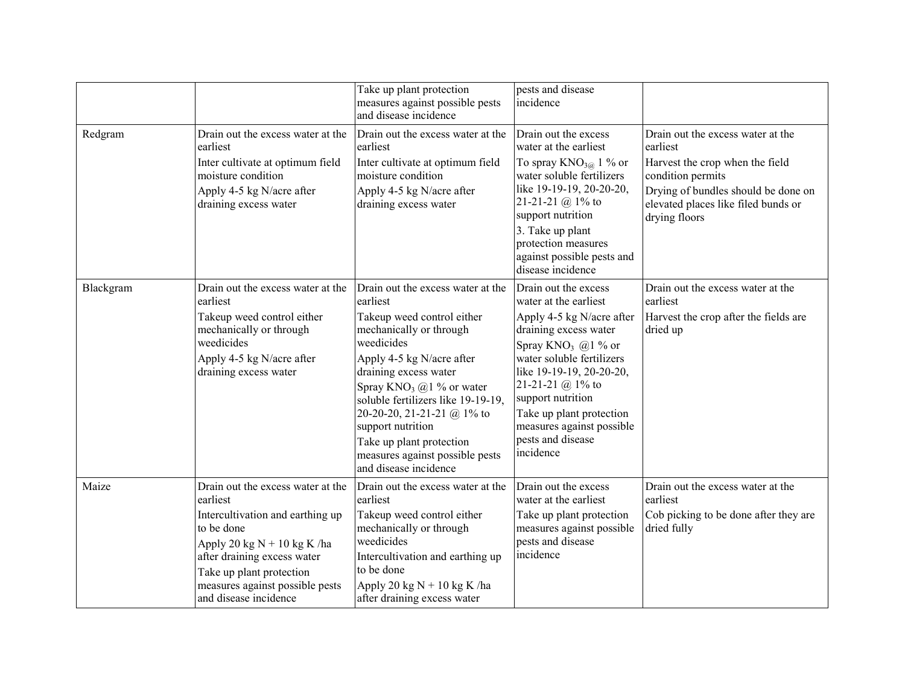|           |                                                                                                                                                                                                                                                         | Take up plant protection<br>measures against possible pests<br>and disease incidence                                                                                                                                                                                                                                                                                                       | pests and disease<br>incidence                                                                                                                                                                                                                                                                                                         |                                                                                                                                                                                                      |
|-----------|---------------------------------------------------------------------------------------------------------------------------------------------------------------------------------------------------------------------------------------------------------|--------------------------------------------------------------------------------------------------------------------------------------------------------------------------------------------------------------------------------------------------------------------------------------------------------------------------------------------------------------------------------------------|----------------------------------------------------------------------------------------------------------------------------------------------------------------------------------------------------------------------------------------------------------------------------------------------------------------------------------------|------------------------------------------------------------------------------------------------------------------------------------------------------------------------------------------------------|
| Redgram   | Drain out the excess water at the<br>earliest<br>Inter cultivate at optimum field<br>moisture condition<br>Apply 4-5 kg N/acre after<br>draining excess water                                                                                           | Drain out the excess water at the<br>earliest<br>Inter cultivate at optimum field<br>moisture condition<br>Apply 4-5 kg N/acre after<br>draining excess water                                                                                                                                                                                                                              | Drain out the excess<br>water at the earliest<br>To spray $KNO_{3\textcircled{a}}$ 1 % or<br>water soluble fertilizers<br>like 19-19-19, 20-20-20,<br>21-21-21 @ $1\%$ to<br>support nutrition<br>3. Take up plant<br>protection measures<br>against possible pests and<br>disease incidence                                           | Drain out the excess water at the<br>earliest<br>Harvest the crop when the field<br>condition permits<br>Drying of bundles should be done on<br>elevated places like filed bunds or<br>drying floors |
| Blackgram | Drain out the excess water at the<br>earliest<br>Takeup weed control either<br>mechanically or through<br>weedicides<br>Apply 4-5 kg N/acre after<br>draining excess water                                                                              | Drain out the excess water at the<br>earliest<br>Takeup weed control either<br>mechanically or through<br>weedicides<br>Apply 4-5 kg N/acre after<br>draining excess water<br>Spray $KNO_3$ @1 % or water<br>soluble fertilizers like 19-19-19,<br>20-20-20, 21-21-21 @ 1% to<br>support nutrition<br>Take up plant protection<br>measures against possible pests<br>and disease incidence | Drain out the excess<br>water at the earliest<br>Apply 4-5 kg N/acre after<br>draining excess water<br>Spray KNO <sub>3</sub> $@1%$ or<br>water soluble fertilizers<br>like 19-19-19, 20-20-20,<br>21-21-21 @ $1\%$ to<br>support nutrition<br>Take up plant protection<br>measures against possible<br>pests and disease<br>incidence | Drain out the excess water at the<br>earliest<br>Harvest the crop after the fields are<br>dried up                                                                                                   |
| Maize     | Drain out the excess water at the<br>earliest<br>Intercultivation and earthing up<br>to be done<br>Apply 20 kg $N + 10$ kg K /ha<br>after draining excess water<br>Take up plant protection<br>measures against possible pests<br>and disease incidence | Drain out the excess water at the<br>earliest<br>Takeup weed control either<br>mechanically or through<br>weedicides<br>Intercultivation and earthing up<br>to be done<br>Apply 20 kg $N + 10$ kg K /ha<br>after draining excess water                                                                                                                                                     | Drain out the excess<br>water at the earliest<br>Take up plant protection<br>measures against possible<br>pests and disease<br>incidence                                                                                                                                                                                               | Drain out the excess water at the<br>earliest<br>Cob picking to be done after they are<br>dried fully                                                                                                |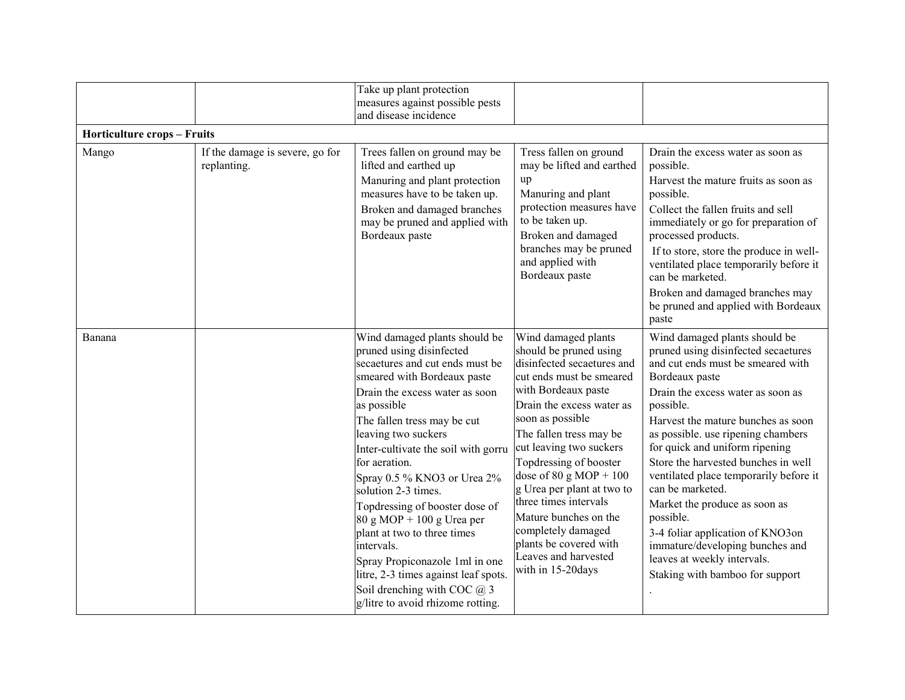|                                    |                                                | Take up plant protection<br>measures against possible pests<br>and disease incidence                                                                                                                                                                                                                                                                                                                                                                                                                                                                                                                           |                                                                                                                                                                                                                                                                                                                                                                                                                                                                                  |                                                                                                                                                                                                                                                                                                                                                                                                                                                                                                                                                                                         |
|------------------------------------|------------------------------------------------|----------------------------------------------------------------------------------------------------------------------------------------------------------------------------------------------------------------------------------------------------------------------------------------------------------------------------------------------------------------------------------------------------------------------------------------------------------------------------------------------------------------------------------------------------------------------------------------------------------------|----------------------------------------------------------------------------------------------------------------------------------------------------------------------------------------------------------------------------------------------------------------------------------------------------------------------------------------------------------------------------------------------------------------------------------------------------------------------------------|-----------------------------------------------------------------------------------------------------------------------------------------------------------------------------------------------------------------------------------------------------------------------------------------------------------------------------------------------------------------------------------------------------------------------------------------------------------------------------------------------------------------------------------------------------------------------------------------|
| <b>Horticulture crops - Fruits</b> |                                                |                                                                                                                                                                                                                                                                                                                                                                                                                                                                                                                                                                                                                |                                                                                                                                                                                                                                                                                                                                                                                                                                                                                  |                                                                                                                                                                                                                                                                                                                                                                                                                                                                                                                                                                                         |
| Mango                              | If the damage is severe, go for<br>replanting. | Trees fallen on ground may be<br>lifted and earthed up<br>Manuring and plant protection<br>measures have to be taken up.<br>Broken and damaged branches<br>may be pruned and applied with<br>Bordeaux paste                                                                                                                                                                                                                                                                                                                                                                                                    | Tress fallen on ground<br>may be lifted and earthed<br>up<br>Manuring and plant<br>protection measures have<br>to be taken up.<br>Broken and damaged<br>branches may be pruned<br>and applied with<br>Bordeaux paste                                                                                                                                                                                                                                                             | Drain the excess water as soon as<br>possible.<br>Harvest the mature fruits as soon as<br>possible.<br>Collect the fallen fruits and sell<br>immediately or go for preparation of<br>processed products.<br>If to store, store the produce in well-<br>ventilated place temporarily before it<br>can be marketed.<br>Broken and damaged branches may<br>be pruned and applied with Bordeaux<br>paste                                                                                                                                                                                    |
| Banana                             |                                                | Wind damaged plants should be<br>pruned using disinfected<br>secaetures and cut ends must be<br>smeared with Bordeaux paste<br>Drain the excess water as soon<br>as possible<br>The fallen tress may be cut<br>leaving two suckers<br>Inter-cultivate the soil with gorru<br>for aeration.<br>Spray 0.5 % KNO3 or Urea 2%<br>solution 2-3 times.<br>Topdressing of booster dose of<br>$80 g MOP + 100 g U$ rea per<br>plant at two to three times<br>intervals.<br>Spray Propiconazole 1ml in one<br>litre, 2-3 times against leaf spots.<br>Soil drenching with COC $@3$<br>g/litre to avoid rhizome rotting. | Wind damaged plants<br>should be pruned using<br>disinfected secaetures and<br>cut ends must be smeared<br>with Bordeaux paste<br>Drain the excess water as<br>soon as possible<br>The fallen tress may be<br>cut leaving two suckers<br>Topdressing of booster<br>dose of $80 \text{ g MOP} + 100$<br>g Urea per plant at two to<br>three times intervals<br>Mature bunches on the<br>completely damaged<br>plants be covered with<br>Leaves and harvested<br>with in 15-20days | Wind damaged plants should be<br>pruned using disinfected secaetures<br>and cut ends must be smeared with<br>Bordeaux paste<br>Drain the excess water as soon as<br>possible.<br>Harvest the mature bunches as soon<br>as possible. use ripening chambers<br>for quick and uniform ripening<br>Store the harvested bunches in well<br>ventilated place temporarily before it<br>can be marketed.<br>Market the produce as soon as<br>possible.<br>3-4 foliar application of KNO3on<br>immature/developing bunches and<br>leaves at weekly intervals.<br>Staking with bamboo for support |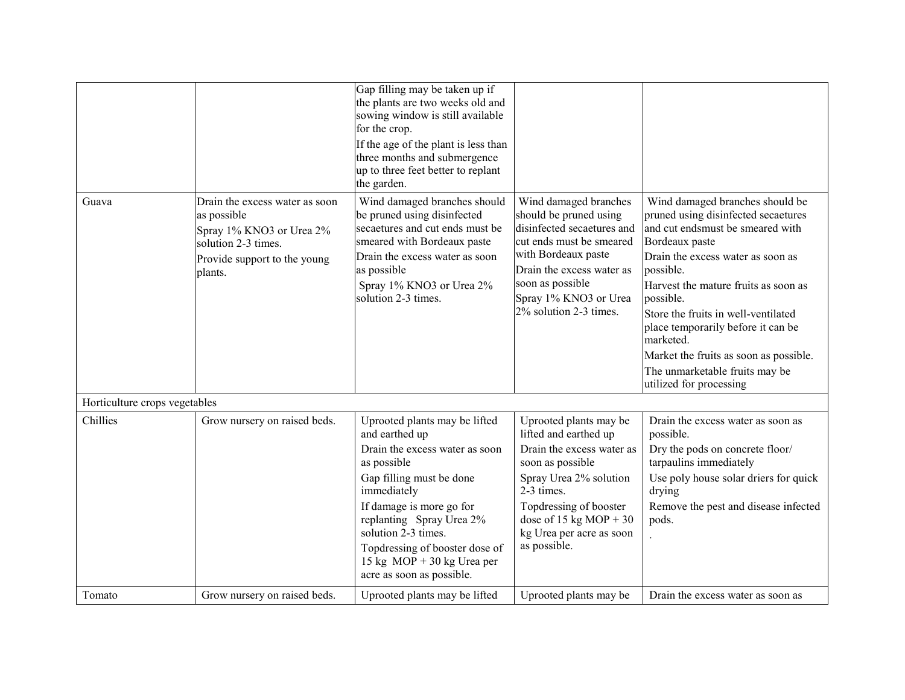|                               |                                                                                                                                             | Gap filling may be taken up if<br>the plants are two weeks old and<br>sowing window is still available<br>for the crop.<br>If the age of the plant is less than<br>three months and submergence<br>up to three feet better to replant<br>the garden.                                                                      |                                                                                                                                                                                                                                          |                                                                                                                                                                                                                                                                                                                                                                                                                                      |
|-------------------------------|---------------------------------------------------------------------------------------------------------------------------------------------|---------------------------------------------------------------------------------------------------------------------------------------------------------------------------------------------------------------------------------------------------------------------------------------------------------------------------|------------------------------------------------------------------------------------------------------------------------------------------------------------------------------------------------------------------------------------------|--------------------------------------------------------------------------------------------------------------------------------------------------------------------------------------------------------------------------------------------------------------------------------------------------------------------------------------------------------------------------------------------------------------------------------------|
| Guava                         | Drain the excess water as soon<br>as possible<br>Spray 1% KNO3 or Urea 2%<br>solution 2-3 times.<br>Provide support to the young<br>plants. | Wind damaged branches should<br>be pruned using disinfected<br>secaetures and cut ends must be<br>smeared with Bordeaux paste<br>Drain the excess water as soon<br>as possible<br>Spray 1% KNO3 or Urea 2%<br>solution 2-3 times.                                                                                         | Wind damaged branches<br>should be pruned using<br>disinfected secaetures and<br>cut ends must be smeared<br>with Bordeaux paste<br>Drain the excess water as<br>soon as possible<br>Spray 1% KNO3 or Urea<br>2% solution 2-3 times.     | Wind damaged branches should be<br>pruned using disinfected secaetures<br>and cut endsmust be smeared with<br>Bordeaux paste<br>Drain the excess water as soon as<br>possible.<br>Harvest the mature fruits as soon as<br>possible.<br>Store the fruits in well-ventilated<br>place temporarily before it can be<br>marketed.<br>Market the fruits as soon as possible.<br>The unmarketable fruits may be<br>utilized for processing |
| Horticulture crops vegetables |                                                                                                                                             |                                                                                                                                                                                                                                                                                                                           |                                                                                                                                                                                                                                          |                                                                                                                                                                                                                                                                                                                                                                                                                                      |
| Chillies                      | Grow nursery on raised beds.                                                                                                                | Uprooted plants may be lifted<br>and earthed up<br>Drain the excess water as soon<br>as possible<br>Gap filling must be done<br>immediately<br>If damage is more go for<br>replanting Spray Urea 2%<br>solution 2-3 times.<br>Topdressing of booster dose of<br>15 kg $MOP + 30$ kg Urea per<br>acre as soon as possible. | Uprooted plants may be<br>lifted and earthed up<br>Drain the excess water as<br>soon as possible<br>Spray Urea 2% solution<br>2-3 times.<br>Topdressing of booster<br>dose of 15 kg MOP + 30<br>kg Urea per acre as soon<br>as possible. | Drain the excess water as soon as<br>possible.<br>Dry the pods on concrete floor/<br>tarpaulins immediately<br>Use poly house solar driers for quick<br>drying<br>Remove the pest and disease infected<br>pods.                                                                                                                                                                                                                      |
| Tomato                        | Grow nursery on raised beds.                                                                                                                | Uprooted plants may be lifted                                                                                                                                                                                                                                                                                             | Uprooted plants may be                                                                                                                                                                                                                   | Drain the excess water as soon as                                                                                                                                                                                                                                                                                                                                                                                                    |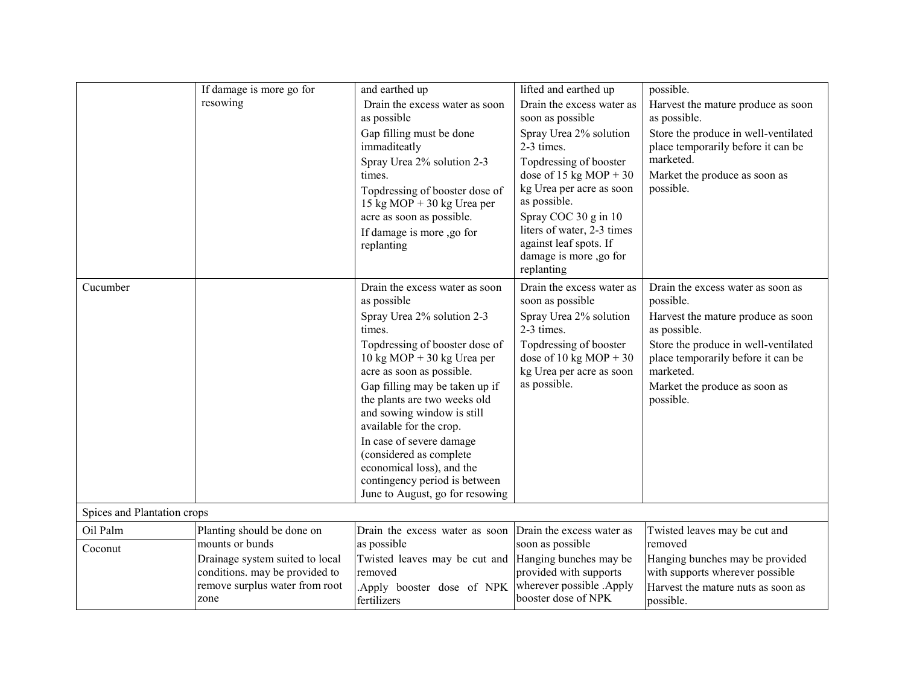|                             | If damage is more go for                                                                                    | and earthed up                                                                                                                                                                                                                                                                                                                                                                                                                                                                                          | lifted and earthed up                                                                                                                                                                                                                                        | possible.                                                                                                                                                                                                                                     |
|-----------------------------|-------------------------------------------------------------------------------------------------------------|---------------------------------------------------------------------------------------------------------------------------------------------------------------------------------------------------------------------------------------------------------------------------------------------------------------------------------------------------------------------------------------------------------------------------------------------------------------------------------------------------------|--------------------------------------------------------------------------------------------------------------------------------------------------------------------------------------------------------------------------------------------------------------|-----------------------------------------------------------------------------------------------------------------------------------------------------------------------------------------------------------------------------------------------|
|                             | resowing                                                                                                    | Drain the excess water as soon<br>as possible                                                                                                                                                                                                                                                                                                                                                                                                                                                           | Drain the excess water as<br>soon as possible                                                                                                                                                                                                                | Harvest the mature produce as soon<br>as possible.                                                                                                                                                                                            |
|                             |                                                                                                             | Gap filling must be done<br>immaditeatly<br>Spray Urea 2% solution 2-3<br>times.<br>Topdressing of booster dose of<br>15 kg MOP + 30 kg Urea per<br>acre as soon as possible.<br>If damage is more ,go for<br>replanting                                                                                                                                                                                                                                                                                | Spray Urea 2% solution<br>2-3 times.<br>Topdressing of booster<br>dose of 15 kg MOP + 30<br>kg Urea per acre as soon<br>as possible.<br>Spray COC 30 g in 10<br>liters of water, 2-3 times<br>against leaf spots. If<br>damage is more ,go for<br>replanting | Store the produce in well-ventilated<br>place temporarily before it can be<br>marketed.<br>Market the produce as soon as<br>possible.                                                                                                         |
| Cucumber                    |                                                                                                             | Drain the excess water as soon<br>as possible<br>Spray Urea 2% solution 2-3<br>times.<br>Topdressing of booster dose of<br>$10 \text{ kg} \text{ MOP} + 30 \text{ kg} \text{ Urea per}$<br>acre as soon as possible.<br>Gap filling may be taken up if<br>the plants are two weeks old<br>and sowing window is still<br>available for the crop.<br>In case of severe damage<br>(considered as complete<br>economical loss), and the<br>contingency period is between<br>June to August, go for resowing | Drain the excess water as<br>soon as possible<br>Spray Urea 2% solution<br>2-3 times.<br>Topdressing of booster<br>dose of 10 kg MOP + 30<br>kg Urea per acre as soon<br>as possible.                                                                        | Drain the excess water as soon as<br>possible.<br>Harvest the mature produce as soon<br>as possible.<br>Store the produce in well-ventilated<br>place temporarily before it can be<br>marketed.<br>Market the produce as soon as<br>possible. |
| Spices and Plantation crops |                                                                                                             |                                                                                                                                                                                                                                                                                                                                                                                                                                                                                                         |                                                                                                                                                                                                                                                              |                                                                                                                                                                                                                                               |
| Oil Palm                    | Planting should be done on<br>mounts or bunds                                                               | Drain the excess water as soon<br>as possible                                                                                                                                                                                                                                                                                                                                                                                                                                                           | Drain the excess water as<br>soon as possible                                                                                                                                                                                                                | Twisted leaves may be cut and<br>removed                                                                                                                                                                                                      |
| Coconut                     | Drainage system suited to local<br>conditions. may be provided to<br>remove surplus water from root<br>zone | Twisted leaves may be cut and<br>removed<br>Apply booster dose of NPK<br>fertilizers                                                                                                                                                                                                                                                                                                                                                                                                                    | Hanging bunches may be<br>provided with supports<br>wherever possible .Apply<br>booster dose of NPK                                                                                                                                                          | Hanging bunches may be provided<br>with supports wherever possible<br>Harvest the mature nuts as soon as<br>possible.                                                                                                                         |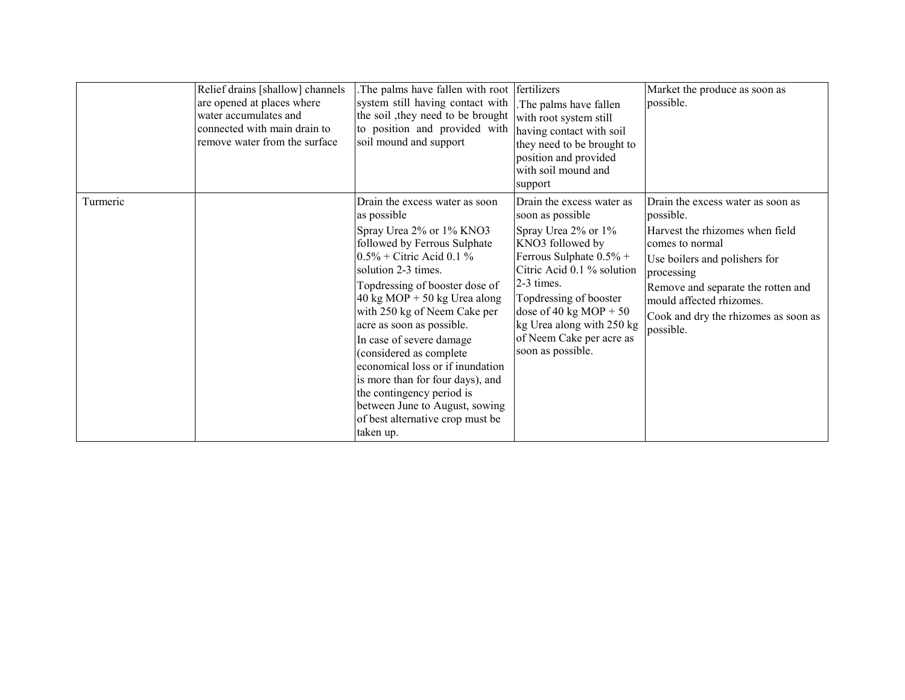|          | Relief drains [shallow] channels<br>are opened at places where<br>water accumulates and<br>connected with main drain to<br>remove water from the surface | The palms have fallen with root fertilizers<br>system still having contact with<br>the soil, they need to be brought<br>to position and provided with<br>soil mound and support                                                                                                                                                                                                                                                                                                                                                                                 | The palms have fallen<br>with root system still<br>having contact with soil<br>they need to be brought to<br>position and provided<br>with soil mound and<br>support                                                                                                                                 | Market the produce as soon as<br>possible.                                                                                                                                                                                                                                 |
|----------|----------------------------------------------------------------------------------------------------------------------------------------------------------|-----------------------------------------------------------------------------------------------------------------------------------------------------------------------------------------------------------------------------------------------------------------------------------------------------------------------------------------------------------------------------------------------------------------------------------------------------------------------------------------------------------------------------------------------------------------|------------------------------------------------------------------------------------------------------------------------------------------------------------------------------------------------------------------------------------------------------------------------------------------------------|----------------------------------------------------------------------------------------------------------------------------------------------------------------------------------------------------------------------------------------------------------------------------|
| Turmeric |                                                                                                                                                          | Drain the excess water as soon<br>as possible<br>Spray Urea 2% or 1% KNO3<br>followed by Ferrous Sulphate<br>$0.5\%$ + Citric Acid 0.1 %<br>solution 2-3 times.<br>Topdressing of booster dose of<br>$40 \text{ kg MOP} + 50 \text{ kg Urea along}$<br>with 250 kg of Neem Cake per<br>acre as soon as possible.<br>In case of severe damage<br>(considered as complete<br>economical loss or if inundation<br>is more than for four days), and<br>the contingency period is<br>between June to August, sowing<br>of best alternative crop must be<br>taken up. | Drain the excess water as<br>soon as possible<br>Spray Urea 2% or 1%<br>KNO3 followed by<br>Ferrous Sulphate $0.5\%$ +<br>Citric Acid 0.1 % solution<br>2-3 times.<br>Topdressing of booster<br>dose of 40 kg MOP + 50<br>kg Urea along with 250 kg<br>of Neem Cake per acre as<br>soon as possible. | Drain the excess water as soon as<br>possible.<br>Harvest the rhizomes when field<br>comes to normal<br>Use boilers and polishers for<br>processing<br>Remove and separate the rotten and<br>mould affected rhizomes.<br>Cook and dry the rhizomes as soon as<br>possible. |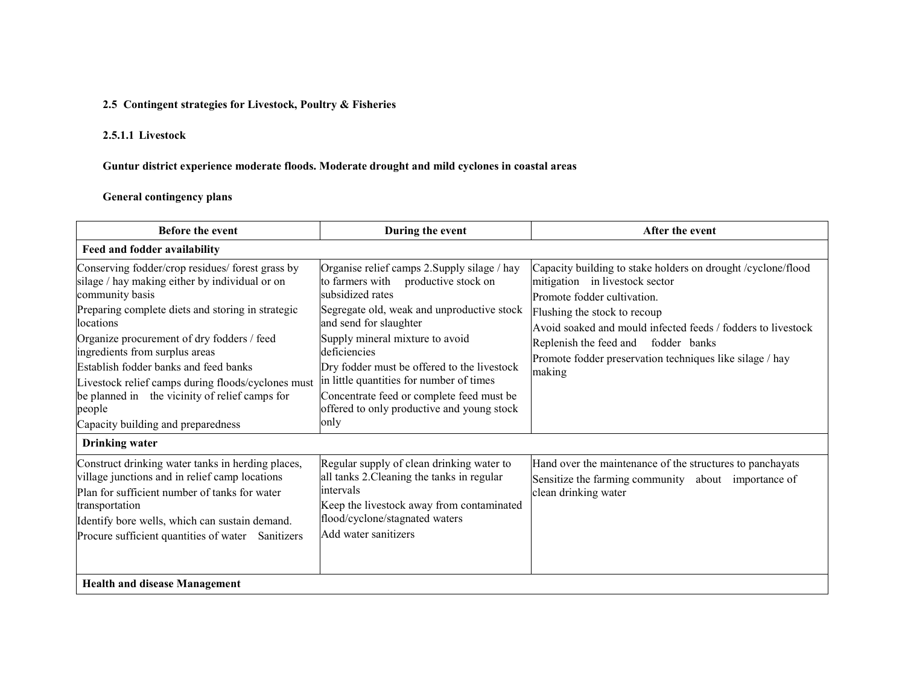### 2.5 Contingent strategies for Livestock, Poultry & Fisheries

### 2.5.1.1 Livestock

#### Guntur district experience moderate floods. Moderate drought and mild cyclones in coastal areas

#### General contingency plans

| <b>Before the event</b>                                                                                                                                                                                                                                                                                                                                                                                                                                                  | During the event                                                                                                                                                                                                                                                                                                                                                                                                                    | After the event                                                                                                                                                                                                                                                                                                                            |  |  |
|--------------------------------------------------------------------------------------------------------------------------------------------------------------------------------------------------------------------------------------------------------------------------------------------------------------------------------------------------------------------------------------------------------------------------------------------------------------------------|-------------------------------------------------------------------------------------------------------------------------------------------------------------------------------------------------------------------------------------------------------------------------------------------------------------------------------------------------------------------------------------------------------------------------------------|--------------------------------------------------------------------------------------------------------------------------------------------------------------------------------------------------------------------------------------------------------------------------------------------------------------------------------------------|--|--|
| Feed and fodder availability                                                                                                                                                                                                                                                                                                                                                                                                                                             |                                                                                                                                                                                                                                                                                                                                                                                                                                     |                                                                                                                                                                                                                                                                                                                                            |  |  |
| Conserving fodder/crop residues/ forest grass by<br>silage / hay making either by individual or on<br>community basis<br>Preparing complete diets and storing in strategic<br>locations<br>Organize procurement of dry fodders / feed<br>ingredients from surplus areas<br>Establish fodder banks and feed banks<br>Livestock relief camps during floods/cyclones must<br>be planned in the vicinity of relief camps for<br>people<br>Capacity building and preparedness | Organise relief camps 2. Supply silage / hay<br>to farmers with<br>productive stock on<br>subsidized rates<br>Segregate old, weak and unproductive stock<br>and send for slaughter<br>Supply mineral mixture to avoid<br>deficiencies<br>Dry fodder must be offered to the livestock<br>in little quantities for number of times<br>Concentrate feed or complete feed must be<br>offered to only productive and young stock<br>only | Capacity building to stake holders on drought /cyclone/flood<br>mitigation in livestock sector<br>Promote fodder cultivation.<br>Flushing the stock to recoup<br>Avoid soaked and mould infected feeds / fodders to livestock<br>Replenish the feed and fodder banks<br>Promote fodder preservation techniques like silage / hay<br>making |  |  |
| <b>Drinking water</b>                                                                                                                                                                                                                                                                                                                                                                                                                                                    |                                                                                                                                                                                                                                                                                                                                                                                                                                     |                                                                                                                                                                                                                                                                                                                                            |  |  |
| Construct drinking water tanks in herding places,<br>village junctions and in relief camp locations<br>Plan for sufficient number of tanks for water<br>transportation<br>Identify bore wells, which can sustain demand.<br>Procure sufficient quantities of water Sanitizers                                                                                                                                                                                            | Regular supply of clean drinking water to<br>all tanks 2. Cleaning the tanks in regular<br>intervals<br>Keep the livestock away from contaminated<br>flood/cyclone/stagnated waters<br>Add water sanitizers                                                                                                                                                                                                                         | Hand over the maintenance of the structures to panchayats<br>Sensitize the farming community about importance of<br>clean drinking water                                                                                                                                                                                                   |  |  |
| <b>Health and disease Management</b>                                                                                                                                                                                                                                                                                                                                                                                                                                     |                                                                                                                                                                                                                                                                                                                                                                                                                                     |                                                                                                                                                                                                                                                                                                                                            |  |  |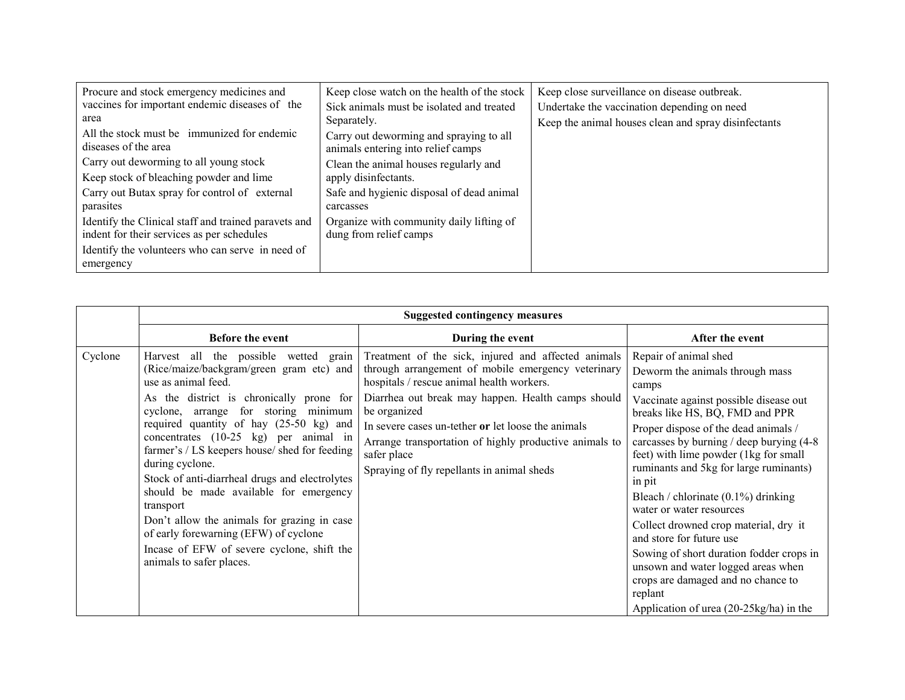| Procure and stock emergency medicines and            | Keep close watch on the health of the stock | Keep close surveillance on disease outbreak.         |
|------------------------------------------------------|---------------------------------------------|------------------------------------------------------|
| vaccines for important endemic diseases of the       | Sick animals must be isolated and treated   | Undertake the vaccination depending on need          |
| area                                                 | Separately.                                 | Keep the animal houses clean and spray disinfectants |
| All the stock must be immunized for endemic          | Carry out deworming and spraying to all     |                                                      |
| diseases of the area                                 | animals entering into relief camps          |                                                      |
| Carry out deworming to all young stock               | Clean the animal houses regularly and       |                                                      |
| Keep stock of bleaching powder and lime              | apply disinfectants.                        |                                                      |
| Carry out Butax spray for control of external        | Safe and hygienic disposal of dead animal   |                                                      |
| parasites                                            | carcasses                                   |                                                      |
| Identify the Clinical staff and trained paravets and | Organize with community daily lifting of    |                                                      |
| indent for their services as per schedules           | dung from relief camps                      |                                                      |
| Identify the volunteers who can serve in need of     |                                             |                                                      |
| emergency                                            |                                             |                                                      |

|         |                                                                                                                                                                                                                                                                                                                                                                                                                                                                                                                                                                                                                                 | <b>Suggested contingency measures</b>                                                                                                                                                                                                                                                                                                                                                                     |                                                                                                                                                                                                                                                                                                                                                                                                                                                                                                                                                                                                                                                                    |
|---------|---------------------------------------------------------------------------------------------------------------------------------------------------------------------------------------------------------------------------------------------------------------------------------------------------------------------------------------------------------------------------------------------------------------------------------------------------------------------------------------------------------------------------------------------------------------------------------------------------------------------------------|-----------------------------------------------------------------------------------------------------------------------------------------------------------------------------------------------------------------------------------------------------------------------------------------------------------------------------------------------------------------------------------------------------------|--------------------------------------------------------------------------------------------------------------------------------------------------------------------------------------------------------------------------------------------------------------------------------------------------------------------------------------------------------------------------------------------------------------------------------------------------------------------------------------------------------------------------------------------------------------------------------------------------------------------------------------------------------------------|
|         | <b>Before the event</b>                                                                                                                                                                                                                                                                                                                                                                                                                                                                                                                                                                                                         | During the event                                                                                                                                                                                                                                                                                                                                                                                          | After the event                                                                                                                                                                                                                                                                                                                                                                                                                                                                                                                                                                                                                                                    |
| Cyclone | Harvest all the possible wetted grain<br>(Rice/maize/backgram/green gram etc) and<br>use as animal feed.<br>As the district is chronically prone for<br>cyclone, arrange for storing minimum<br>required quantity of hay (25-50 kg) and<br>concentrates (10-25 kg) per animal in<br>farmer's / LS keepers house/ shed for feeding<br>during cyclone.<br>Stock of anti-diarrheal drugs and electrolytes<br>should be made available for emergency<br>transport<br>Don't allow the animals for grazing in case<br>of early forewarning (EFW) of cyclone<br>Incase of EFW of severe cyclone, shift the<br>animals to safer places. | Treatment of the sick, injured and affected animals<br>through arrangement of mobile emergency veterinary<br>hospitals / rescue animal health workers.<br>Diarrhea out break may happen. Health camps should<br>be organized<br>In severe cases un-tether or let loose the animals<br>Arrange transportation of highly productive animals to<br>safer place<br>Spraying of fly repellants in animal sheds | Repair of animal shed<br>Deworm the animals through mass<br>camps<br>Vaccinate against possible disease out<br>breaks like HS, BQ, FMD and PPR<br>Proper dispose of the dead animals /<br>carcasses by burning / deep burying (4-8)<br>feet) with lime powder (1kg for small<br>ruminants and 5kg for large ruminants)<br>in pit<br>Bleach / chlorinate $(0.1\%)$ drinking<br>water or water resources<br>Collect drowned crop material, dry it<br>and store for future use<br>Sowing of short duration fodder crops in<br>unsown and water logged areas when<br>crops are damaged and no chance to<br>replant<br>Application of urea $(20-25\text{kg/ha})$ in the |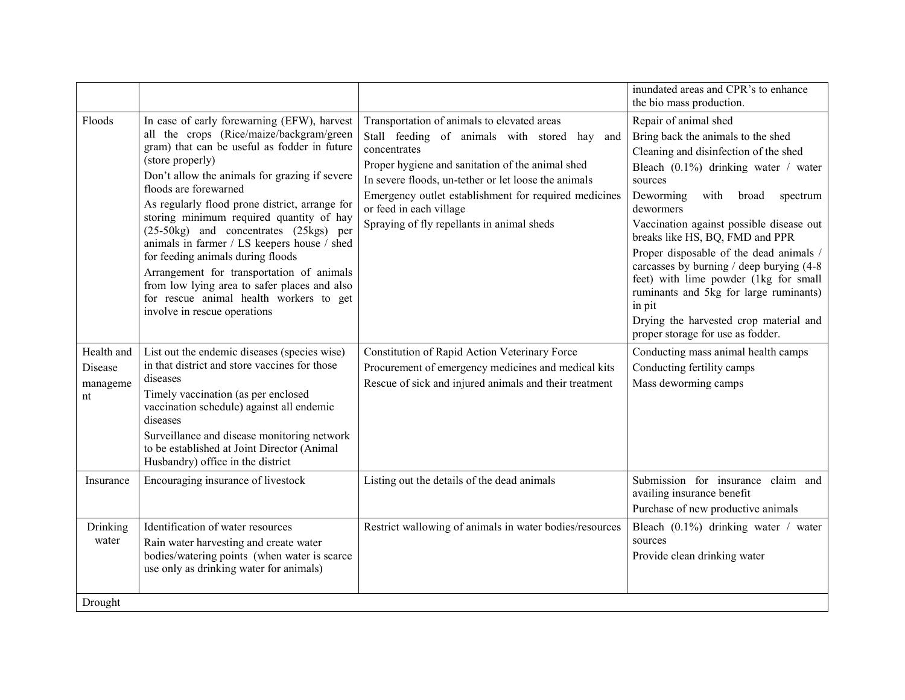|                                         |                                                                                                                                                                                                                                                                                                                                                                                                                                                                                                                                                                                                                                           |                                                                                                                                                                                                                                                                                                                                                              | inundated areas and CPR's to enhance<br>the bio mass production.                                                                                                                                                                                                                                                                                                                                                                                                                                                                                                     |
|-----------------------------------------|-------------------------------------------------------------------------------------------------------------------------------------------------------------------------------------------------------------------------------------------------------------------------------------------------------------------------------------------------------------------------------------------------------------------------------------------------------------------------------------------------------------------------------------------------------------------------------------------------------------------------------------------|--------------------------------------------------------------------------------------------------------------------------------------------------------------------------------------------------------------------------------------------------------------------------------------------------------------------------------------------------------------|----------------------------------------------------------------------------------------------------------------------------------------------------------------------------------------------------------------------------------------------------------------------------------------------------------------------------------------------------------------------------------------------------------------------------------------------------------------------------------------------------------------------------------------------------------------------|
| Floods                                  | In case of early forewarning (EFW), harvest<br>all the crops (Rice/maize/backgram/green<br>gram) that can be useful as fodder in future<br>(store properly)<br>Don't allow the animals for grazing if severe<br>floods are forewarned<br>As regularly flood prone district, arrange for<br>storing minimum required quantity of hay<br>(25-50kg) and concentrates (25kgs) per<br>animals in farmer / LS keepers house / shed<br>for feeding animals during floods<br>Arrangement for transportation of animals<br>from low lying area to safer places and also<br>for rescue animal health workers to get<br>involve in rescue operations | Transportation of animals to elevated areas<br>Stall feeding of animals with stored hay<br>and<br>concentrates<br>Proper hygiene and sanitation of the animal shed<br>In severe floods, un-tether or let loose the animals<br>Emergency outlet establishment for required medicines<br>or feed in each village<br>Spraying of fly repellants in animal sheds | Repair of animal shed<br>Bring back the animals to the shed<br>Cleaning and disinfection of the shed<br>Bleach $(0.1\%)$ drinking water / water<br>sources<br>Deworming<br>with<br>broad<br>spectrum<br>dewormers<br>Vaccination against possible disease out<br>breaks like HS, BQ, FMD and PPR<br>Proper disposable of the dead animals /<br>carcasses by burning / deep burying (4-8)<br>feet) with lime powder (1kg for small<br>ruminants and 5kg for large ruminants)<br>in pit<br>Drying the harvested crop material and<br>proper storage for use as fodder. |
| Health and<br>Disease<br>manageme<br>nt | List out the endemic diseases (species wise)<br>in that district and store vaccines for those<br>diseases<br>Timely vaccination (as per enclosed<br>vaccination schedule) against all endemic<br>diseases<br>Surveillance and disease monitoring network<br>to be established at Joint Director (Animal<br>Husbandry) office in the district                                                                                                                                                                                                                                                                                              | Constitution of Rapid Action Veterinary Force<br>Procurement of emergency medicines and medical kits<br>Rescue of sick and injured animals and their treatment                                                                                                                                                                                               | Conducting mass animal health camps<br>Conducting fertility camps<br>Mass deworming camps                                                                                                                                                                                                                                                                                                                                                                                                                                                                            |
| Insurance                               | Encouraging insurance of livestock                                                                                                                                                                                                                                                                                                                                                                                                                                                                                                                                                                                                        | Listing out the details of the dead animals                                                                                                                                                                                                                                                                                                                  | Submission for insurance claim and<br>availing insurance benefit<br>Purchase of new productive animals                                                                                                                                                                                                                                                                                                                                                                                                                                                               |
| Drinking<br>water                       | Identification of water resources<br>Rain water harvesting and create water<br>bodies/watering points (when water is scarce<br>use only as drinking water for animals)                                                                                                                                                                                                                                                                                                                                                                                                                                                                    | Restrict wallowing of animals in water bodies/resources                                                                                                                                                                                                                                                                                                      | Bleach (0.1%) drinking water / water<br>sources<br>Provide clean drinking water                                                                                                                                                                                                                                                                                                                                                                                                                                                                                      |
| Drought                                 |                                                                                                                                                                                                                                                                                                                                                                                                                                                                                                                                                                                                                                           |                                                                                                                                                                                                                                                                                                                                                              |                                                                                                                                                                                                                                                                                                                                                                                                                                                                                                                                                                      |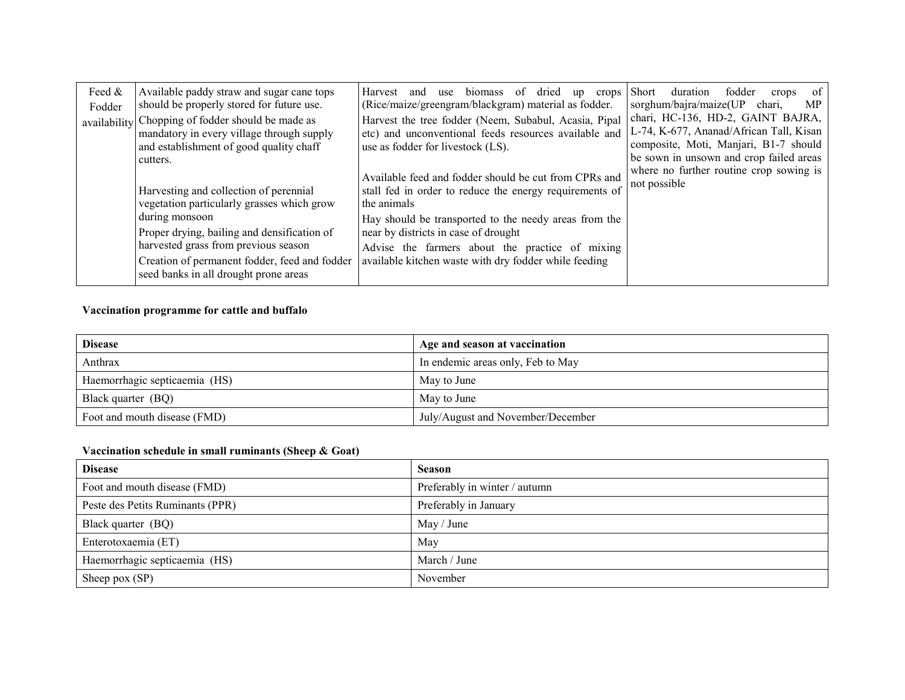| Feed &<br>Fodder | Available paddy straw and sugar cane tops<br>should be properly stored for future use.                                                                                                                                                                                                  | biomass<br>Harvest<br><sub>of</sub><br>dried<br>and<br>use<br>crops<br>up<br>(Rice/maize/greengram/blackgram) material as fodder.                                                                                                                                                                                                            | fodder<br>of<br><b>Short</b><br>duration<br>crops<br>sorghum/bajra/maize(UP<br>MP.<br>chari,                                                                                                                |
|------------------|-----------------------------------------------------------------------------------------------------------------------------------------------------------------------------------------------------------------------------------------------------------------------------------------|----------------------------------------------------------------------------------------------------------------------------------------------------------------------------------------------------------------------------------------------------------------------------------------------------------------------------------------------|-------------------------------------------------------------------------------------------------------------------------------------------------------------------------------------------------------------|
|                  | availability Chopping of fodder should be made as<br>mandatory in every village through supply<br>and establishment of good quality chaff<br>cutters.                                                                                                                                   | Harvest the tree fodder (Neem, Subabul, Acasia, Pipal<br>etc) and unconventional feeds resources available and<br>use as fodder for livestock (LS).                                                                                                                                                                                          | chari, HC-136, HD-2, GAINT BAJRA,<br>L-74, K-677, Ananad/African Tall, Kisan<br>composite, Moti, Manjari, B1-7 should<br>be sown in unsown and crop failed areas<br>where no further routine crop sowing is |
|                  | Harvesting and collection of perennial<br>vegetation particularly grasses which grow<br>during monsoon<br>Proper drying, bailing and densification of<br>harvested grass from previous season<br>Creation of permanent fodder, feed and fodder<br>seed banks in all drought prone areas | Available feed and fodder should be cut from CPRs and<br>stall fed in order to reduce the energy requirements of<br>the animals<br>Hay should be transported to the needy areas from the<br>near by districts in case of drought<br>Advise the farmers about the practice of mixing<br>available kitchen waste with dry fodder while feeding | not possible                                                                                                                                                                                                |

#### Vaccination programme for cattle and buffalo

| <b>Disease</b>                | Age and season at vaccination     |
|-------------------------------|-----------------------------------|
| Anthrax                       | In endemic areas only, Feb to May |
| Haemorrhagic septicaemia (HS) | May to June                       |
| Black quarter (BQ)            | May to June                       |
| Foot and mouth disease (FMD)  | July/August and November/December |

#### Vaccination schedule in small ruminants (Sheep & Goat)

| <b>Disease</b>                   | <b>Season</b>                 |
|----------------------------------|-------------------------------|
| Foot and mouth disease (FMD)     | Preferably in winter / autumn |
| Peste des Petits Ruminants (PPR) | Preferably in January         |
| Black quarter (BQ)               | May / June                    |
| Enterotoxaemia (ET)              | May                           |
| Haemorrhagic septicaemia (HS)    | March / June                  |
| Sheep pox $(SP)$                 | November                      |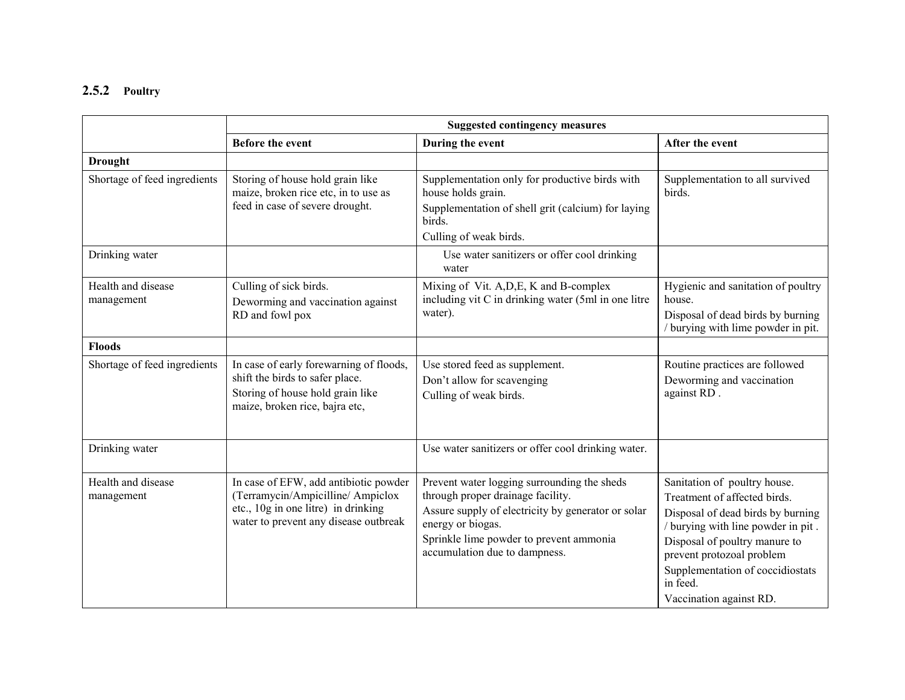## 2.5.2 Poultry

|                                  | <b>Suggested contingency measures</b>                                                                                                                     |                                                                                                                                                                                                                                         |                                                                                                                                                                                                                                                                                  |
|----------------------------------|-----------------------------------------------------------------------------------------------------------------------------------------------------------|-----------------------------------------------------------------------------------------------------------------------------------------------------------------------------------------------------------------------------------------|----------------------------------------------------------------------------------------------------------------------------------------------------------------------------------------------------------------------------------------------------------------------------------|
|                                  | Before the event                                                                                                                                          | During the event                                                                                                                                                                                                                        | After the event                                                                                                                                                                                                                                                                  |
| <b>Drought</b>                   |                                                                                                                                                           |                                                                                                                                                                                                                                         |                                                                                                                                                                                                                                                                                  |
| Shortage of feed ingredients     | Storing of house hold grain like<br>maize, broken rice etc, in to use as<br>feed in case of severe drought.                                               | Supplementation only for productive birds with<br>house holds grain.<br>Supplementation of shell grit (calcium) for laying<br>birds.<br>Culling of weak birds.                                                                          | Supplementation to all survived<br>birds.                                                                                                                                                                                                                                        |
| Drinking water                   |                                                                                                                                                           | Use water sanitizers or offer cool drinking<br>water                                                                                                                                                                                    |                                                                                                                                                                                                                                                                                  |
| Health and disease<br>management | Culling of sick birds.<br>Deworming and vaccination against<br>RD and fowl pox                                                                            | Mixing of Vit. A, D, E, K and B-complex<br>including vit C in drinking water (5ml in one litre<br>water).                                                                                                                               | Hygienic and sanitation of poultry<br>house.<br>Disposal of dead birds by burning<br>/ burying with lime powder in pit.                                                                                                                                                          |
| <b>Floods</b>                    |                                                                                                                                                           |                                                                                                                                                                                                                                         |                                                                                                                                                                                                                                                                                  |
| Shortage of feed ingredients     | In case of early forewarning of floods,<br>shift the birds to safer place.<br>Storing of house hold grain like<br>maize, broken rice, bajra etc,          | Use stored feed as supplement.<br>Don't allow for scavenging<br>Culling of weak birds.                                                                                                                                                  | Routine practices are followed<br>Deworming and vaccination<br>against RD.                                                                                                                                                                                                       |
| Drinking water                   |                                                                                                                                                           | Use water sanitizers or offer cool drinking water.                                                                                                                                                                                      |                                                                                                                                                                                                                                                                                  |
| Health and disease<br>management | In case of EFW, add antibiotic powder<br>(Terramycin/Ampicilline/Ampiclox<br>etc., 10g in one litre) in drinking<br>water to prevent any disease outbreak | Prevent water logging surrounding the sheds<br>through proper drainage facility.<br>Assure supply of electricity by generator or solar<br>energy or biogas.<br>Sprinkle lime powder to prevent ammonia<br>accumulation due to dampness. | Sanitation of poultry house.<br>Treatment of affected birds.<br>Disposal of dead birds by burning<br>/ burying with line powder in pit.<br>Disposal of poultry manure to<br>prevent protozoal problem<br>Supplementation of coccidiostats<br>in feed.<br>Vaccination against RD. |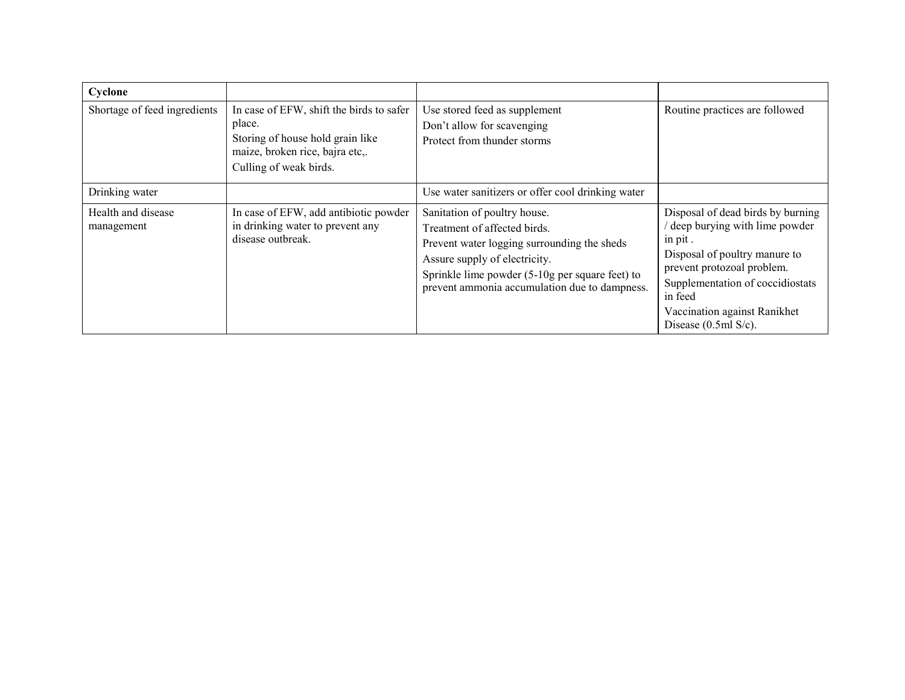| Cyclone                          |                                                                                                                                                     |                                                                                                                                                                                                                                                  |                                                                                                                                                                                                                                                        |
|----------------------------------|-----------------------------------------------------------------------------------------------------------------------------------------------------|--------------------------------------------------------------------------------------------------------------------------------------------------------------------------------------------------------------------------------------------------|--------------------------------------------------------------------------------------------------------------------------------------------------------------------------------------------------------------------------------------------------------|
| Shortage of feed ingredients     | In case of EFW, shift the birds to safer<br>place.<br>Storing of house hold grain like<br>maize, broken rice, bajra etc,.<br>Culling of weak birds. | Use stored feed as supplement<br>Don't allow for scavenging<br>Protect from thunder storms                                                                                                                                                       | Routine practices are followed                                                                                                                                                                                                                         |
| Drinking water                   |                                                                                                                                                     | Use water sanitizers or offer cool drinking water                                                                                                                                                                                                |                                                                                                                                                                                                                                                        |
| Health and disease<br>management | In case of EFW, add antibiotic powder<br>in drinking water to prevent any<br>disease outbreak.                                                      | Sanitation of poultry house.<br>Treatment of affected birds.<br>Prevent water logging surrounding the sheds<br>Assure supply of electricity.<br>Sprinkle lime powder (5-10g per square feet) to<br>prevent ammonia accumulation due to dampness. | Disposal of dead birds by burning<br>deep burying with lime powder<br>in pit.<br>Disposal of poultry manure to<br>prevent protozoal problem.<br>Supplementation of coccidiostats<br>in feed<br>Vaccination against Ranikhet<br>Disease $(0.5ml S/c)$ . |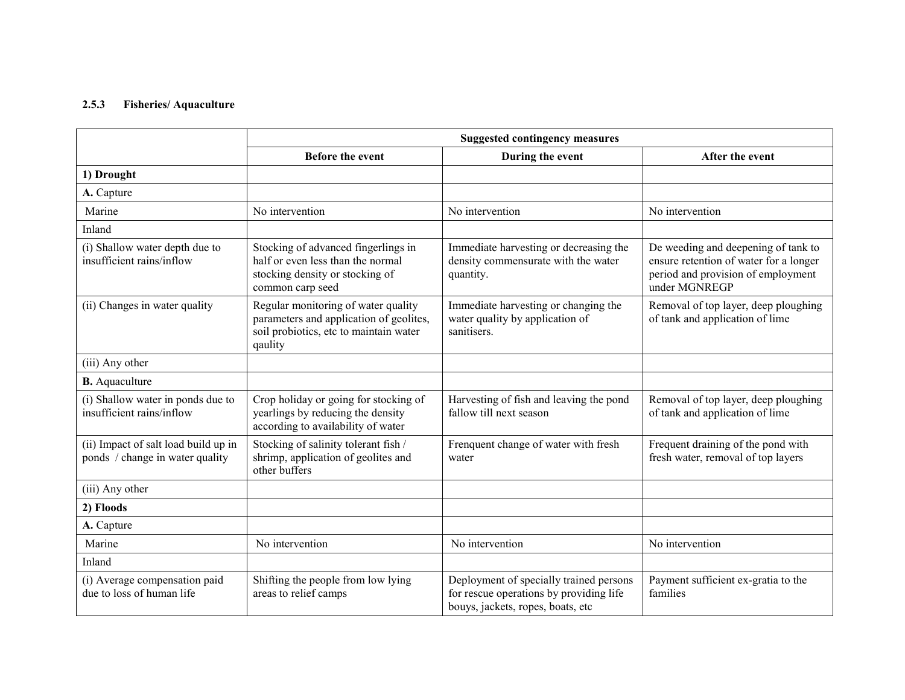#### 2.5.3Fisheries/ Aquaculture

|                                                                         | <b>Suggested contingency measures</b>                                                                                               |                                                                                                                         |                                                                                                                                      |
|-------------------------------------------------------------------------|-------------------------------------------------------------------------------------------------------------------------------------|-------------------------------------------------------------------------------------------------------------------------|--------------------------------------------------------------------------------------------------------------------------------------|
|                                                                         | <b>Before the event</b>                                                                                                             | During the event                                                                                                        | After the event                                                                                                                      |
| 1) Drought                                                              |                                                                                                                                     |                                                                                                                         |                                                                                                                                      |
| A. Capture                                                              |                                                                                                                                     |                                                                                                                         |                                                                                                                                      |
| Marine                                                                  | No intervention                                                                                                                     | No intervention                                                                                                         | No intervention                                                                                                                      |
| Inland                                                                  |                                                                                                                                     |                                                                                                                         |                                                                                                                                      |
| (i) Shallow water depth due to<br>insufficient rains/inflow             | Stocking of advanced fingerlings in<br>half or even less than the normal<br>stocking density or stocking of<br>common carp seed     | Immediate harvesting or decreasing the<br>density commensurate with the water<br>quantity.                              | De weeding and deepening of tank to<br>ensure retention of water for a longer<br>period and provision of employment<br>under MGNREGP |
| (ii) Changes in water quality                                           | Regular monitoring of water quality<br>parameters and application of geolites,<br>soil probiotics, etc to maintain water<br>qaulity | Immediate harvesting or changing the<br>water quality by application of<br>sanitisers.                                  | Removal of top layer, deep ploughing<br>of tank and application of lime                                                              |
| (iii) Any other                                                         |                                                                                                                                     |                                                                                                                         |                                                                                                                                      |
| <b>B.</b> Aquaculture                                                   |                                                                                                                                     |                                                                                                                         |                                                                                                                                      |
| (i) Shallow water in ponds due to<br>insufficient rains/inflow          | Crop holiday or going for stocking of<br>yearlings by reducing the density<br>according to availability of water                    | Harvesting of fish and leaving the pond<br>fallow till next season                                                      | Removal of top layer, deep ploughing<br>of tank and application of lime                                                              |
| (ii) Impact of salt load build up in<br>ponds / change in water quality | Stocking of salinity tolerant fish /<br>shrimp, application of geolites and<br>other buffers                                        | Frenquent change of water with fresh<br>water                                                                           | Frequent draining of the pond with<br>fresh water, removal of top layers                                                             |
| (iii) Any other                                                         |                                                                                                                                     |                                                                                                                         |                                                                                                                                      |
| 2) Floods                                                               |                                                                                                                                     |                                                                                                                         |                                                                                                                                      |
| A. Capture                                                              |                                                                                                                                     |                                                                                                                         |                                                                                                                                      |
| Marine                                                                  | No intervention                                                                                                                     | No intervention                                                                                                         | No intervention                                                                                                                      |
| Inland                                                                  |                                                                                                                                     |                                                                                                                         |                                                                                                                                      |
| (i) Average compensation paid<br>due to loss of human life              | Shifting the people from low lying<br>areas to relief camps                                                                         | Deployment of specially trained persons<br>for rescue operations by providing life<br>bouys, jackets, ropes, boats, etc | Payment sufficient ex-gratia to the<br>families                                                                                      |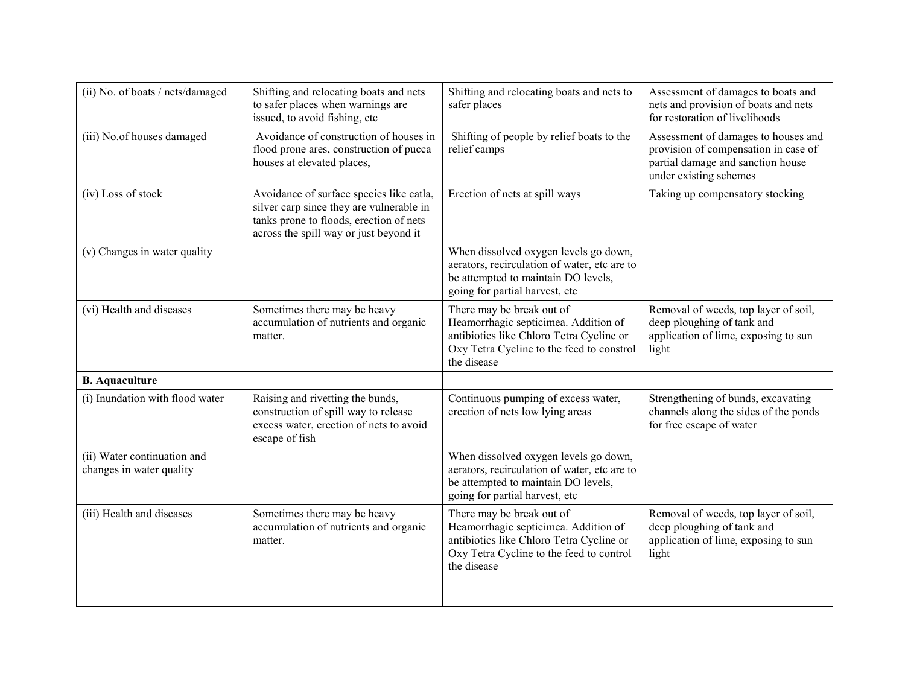| (ii) No. of boats / nets/damaged                        | Shifting and relocating boats and nets<br>to safer places when warnings are<br>issued, to avoid fishing, etc                                                              | Shifting and relocating boats and nets to<br>safer places                                                                                                                 | Assessment of damages to boats and<br>nets and provision of boats and nets<br>for restoration of livelihoods                               |
|---------------------------------------------------------|---------------------------------------------------------------------------------------------------------------------------------------------------------------------------|---------------------------------------------------------------------------------------------------------------------------------------------------------------------------|--------------------------------------------------------------------------------------------------------------------------------------------|
| (iii) No.of houses damaged                              | Avoidance of construction of houses in<br>flood prone ares, construction of pucca<br>houses at elevated places,                                                           | Shifting of people by relief boats to the<br>relief camps                                                                                                                 | Assessment of damages to houses and<br>provision of compensation in case of<br>partial damage and sanction house<br>under existing schemes |
| (iv) Loss of stock                                      | Avoidance of surface species like catla,<br>silver carp since they are vulnerable in<br>tanks prone to floods, erection of nets<br>across the spill way or just beyond it | Erection of nets at spill ways                                                                                                                                            | Taking up compensatory stocking                                                                                                            |
| (v) Changes in water quality                            |                                                                                                                                                                           | When dissolved oxygen levels go down,<br>aerators, recirculation of water, etc are to<br>be attempted to maintain DO levels,<br>going for partial harvest, etc            |                                                                                                                                            |
| (vi) Health and diseases                                | Sometimes there may be heavy<br>accumulation of nutrients and organic<br>matter.                                                                                          | There may be break out of<br>Heamorrhagic septicimea. Addition of<br>antibiotics like Chloro Tetra Cycline or<br>Oxy Tetra Cycline to the feed to constrol<br>the disease | Removal of weeds, top layer of soil,<br>deep ploughing of tank and<br>application of lime, exposing to sun<br>light                        |
| <b>B.</b> Aquaculture                                   |                                                                                                                                                                           |                                                                                                                                                                           |                                                                                                                                            |
| (i) Inundation with flood water                         | Raising and rivetting the bunds,<br>construction of spill way to release<br>excess water, erection of nets to avoid<br>escape of fish                                     | Continuous pumping of excess water,<br>erection of nets low lying areas                                                                                                   | Strengthening of bunds, excavating<br>channels along the sides of the ponds<br>for free escape of water                                    |
| (ii) Water continuation and<br>changes in water quality |                                                                                                                                                                           | When dissolved oxygen levels go down,<br>aerators, recirculation of water, etc are to<br>be attempted to maintain DO levels,<br>going for partial harvest, etc            |                                                                                                                                            |
| (iii) Health and diseases                               | Sometimes there may be heavy<br>accumulation of nutrients and organic<br>matter.                                                                                          | There may be break out of<br>Heamorrhagic septicimea. Addition of<br>antibiotics like Chloro Tetra Cycline or<br>Oxy Tetra Cycline to the feed to control<br>the disease  | Removal of weeds, top layer of soil,<br>deep ploughing of tank and<br>application of lime, exposing to sun<br>light                        |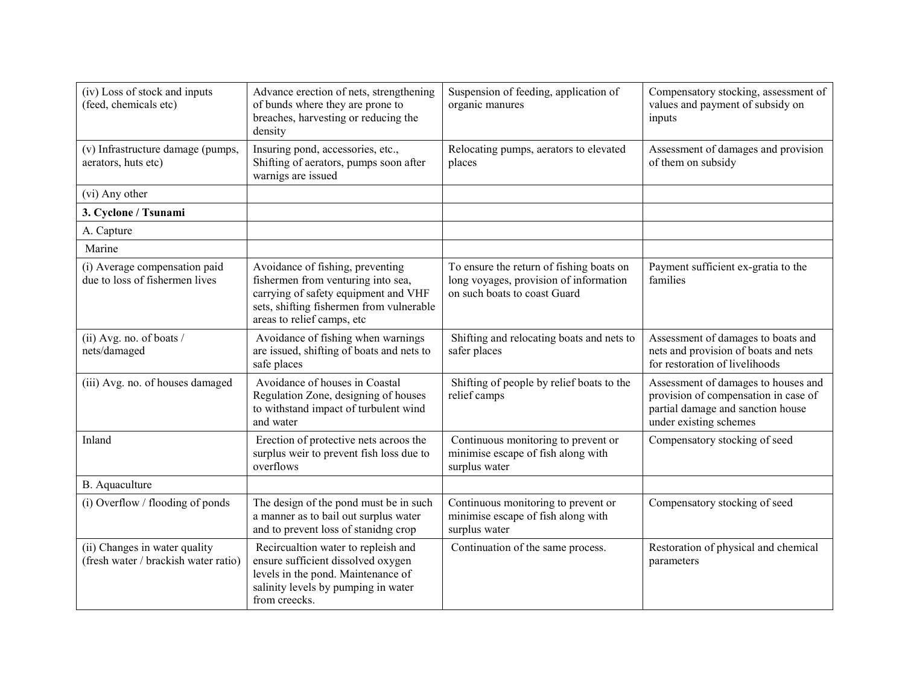| (iv) Loss of stock and inputs<br>(feed, chemicals etc)                | Advance erection of nets, strengthening<br>of bunds where they are prone to<br>breaches, harvesting or reducing the<br>density                                                           | Suspension of feeding, application of<br>organic manures                                                           | Compensatory stocking, assessment of<br>values and payment of subsidy on<br>inputs                                                         |
|-----------------------------------------------------------------------|------------------------------------------------------------------------------------------------------------------------------------------------------------------------------------------|--------------------------------------------------------------------------------------------------------------------|--------------------------------------------------------------------------------------------------------------------------------------------|
| (v) Infrastructure damage (pumps,<br>aerators, huts etc)              | Insuring pond, accessories, etc.,<br>Shifting of aerators, pumps soon after<br>warnigs are issued                                                                                        | Relocating pumps, aerators to elevated<br>places                                                                   | Assessment of damages and provision<br>of them on subsidy                                                                                  |
| (vi) Any other                                                        |                                                                                                                                                                                          |                                                                                                                    |                                                                                                                                            |
| 3. Cyclone / Tsunami                                                  |                                                                                                                                                                                          |                                                                                                                    |                                                                                                                                            |
| A. Capture                                                            |                                                                                                                                                                                          |                                                                                                                    |                                                                                                                                            |
| Marine                                                                |                                                                                                                                                                                          |                                                                                                                    |                                                                                                                                            |
| (i) Average compensation paid<br>due to loss of fishermen lives       | Avoidance of fishing, preventing<br>fishermen from venturing into sea,<br>carrying of safety equipment and VHF<br>sets, shifting fishermen from vulnerable<br>areas to relief camps, etc | To ensure the return of fishing boats on<br>long voyages, provision of information<br>on such boats to coast Guard | Payment sufficient ex-gratia to the<br>families                                                                                            |
| (ii) Avg. no. of boats /<br>nets/damaged                              | Avoidance of fishing when warnings<br>are issued, shifting of boats and nets to<br>safe places                                                                                           | Shifting and relocating boats and nets to<br>safer places                                                          | Assessment of damages to boats and<br>nets and provision of boats and nets<br>for restoration of livelihoods                               |
| (iii) Avg. no. of houses damaged                                      | Avoidance of houses in Coastal<br>Regulation Zone, designing of houses<br>to withstand impact of turbulent wind<br>and water                                                             | Shifting of people by relief boats to the<br>relief camps                                                          | Assessment of damages to houses and<br>provision of compensation in case of<br>partial damage and sanction house<br>under existing schemes |
| Inland                                                                | Erection of protective nets acroos the<br>surplus weir to prevent fish loss due to<br>overflows                                                                                          | Continuous monitoring to prevent or<br>minimise escape of fish along with<br>surplus water                         | Compensatory stocking of seed                                                                                                              |
| B. Aquaculture                                                        |                                                                                                                                                                                          |                                                                                                                    |                                                                                                                                            |
| (i) Overflow / flooding of ponds                                      | The design of the pond must be in such<br>a manner as to bail out surplus water<br>and to prevent loss of stanidng crop                                                                  | Continuous monitoring to prevent or<br>minimise escape of fish along with<br>surplus water                         | Compensatory stocking of seed                                                                                                              |
| (ii) Changes in water quality<br>(fresh water / brackish water ratio) | Recircualtion water to repleish and<br>ensure sufficient dissolved oxygen<br>levels in the pond. Maintenance of<br>salinity levels by pumping in water<br>from creecks.                  | Continuation of the same process.                                                                                  | Restoration of physical and chemical<br>parameters                                                                                         |